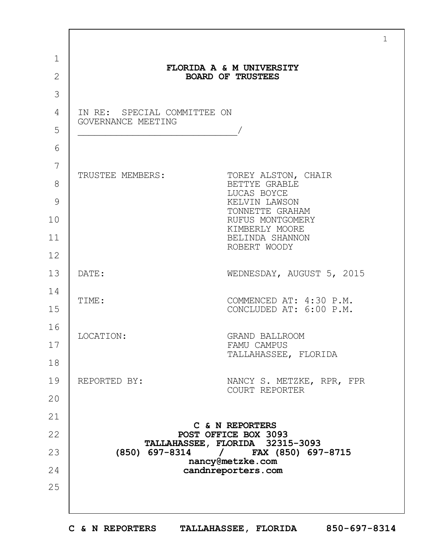|                |                                                   | $\mathbf{1}$                                          |
|----------------|---------------------------------------------------|-------------------------------------------------------|
| $\mathbf 1$    |                                                   | FLORIDA A & M UNIVERSITY                              |
| $\overline{2}$ |                                                   | <b>BOARD OF TRUSTEES</b>                              |
| 3              |                                                   |                                                       |
| 4              | IN RE: SPECIAL COMMITTEE ON<br>GOVERNANCE MEETING |                                                       |
| 5              |                                                   |                                                       |
| 6              |                                                   |                                                       |
| 7              | TRUSTEE MEMBERS:                                  |                                                       |
| 8              |                                                   | TOREY ALSTON, CHAIR<br>BETTYE GRABLE                  |
| 9              |                                                   | LUCAS BOYCE<br>KELVIN LAWSON<br>TONNETTE GRAHAM       |
| 10             |                                                   | RUFUS MONTGOMERY<br>KIMBERLY MOORE                    |
| 11             |                                                   | BELINDA SHANNON                                       |
| 12             |                                                   | ROBERT WOODY                                          |
| 13             | DATE:                                             | WEDNESDAY, AUGUST 5, 2015                             |
| 14             | TIME:                                             | COMMENCED AT: 4:30 P.M.                               |
| 15             |                                                   | CONCLUDED AT: 6:00 P.M.                               |
| 16             | LOCATION:                                         | <b>GRAND BALLROOM</b><br>FAMU CAMPUS                  |
| 17             |                                                   |                                                       |
| 18             |                                                   | TALLAHASSEE, FLORIDA                                  |
| 19             | REPORTED BY:                                      | NANCY S. METZKE, RPR, FPR                             |
| 20             |                                                   | COURT REPORTER                                        |
| 21             |                                                   |                                                       |
| 22             |                                                   | C & N REPORTERS<br>POST OFFICE BOX 3093               |
| 23             | $(850)$ 697-8314 /                                | TALLAHASSEE, FLORIDA 32315-3093<br>FAX (850) 697-8715 |
| 24             | nancy@metzke.com<br>candnreporters.com            |                                                       |
| 25             |                                                   |                                                       |
|                |                                                   |                                                       |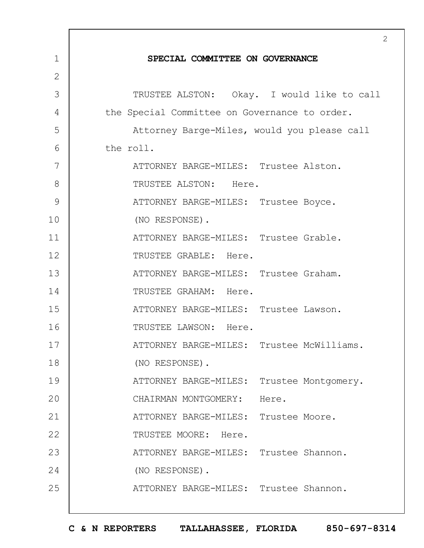|                | 2                                             |
|----------------|-----------------------------------------------|
| $\mathbf 1$    | SPECIAL COMMITTEE ON GOVERNANCE               |
| $\overline{2}$ |                                               |
| 3              | TRUSTEE ALSTON: Okay. I would like to call    |
| 4              | the Special Committee on Governance to order. |
| 5              | Attorney Barge-Miles, would you please call   |
| 6              | the roll.                                     |
| 7              | ATTORNEY BARGE-MILES: Trustee Alston.         |
| 8              | TRUSTEE ALSTON: Here.                         |
| 9              | ATTORNEY BARGE-MILES: Trustee Boyce.          |
| 10             | (NO RESPONSE).                                |
| 11             | ATTORNEY BARGE-MILES: Trustee Grable.         |
| 12             | TRUSTEE GRABLE: Here.                         |
| 13             | ATTORNEY BARGE-MILES: Trustee Graham.         |
| 14             | TRUSTEE GRAHAM: Here.                         |
| 15             | ATTORNEY BARGE-MILES: Trustee Lawson.         |
| 16             | TRUSTEE LAWSON: Here.                         |
| 17             | ATTORNEY BARGE-MILES: Trustee McWilliams.     |
| 18             | (NO RESPONSE).                                |
| 19             | ATTORNEY BARGE-MILES:<br>Trustee Montgomery.  |
| 20             | CHAIRMAN MONTGOMERY:<br>Here.                 |
| 21             | ATTORNEY BARGE-MILES: Trustee Moore.          |
| 22             | TRUSTEE MOORE: Here.                          |
| 23             | ATTORNEY BARGE-MILES: Trustee Shannon.        |
| 24             | (NO RESPONSE).                                |
| 25             | ATTORNEY BARGE-MILES: Trustee Shannon.        |
|                |                                               |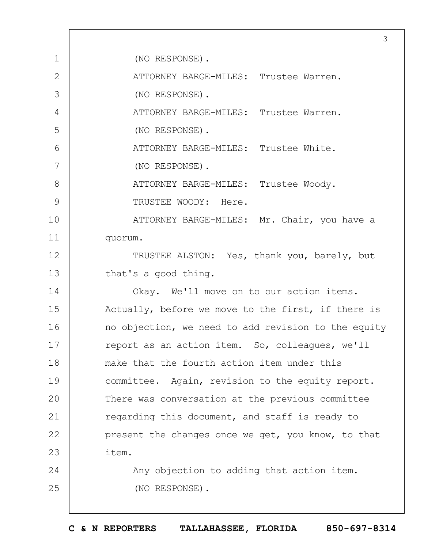1 2 3 4 5 6 7 8 9 10 11 12 13 14 15 16 17 18 19  $20$ 21 22 23 24 25 3 (NO RESPONSE). ATTORNEY BARGE-MILES: Trustee Warren. (NO RESPONSE). ATTORNEY BARGE-MILES: Trustee Warren. (NO RESPONSE). ATTORNEY BARGE-MILES: Trustee White. (NO RESPONSE). ATTORNEY BARGE-MILES: Trustee Woody. TRUSTEE WOODY: Here. ATTORNEY BARGE-MILES: Mr. Chair, you have a quorum. TRUSTEE ALSTON: Yes, thank you, barely, but that's a good thing. Okay. We'll move on to our action items. Actually, before we move to the first, if there is no objection, we need to add revision to the equity report as an action item. So, colleagues, we'll make that the fourth action item under this committee. Again, revision to the equity report. There was conversation at the previous committee regarding this document, and staff is ready to present the changes once we get, you know, to that item. Any objection to adding that action item. (NO RESPONSE).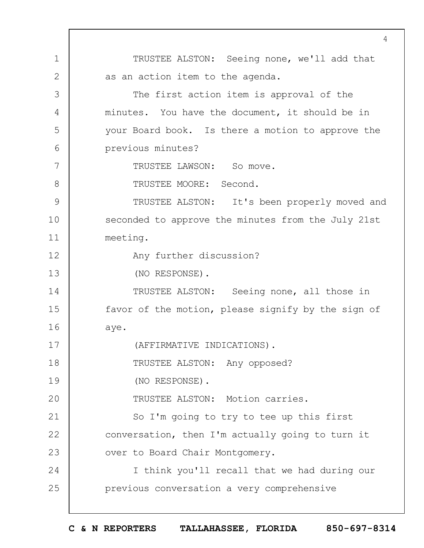1 2 3 4 5 6 7 8 9 10 11 12 13 14 15 16 17 18 19  $20$ 21 22 23 24 25  $\Delta$ TRUSTEE ALSTON: Seeing none, we'll add that as an action item to the agenda. The first action item is approval of the minutes. You have the document, it should be in your Board book. Is there a motion to approve the previous minutes? TRUSTEE LAWSON: So move. TRUSTEE MOORE: Second. TRUSTEE ALSTON: It's been properly moved and seconded to approve the minutes from the July 21st meeting. Any further discussion? (NO RESPONSE). TRUSTEE ALSTON: Seeing none, all those in favor of the motion, please signify by the sign of aye. (AFFIRMATIVE INDICATIONS). TRUSTEE ALSTON: Any opposed? (NO RESPONSE). TRUSTEE ALSTON: Motion carries. So I'm going to try to tee up this first conversation, then I'm actually going to turn it over to Board Chair Montgomery. I think you'll recall that we had during our previous conversation a very comprehensive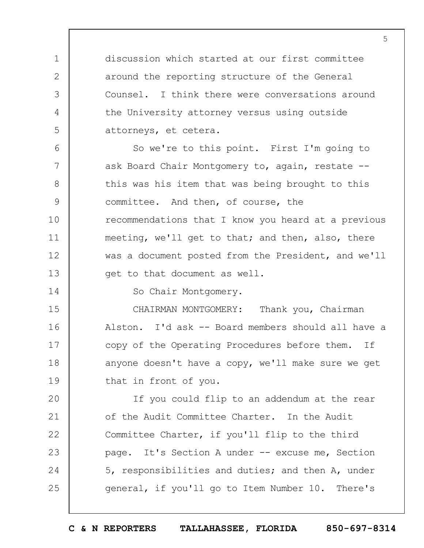discussion which started at our first committee around the reporting structure of the General Counsel. I think there were conversations around the University attorney versus using outside attorneys, et cetera.

6 7 8 9 10 11 12 13 So we're to this point. First I'm going to ask Board Chair Montgomery to, again, restate - this was his item that was being brought to this committee. And then, of course, the recommendations that I know you heard at a previous meeting, we'll get to that; and then, also, there was a document posted from the President, and we'll get to that document as well.

So Chair Montgomery.

1

2

3

4

5

14

15 16 17 18 19 CHAIRMAN MONTGOMERY: Thank you, Chairman Alston. I'd ask -- Board members should all have a copy of the Operating Procedures before them. If anyone doesn't have a copy, we'll make sure we get that in front of you.

 $20$ 21 22 23 24 25 If you could flip to an addendum at the rear of the Audit Committee Charter. In the Audit Committee Charter, if you'll flip to the third page. It's Section A under -- excuse me, Section 5, responsibilities and duties; and then A, under general, if you'll go to Item Number 10. There's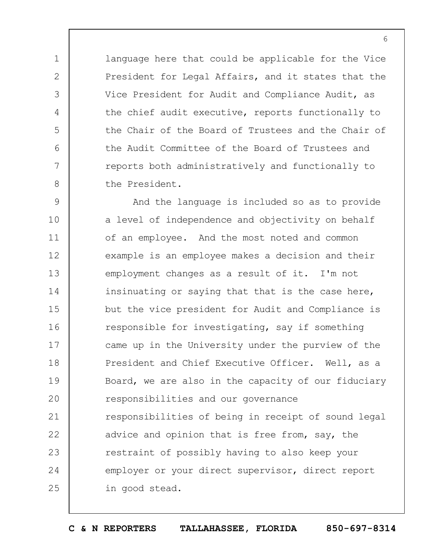language here that could be applicable for the Vice President for Legal Affairs, and it states that the Vice President for Audit and Compliance Audit, as the chief audit executive, reports functionally to the Chair of the Board of Trustees and the Chair of the Audit Committee of the Board of Trustees and reports both administratively and functionally to the President.

1

2

3

4

5

6

7

8

9 10 11 12 13 14 15 16 17 18 19  $20$ 21 22 23 24 25 And the language is included so as to provide a level of independence and objectivity on behalf of an employee. And the most noted and common example is an employee makes a decision and their employment changes as a result of it. I'm not insinuating or saying that that is the case here, but the vice president for Audit and Compliance is responsible for investigating, say if something came up in the University under the purview of the President and Chief Executive Officer. Well, as a Board, we are also in the capacity of our fiduciary responsibilities and our governance responsibilities of being in receipt of sound legal advice and opinion that is free from, say, the restraint of possibly having to also keep your employer or your direct supervisor, direct report in good stead.

**C & N REPORTERS TALLAHASSEE, FLORIDA 850-697-8314**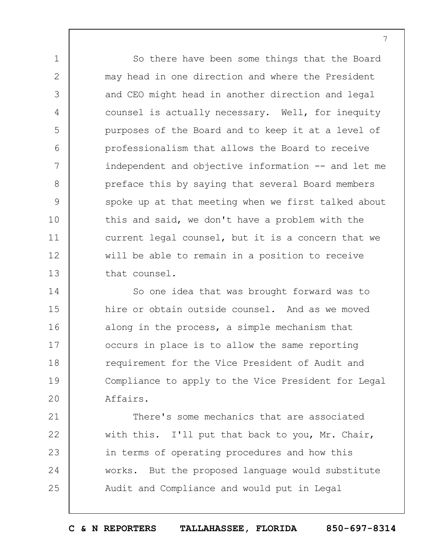So there have been some things that the Board may head in one direction and where the President and CEO might head in another direction and legal counsel is actually necessary. Well, for inequity purposes of the Board and to keep it at a level of professionalism that allows the Board to receive independent and objective information -- and let me preface this by saying that several Board members spoke up at that meeting when we first talked about this and said, we don't have a problem with the current legal counsel, but it is a concern that we will be able to remain in a position to receive that counsel.

1

2

3

4

5

6

7

8

9

10

11

12

13

14 15 16 17 18 19  $20$ So one idea that was brought forward was to hire or obtain outside counsel. And as we moved along in the process, a simple mechanism that occurs in place is to allow the same reporting requirement for the Vice President of Audit and Compliance to apply to the Vice President for Legal Affairs.

21 22 23 24 25 There's some mechanics that are associated with this. I'll put that back to you, Mr. Chair, in terms of operating procedures and how this works. But the proposed language would substitute Audit and Compliance and would put in Legal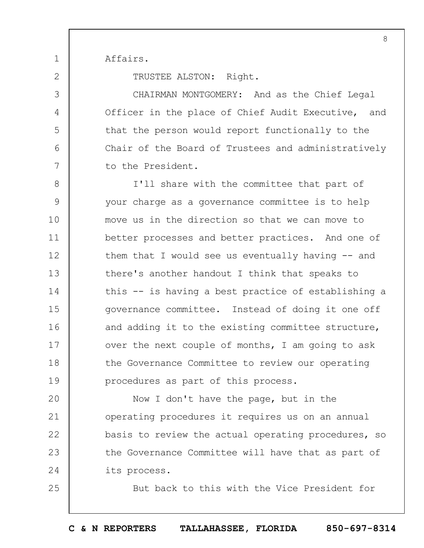Affairs.

1

2

3

4

5

6

7

25

TRUSTEE ALSTON: Right.

CHAIRMAN MONTGOMERY: And as the Chief Legal Officer in the place of Chief Audit Executive, and that the person would report functionally to the Chair of the Board of Trustees and administratively to the President.

8 9 10 11 12 13 14 15 16 17 18 19 I'll share with the committee that part of your charge as a governance committee is to help move us in the direction so that we can move to better processes and better practices. And one of them that I would see us eventually having  $-$  and there's another handout I think that speaks to this -- is having a best practice of establishing a governance committee. Instead of doing it one off and adding it to the existing committee structure, over the next couple of months, I am going to ask the Governance Committee to review our operating procedures as part of this process.

 $20$ 21 22 23 24 Now I don't have the page, but in the operating procedures it requires us on an annual basis to review the actual operating procedures, so the Governance Committee will have that as part of its process.

But back to this with the Vice President for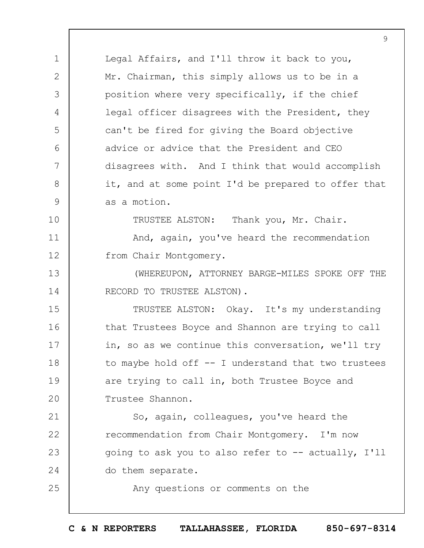1 2 3 4 5  $6 \overline{6}$ 7 8 9 10 11 12 13 14 15 16 17 18 19  $20$ 21 22 23 24 25 Legal Affairs, and I'll throw it back to you, Mr. Chairman, this simply allows us to be in a position where very specifically, if the chief legal officer disagrees with the President, they can't be fired for giving the Board objective advice or advice that the President and CEO disagrees with. And I think that would accomplish it, and at some point I'd be prepared to offer that as a motion. TRUSTEE ALSTON: Thank you, Mr. Chair. And, again, you've heard the recommendation from Chair Montgomery. (WHEREUPON, ATTORNEY BARGE-MILES SPOKE OFF THE RECORD TO TRUSTEE ALSTON). TRUSTEE ALSTON: Okay. It's my understanding that Trustees Boyce and Shannon are trying to call in, so as we continue this conversation, we'll try to maybe hold off -- I understand that two trustees are trying to call in, both Trustee Boyce and Trustee Shannon. So, again, colleagues, you've heard the recommendation from Chair Montgomery. I'm now going to ask you to also refer to -- actually, I'll do them separate. Any questions or comments on the

9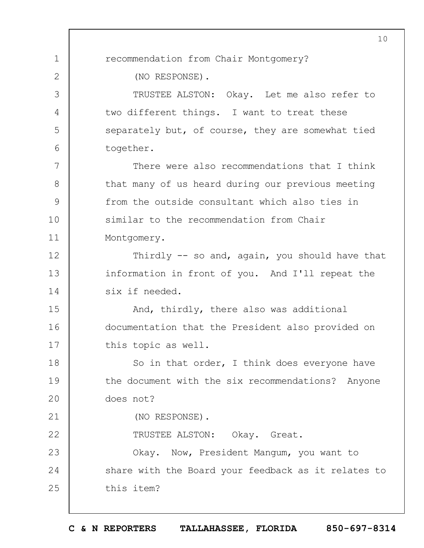1 2 3 4 5 6 7 8 9 10 11 12 13 14 15 16 17 18 19  $20$ 21 22 23 24 25 10 recommendation from Chair Montgomery? (NO RESPONSE). TRUSTEE ALSTON: Okay. Let me also refer to two different things. I want to treat these separately but, of course, they are somewhat tied together. There were also recommendations that I think that many of us heard during our previous meeting from the outside consultant which also ties in similar to the recommendation from Chair Montgomery. Thirdly -- so and, again, you should have that information in front of you. And I'll repeat the six if needed. And, thirdly, there also was additional documentation that the President also provided on this topic as well. So in that order, I think does everyone have the document with the six recommendations? Anyone does not? (NO RESPONSE). TRUSTEE ALSTON: Okay. Great. Okay. Now, President Mangum, you want to share with the Board your feedback as it relates to this item?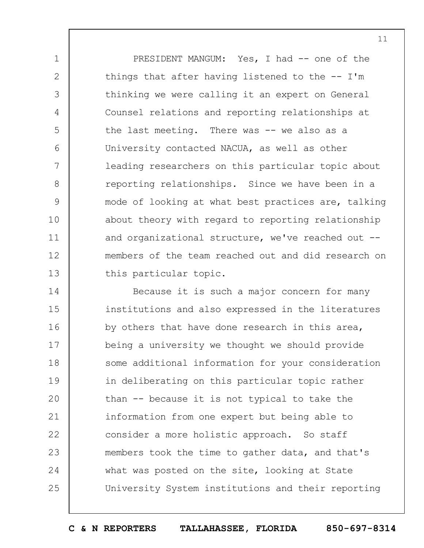1 2 3 4 5 6 7 8 9 10 11 12 13 PRESIDENT MANGUM: Yes, I had -- one of the things that after having listened to the  $-$ - I'm thinking we were calling it an expert on General Counsel relations and reporting relationships at the last meeting. There was -- we also as a University contacted NACUA, as well as other leading researchers on this particular topic about reporting relationships. Since we have been in a mode of looking at what best practices are, talking about theory with regard to reporting relationship and organizational structure, we've reached out - members of the team reached out and did research on this particular topic.

14 15 16 17 18 19  $20$ 21 22 23 24 25 Because it is such a major concern for many institutions and also expressed in the literatures by others that have done research in this area, being a university we thought we should provide some additional information for your consideration in deliberating on this particular topic rather than -- because it is not typical to take the information from one expert but being able to consider a more holistic approach. So staff members took the time to gather data, and that's what was posted on the site, looking at State University System institutions and their reporting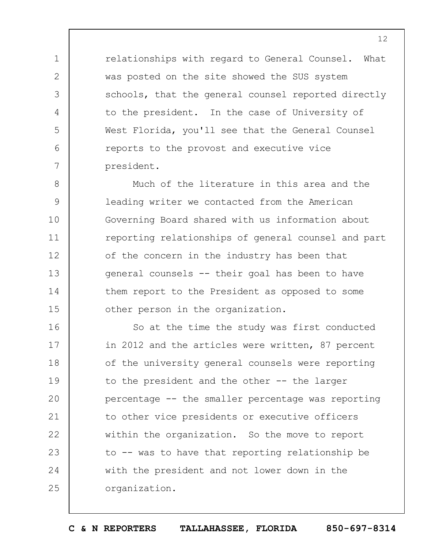relationships with regard to General Counsel. What was posted on the site showed the SUS system schools, that the general counsel reported directly to the president. In the case of University of West Florida, you'll see that the General Counsel reports to the provost and executive vice president.

1

2

3

4

5

6

7

8 9 10 11 12 13 14 15 Much of the literature in this area and the leading writer we contacted from the American Governing Board shared with us information about reporting relationships of general counsel and part of the concern in the industry has been that general counsels -- their goal has been to have them report to the President as opposed to some other person in the organization.

16 17 18 19  $20$ 21 22 23 24 25 So at the time the study was first conducted in 2012 and the articles were written, 87 percent of the university general counsels were reporting to the president and the other -- the larger percentage -- the smaller percentage was reporting to other vice presidents or executive officers within the organization. So the move to report to -- was to have that reporting relationship be with the president and not lower down in the organization.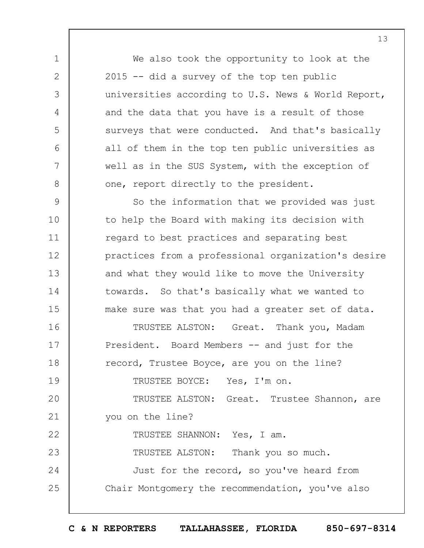We also took the opportunity to look at the 2015 -- did a survey of the top ten public universities according to U.S. News & World Report, and the data that you have is a result of those surveys that were conducted. And that's basically all of them in the top ten public universities as well as in the SUS System, with the exception of one, report directly to the president.

9 10 11 12 13 14 15 16 17 18 19  $20$ So the information that we provided was just to help the Board with making its decision with regard to best practices and separating best practices from a professional organization's desire and what they would like to move the University towards. So that's basically what we wanted to make sure was that you had a greater set of data. TRUSTEE ALSTON: Great. Thank you, Madam President. Board Members -- and just for the record, Trustee Boyce, are you on the line? TRUSTEE BOYCE: Yes, I'm on. TRUSTEE ALSTON: Great. Trustee Shannon, are

21 you on the line?

1

2

3

4

5

6

7

8

22 23 24 25 TRUSTEE SHANNON: Yes, I am. TRUSTEE ALSTON: Thank you so much. Just for the record, so you've heard from Chair Montgomery the recommendation, you've also

**C & N REPORTERS TALLAHASSEE, FLORIDA 850-697-8314**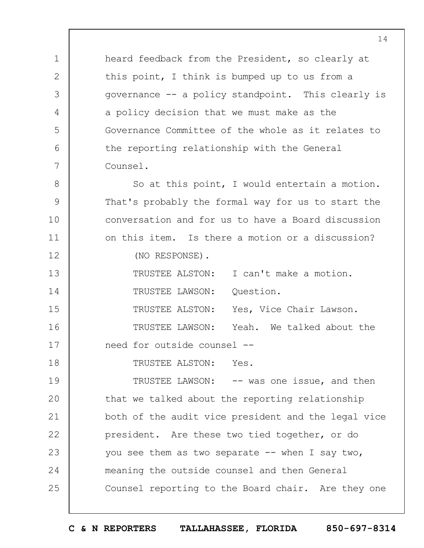1 2 3 4 5 6 7 8 9 10 11 12 13 14 15 16 17 18 19  $20$ 21 22 23 heard feedback from the President, so clearly at this point, I think is bumped up to us from a governance -- a policy standpoint. This clearly is a policy decision that we must make as the Governance Committee of the whole as it relates to the reporting relationship with the General Counsel. So at this point, I would entertain a motion. That's probably the formal way for us to start the conversation and for us to have a Board discussion on this item. Is there a motion or a discussion? (NO RESPONSE). TRUSTEE ALSTON: I can't make a motion. TRUSTEE LAWSON: Ouestion. TRUSTEE ALSTON: Yes, Vice Chair Lawson. TRUSTEE LAWSON: Yeah. We talked about the need for outside counsel -- TRUSTEE ALSTON: Yes. TRUSTEE LAWSON: -- was one issue, and then that we talked about the reporting relationship both of the audit vice president and the legal vice president. Are these two tied together, or do you see them as two separate  $-$ - when I say two,

14

25 Counsel reporting to the Board chair. Are they one

meaning the outside counsel and then General

24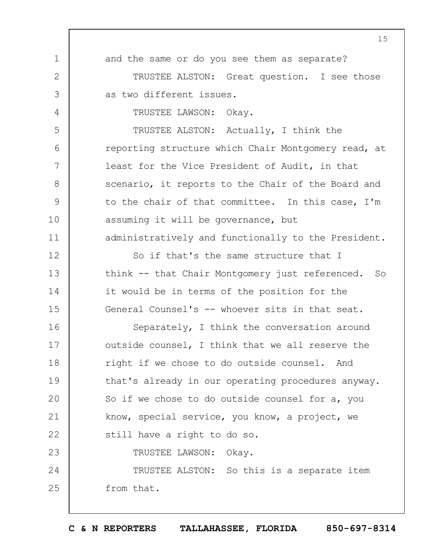1 2 3 4 5 6 7 8 9 10 11 12 13 14 15 16 17 18 19  $20$ 21 22 23 24 25 and the same or do you see them as separate? TRUSTEE ALSTON: Great question. I see those as two different issues. TRUSTEE LAWSON: Okay. TRUSTEE ALSTON: Actually, I think the reporting structure which Chair Montgomery read, at least for the Vice President of Audit, in that scenario, it reports to the Chair of the Board and to the chair of that committee. In this case, I'm assuming it will be governance, but administratively and functionally to the President. So if that's the same structure that I think -- that Chair Montgomery just referenced. So it would be in terms of the position for the General Counsel's -- whoever sits in that seat. Separately, I think the conversation around outside counsel, I think that we all reserve the right if we chose to do outside counsel. And that's already in our operating procedures anyway. So if we chose to do outside counsel for a, you know, special service, you know, a project, we still have a right to do so. TRUSTEE LAWSON: Okay. TRUSTEE ALSTON: So this is a separate item from that.

**C & N REPORTERS TALLAHASSEE, FLORIDA 850-697-8314**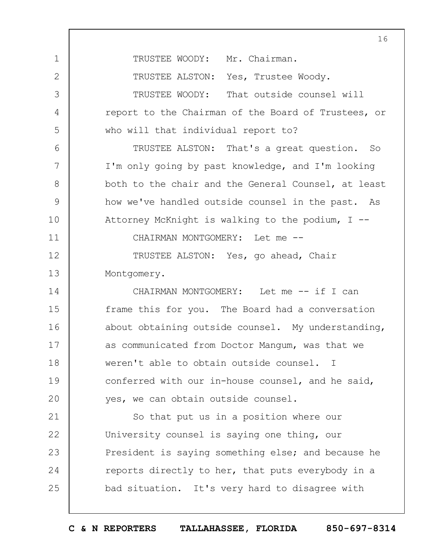TRUSTEE WOODY: Mr. Chairman. TRUSTEE ALSTON: Yes, Trustee Woody. TRUSTEE WOODY: That outside counsel will report to the Chairman of the Board of Trustees, or who will that individual report to? TRUSTEE ALSTON: That's a great question. So I'm only going by past knowledge, and I'm looking both to the chair and the General Counsel, at least how we've handled outside counsel in the past. As Attorney McKnight is walking to the podium,  $I$  --CHAIRMAN MONTGOMERY: Let me -- TRUSTEE ALSTON: Yes, go ahead, Chair Montgomery. CHAIRMAN MONTGOMERY: Let me -- if I can frame this for you. The Board had a conversation about obtaining outside counsel. My understanding, as communicated from Doctor Mangum, was that we weren't able to obtain outside counsel. I conferred with our in-house counsel, and he said, yes, we can obtain outside counsel. So that put us in a position where our

1

2

3

4

5

6

7

8

9

10

11

12

13

14

15

16

17

18

19

 $20$ 

21 22 23 24 25 University counsel is saying one thing, our President is saying something else; and because he reports directly to her, that puts everybody in a bad situation. It's very hard to disagree with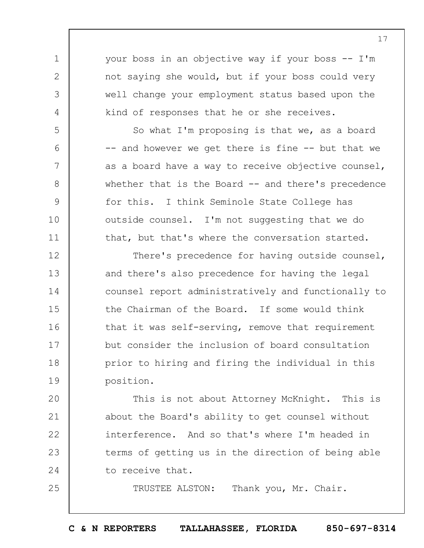your boss in an objective way if your boss -- I'm not saying she would, but if your boss could very well change your employment status based upon the kind of responses that he or she receives.

1

2

3

4

5

6

7

8

9

10

11

25

So what I'm proposing is that we, as a board -- and however we get there is fine -- but that we as a board have a way to receive objective counsel, whether that is the Board -- and there's precedence for this. I think Seminole State College has outside counsel. I'm not suggesting that we do that, but that's where the conversation started.

12 13 14 15 16 17 18 19 There's precedence for having outside counsel, and there's also precedence for having the legal counsel report administratively and functionally to the Chairman of the Board. If some would think that it was self-serving, remove that requirement but consider the inclusion of board consultation prior to hiring and firing the individual in this position.

 $20$ 21 22 23 24 This is not about Attorney McKnight. This is about the Board's ability to get counsel without interference. And so that's where I'm headed in terms of getting us in the direction of being able to receive that.

TRUSTEE ALSTON: Thank you, Mr. Chair.

**C & N REPORTERS TALLAHASSEE, FLORIDA 850-697-8314**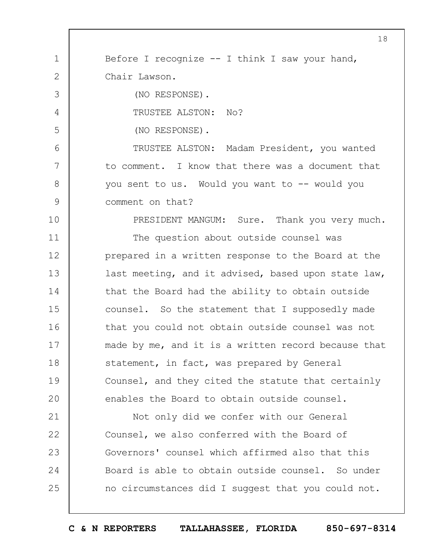1 2 3 4 5 6 7 8 9 Before I recognize  $--$  I think I saw your hand, Chair Lawson. (NO RESPONSE). TRUSTEE ALSTON: No? (NO RESPONSE). TRUSTEE ALSTON: Madam President, you wanted to comment. I know that there was a document that you sent to us. Would you want to -- would you comment on that?

10

PRESIDENT MANGUM: Sure. Thank you very much.

11 12 13 14 15 16 17 18 19  $20$ The question about outside counsel was prepared in a written response to the Board at the last meeting, and it advised, based upon state law, that the Board had the ability to obtain outside counsel. So the statement that I supposedly made that you could not obtain outside counsel was not made by me, and it is a written record because that statement, in fact, was prepared by General Counsel, and they cited the statute that certainly enables the Board to obtain outside counsel.

21 22 23 24 25 Not only did we confer with our General Counsel, we also conferred with the Board of Governors' counsel which affirmed also that this Board is able to obtain outside counsel. So under no circumstances did I suggest that you could not.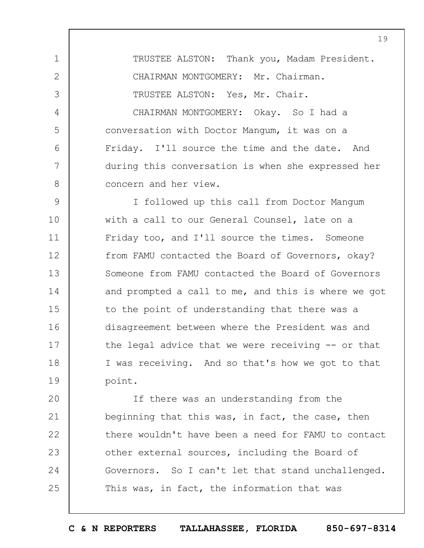1 2 3 4 5 6 7 8 TRUSTEE ALSTON: Thank you, Madam President. CHAIRMAN MONTGOMERY: Mr. Chairman. TRUSTEE ALSTON: Yes, Mr. Chair. CHAIRMAN MONTGOMERY: Okay. So I had a conversation with Doctor Mangum, it was on a Friday. I'll source the time and the date. And during this conversation is when she expressed her concern and her view.

9 10 11 12 13 14 15 16 17 18 19 I followed up this call from Doctor Mangum with a call to our General Counsel, late on a Friday too, and I'll source the times. Someone from FAMU contacted the Board of Governors, okay? Someone from FAMU contacted the Board of Governors and prompted a call to me, and this is where we got to the point of understanding that there was a disagreement between where the President was and the legal advice that we were receiving -- or that I was receiving. And so that's how we got to that point.

 $20$ 21 22 23 24 25 If there was an understanding from the beginning that this was, in fact, the case, then there wouldn't have been a need for FAMU to contact other external sources, including the Board of Governors. So I can't let that stand unchallenged. This was, in fact, the information that was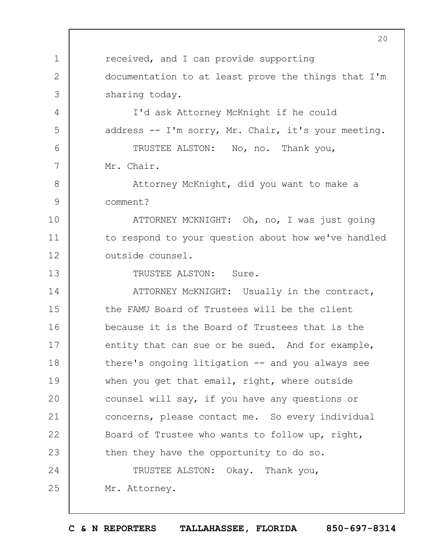1 2 3 4 5 6 7 8 9 10 11 12 13 14 15 16 17 18 19  $20$ 21 22 23 24 25  $20$ received, and I can provide supporting documentation to at least prove the things that I'm sharing today. I'd ask Attorney McKnight if he could address -- I'm sorry, Mr. Chair, it's your meeting. TRUSTEE ALSTON: No, no. Thank you, Mr. Chair. Attorney McKnight, did you want to make a comment? ATTORNEY MCKNIGHT: Oh, no, I was just going to respond to your question about how we've handled outside counsel. TRUSTEE ALSTON: Sure. ATTORNEY McKNIGHT: Usually in the contract, the FAMU Board of Trustees will be the client because it is the Board of Trustees that is the entity that can sue or be sued. And for example, there's ongoing litigation -- and you always see when you get that email, right, where outside counsel will say, if you have any questions or concerns, please contact me. So every individual Board of Trustee who wants to follow up, right, then they have the opportunity to do so. TRUSTEE ALSTON: Okay. Thank you, Mr. Attorney.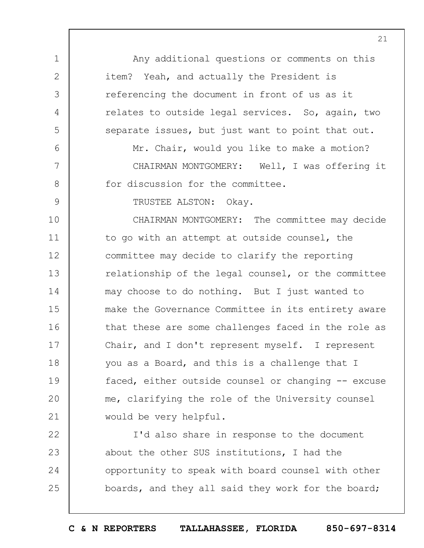1 2 3 4 5 6 7 8 9 10 11 12 13 14 15 16 17 18 19  $20$ 21 Any additional questions or comments on this item? Yeah, and actually the President is referencing the document in front of us as it relates to outside legal services. So, again, two separate issues, but just want to point that out. Mr. Chair, would you like to make a motion? CHAIRMAN MONTGOMERY: Well, I was offering it for discussion for the committee. TRUSTEE ALSTON: Okay. CHAIRMAN MONTGOMERY: The committee may decide to go with an attempt at outside counsel, the committee may decide to clarify the reporting relationship of the legal counsel, or the committee may choose to do nothing. But I just wanted to make the Governance Committee in its entirety aware that these are some challenges faced in the role as Chair, and I don't represent myself. I represent you as a Board, and this is a challenge that I faced, either outside counsel or changing -- excuse me, clarifying the role of the University counsel would be very helpful.

22 23 24 25 I'd also share in response to the document about the other SUS institutions, I had the opportunity to speak with board counsel with other boards, and they all said they work for the board;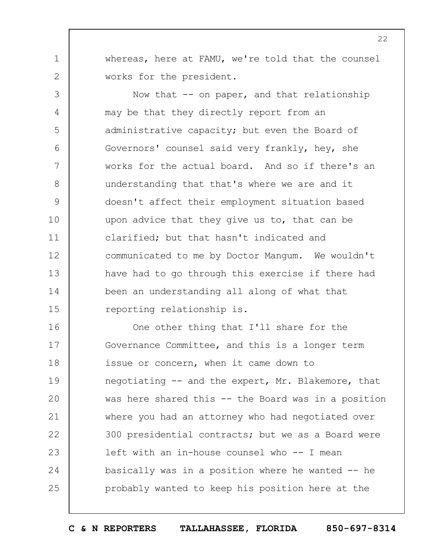whereas, here at FAMU, we're told that the counsel works for the president.

1

2

3 4 5 6 7 8 9 10 11 12 13 14 15 Now that  $-$  on paper, and that relationship may be that they directly report from an administrative capacity; but even the Board of Governors' counsel said very frankly, hey, she works for the actual board. And so if there's an understanding that that's where we are and it doesn't affect their employment situation based upon advice that they give us to, that can be clarified; but that hasn't indicated and communicated to me by Doctor Mangum. We wouldn't have had to go through this exercise if there had been an understanding all along of what that reporting relationship is.

16 17 18 19  $20$ 21 22 23 24 25 One other thing that I'll share for the Governance Committee, and this is a longer term issue or concern, when it came down to negotiating -- and the expert, Mr. Blakemore, that was here shared this -- the Board was in a position where you had an attorney who had negotiated over 300 presidential contracts; but we as a Board were left with an in-house counsel who -- I mean basically was in a position where he wanted -- he probably wanted to keep his position here at the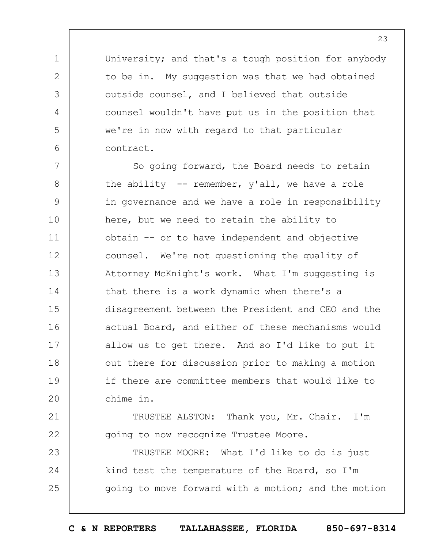University; and that's a tough position for anybody to be in. My suggestion was that we had obtained outside counsel, and I believed that outside counsel wouldn't have put us in the position that we're in now with regard to that particular contract.

1

2

3

4

5

6

7 8 9 10 11 12 13 14 15 16 17 18 19  $20$ So going forward, the Board needs to retain the ability -- remember, y'all, we have a role in governance and we have a role in responsibility here, but we need to retain the ability to obtain -- or to have independent and objective counsel. We're not questioning the quality of Attorney McKnight's work. What I'm suggesting is that there is a work dynamic when there's a disagreement between the President and CEO and the actual Board, and either of these mechanisms would allow us to get there. And so I'd like to put it out there for discussion prior to making a motion if there are committee members that would like to chime in.

21 22 TRUSTEE ALSTON: Thank you, Mr. Chair. I'm going to now recognize Trustee Moore.

23 24 25 TRUSTEE MOORE: What I'd like to do is just kind test the temperature of the Board, so I'm going to move forward with a motion; and the motion

23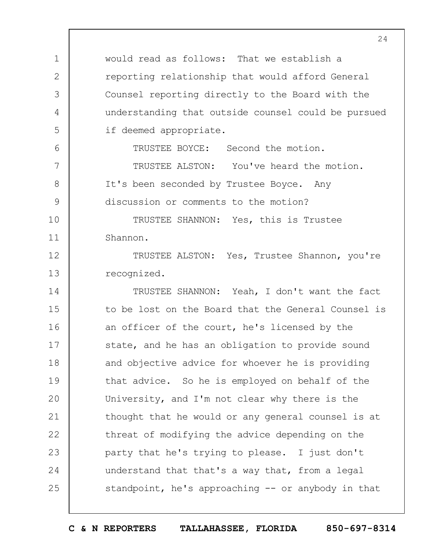would read as follows: That we establish a reporting relationship that would afford General Counsel reporting directly to the Board with the understanding that outside counsel could be pursued if deemed appropriate.

TRUSTEE BOYCE: Second the motion.

TRUSTEE ALSTON: You've heard the motion. It's been seconded by Trustee Boyce. Any discussion or comments to the motion?

10 11 TRUSTEE SHANNON: Yes, this is Trustee Shannon.

1

2

3

4

5

6

7

8

9

12 13 TRUSTEE ALSTON: Yes, Trustee Shannon, you're recognized.

14 15 16 17 18 19  $20$ 21 22 23 24 25 TRUSTEE SHANNON: Yeah, I don't want the fact to be lost on the Board that the General Counsel is an officer of the court, he's licensed by the state, and he has an obligation to provide sound and objective advice for whoever he is providing that advice. So he is employed on behalf of the University, and I'm not clear why there is the thought that he would or any general counsel is at threat of modifying the advice depending on the party that he's trying to please. I just don't understand that that's a way that, from a legal standpoint, he's approaching -- or anybody in that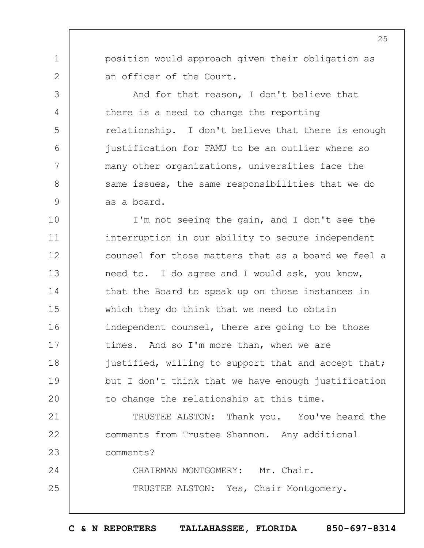position would approach given their obligation as an officer of the Court.

1

2

3

4

5

6

7

8

9

And for that reason, I don't believe that there is a need to change the reporting relationship. I don't believe that there is enough justification for FAMU to be an outlier where so many other organizations, universities face the same issues, the same responsibilities that we do as a board.

10 11 12 13 14 15 16 17 18 19  $20$ I'm not seeing the gain, and I don't see the interruption in our ability to secure independent counsel for those matters that as a board we feel a need to. I do agree and I would ask, you know, that the Board to speak up on those instances in which they do think that we need to obtain independent counsel, there are going to be those times. And so I'm more than, when we are justified, willing to support that and accept that; but I don't think that we have enough justification to change the relationship at this time.

21 22 23 24 25 TRUSTEE ALSTON: Thank you. You've heard the comments from Trustee Shannon. Any additional comments? CHAIRMAN MONTGOMERY: Mr. Chair.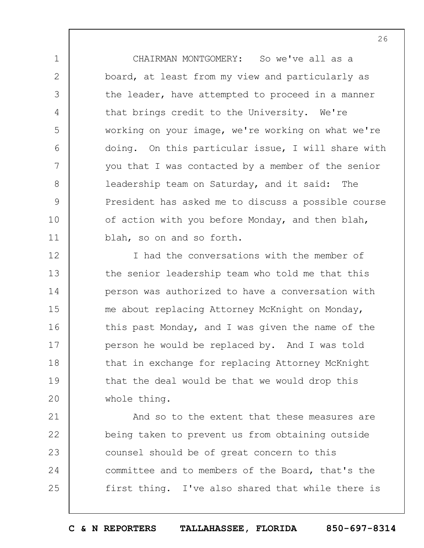CHAIRMAN MONTGOMERY: So we've all as a board, at least from my view and particularly as the leader, have attempted to proceed in a manner that brings credit to the University. We're working on your image, we're working on what we're doing. On this particular issue, I will share with you that I was contacted by a member of the senior leadership team on Saturday, and it said: The President has asked me to discuss a possible course of action with you before Monday, and then blah, blah, so on and so forth.

1

2

3

4

5

6

7

8

9

10

11

12 13 14 15 16 17 18 19  $20$ I had the conversations with the member of the senior leadership team who told me that this person was authorized to have a conversation with me about replacing Attorney McKnight on Monday, this past Monday, and I was given the name of the person he would be replaced by. And I was told that in exchange for replacing Attorney McKnight that the deal would be that we would drop this whole thing.

21 22 23 24 25 And so to the extent that these measures are being taken to prevent us from obtaining outside counsel should be of great concern to this committee and to members of the Board, that's the first thing. I've also shared that while there is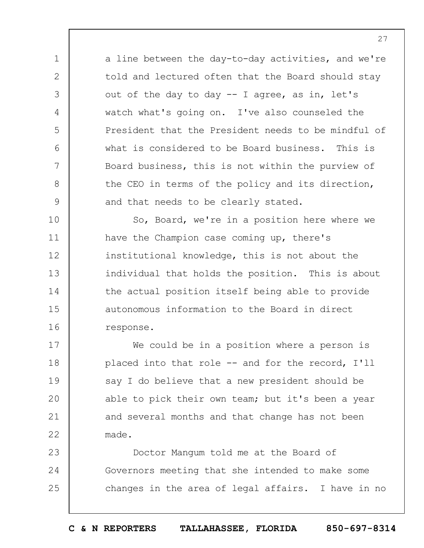a line between the day-to-day activities, and we're told and lectured often that the Board should stay out of the day to day -- I agree, as in, let's watch what's going on. I've also counseled the President that the President needs to be mindful of what is considered to be Board business. This is Board business, this is not within the purview of the CEO in terms of the policy and its direction, and that needs to be clearly stated.

1

2

3

4

5

6

7

8

9

10 11 12 13 14 15 16 So, Board, we're in a position here where we have the Champion case coming up, there's institutional knowledge, this is not about the individual that holds the position. This is about the actual position itself being able to provide autonomous information to the Board in direct response.

17 18 19  $20$ 21 22 We could be in a position where a person is placed into that role -- and for the record, I'll say I do believe that a new president should be able to pick their own team; but it's been a year and several months and that change has not been made.

23 24 25 Doctor Mangum told me at the Board of Governors meeting that she intended to make some changes in the area of legal affairs. I have in no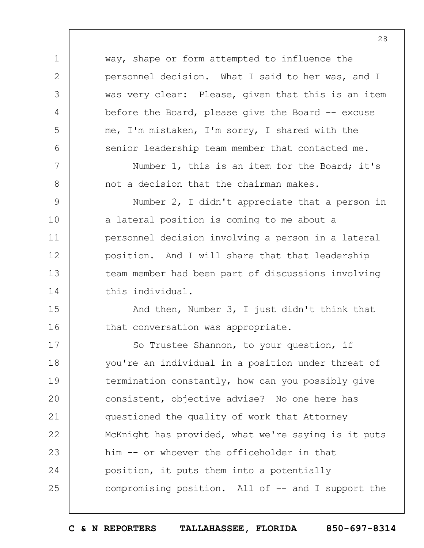1 2 3 4 5 6 7 8 9 10 11 12 13 14 15 16 17 18 19  $20$ 21 22 23 24 25 way, shape or form attempted to influence the personnel decision. What I said to her was, and I was very clear: Please, given that this is an item before the Board, please give the Board  $-$  excuse me, I'm mistaken, I'm sorry, I shared with the senior leadership team member that contacted me. Number 1, this is an item for the Board; it's not a decision that the chairman makes. Number 2, I didn't appreciate that a person in a lateral position is coming to me about a personnel decision involving a person in a lateral position. And I will share that that leadership team member had been part of discussions involving this individual. And then, Number 3, I just didn't think that that conversation was appropriate. So Trustee Shannon, to your question, if you're an individual in a position under threat of termination constantly, how can you possibly give consistent, objective advise? No one here has questioned the quality of work that Attorney McKnight has provided, what we're saying is it puts him -- or whoever the officeholder in that position, it puts them into a potentially compromising position. All of -- and I support the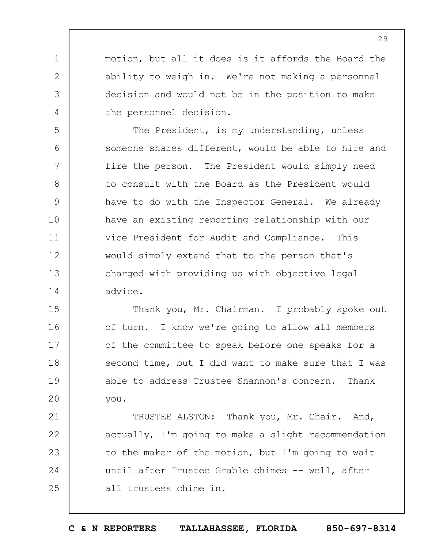motion, but all it does is it affords the Board the ability to weigh in. We're not making a personnel decision and would not be in the position to make the personnel decision.

1

2

3

4

5

6

7

8

9

10

11

12

13

14

The President, is my understanding, unless someone shares different, would be able to hire and fire the person. The President would simply need to consult with the Board as the President would have to do with the Inspector General. We already have an existing reporting relationship with our Vice President for Audit and Compliance. This would simply extend that to the person that's charged with providing us with objective legal advice.

15 16 17 18 19  $20$ Thank you, Mr. Chairman. I probably spoke out of turn. I know we're going to allow all members of the committee to speak before one speaks for a second time, but I did want to make sure that I was able to address Trustee Shannon's concern. Thank you.

21 22 23 24 25 TRUSTEE ALSTON: Thank you, Mr. Chair. And, actually, I'm going to make a slight recommendation to the maker of the motion, but I'm going to wait until after Trustee Grable chimes -- well, after all trustees chime in.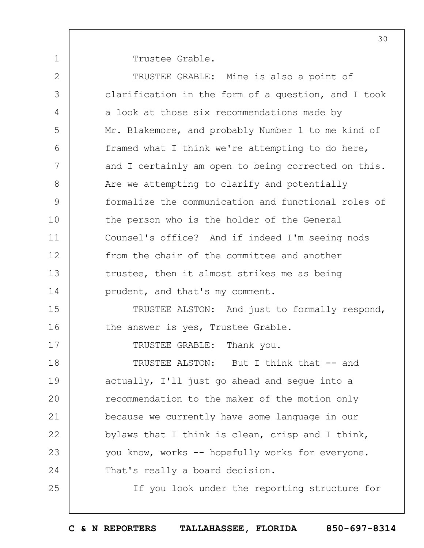Trustee Grable.

1

| $\mathbf{2}$ | TRUSTEE GRABLE: Mine is also a point of             |
|--------------|-----------------------------------------------------|
| 3            | clarification in the form of a question, and I took |
| 4            | a look at those six recommendations made by         |
| 5            | Mr. Blakemore, and probably Number 1 to me kind of  |
| 6            | framed what I think we're attempting to do here,    |
| 7            | and I certainly am open to being corrected on this. |
| 8            | Are we attempting to clarify and potentially        |
| 9            | formalize the communication and functional roles of |
| 10           | the person who is the holder of the General         |
| 11           | Counsel's office? And if indeed I'm seeing nods     |
| 12           | from the chair of the committee and another         |
| 13           | trustee, then it almost strikes me as being         |
| 14           | prudent, and that's my comment.                     |
| 15           | TRUSTEE ALSTON: And just to formally respond,       |
| 16           | the answer is yes, Trustee Grable.                  |
| 17           | TRUSTEE GRABLE: Thank you.                          |
| 18           | TRUSTEE ALSTON: But I think that -- and             |
| 19           | actually, I'll just go ahead and segue into a       |
| 20           | recommendation to the maker of the motion only      |
| 21           | because we currently have some language in our      |
| 22           | bylaws that I think is clean, crisp and I think,    |
| 23           | you know, works -- hopefully works for everyone.    |
| 24           | That's really a board decision.                     |
| 25           | If you look under the reporting structure for       |
|              |                                                     |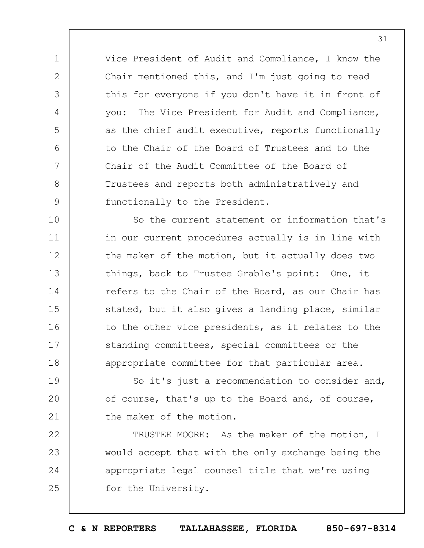Vice President of Audit and Compliance, I know the Chair mentioned this, and I'm just going to read this for everyone if you don't have it in front of you: The Vice President for Audit and Compliance, as the chief audit executive, reports functionally to the Chair of the Board of Trustees and to the Chair of the Audit Committee of the Board of Trustees and reports both administratively and functionally to the President.

1

2

3

4

5

6

7

8

9

10 11 12 13 14 15 16 17 18 So the current statement or information that's in our current procedures actually is in line with the maker of the motion, but it actually does two things, back to Trustee Grable's point: One, it refers to the Chair of the Board, as our Chair has stated, but it also gives a landing place, similar to the other vice presidents, as it relates to the standing committees, special committees or the appropriate committee for that particular area.

19  $20$ 21 So it's just a recommendation to consider and, of course, that's up to the Board and, of course, the maker of the motion.

22 23 24 25 TRUSTEE MOORE: As the maker of the motion, I would accept that with the only exchange being the appropriate legal counsel title that we're using for the University.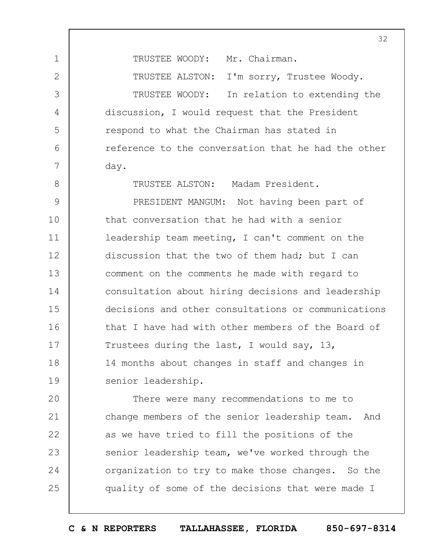TRUSTEE WOODY: Mr. Chairman.

1

2

3

4

5

6

7

8

TRUSTEE ALSTON: I'm sorry, Trustee Woody.

TRUSTEE WOODY: In relation to extending the discussion, I would request that the President respond to what the Chairman has stated in reference to the conversation that he had the other day.

TRUSTEE ALSTON: Madam President.

9 10 11 12 13 14 15 16 17 18 19 PRESIDENT MANGUM: Not having been part of that conversation that he had with a senior leadership team meeting, I can't comment on the discussion that the two of them had; but I can comment on the comments he made with regard to consultation about hiring decisions and leadership decisions and other consultations or communications that I have had with other members of the Board of Trustees during the last, I would say, 13, 14 months about changes in staff and changes in senior leadership.

 $20$ 21 22 23 24 25 There were many recommendations to me to change members of the senior leadership team. And as we have tried to fill the positions of the senior leadership team, we've worked through the organization to try to make those changes. So the quality of some of the decisions that were made I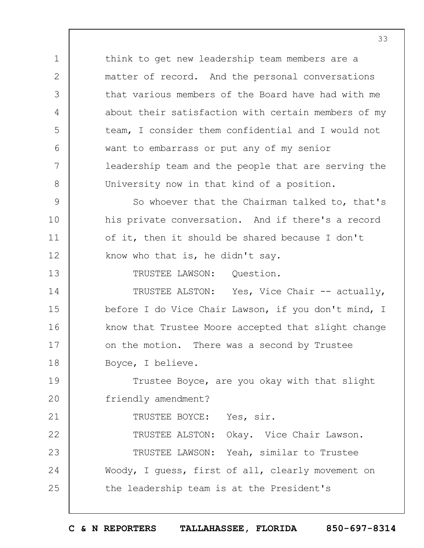1 2 3 4 5 6 7 8 9 10 11 12 13 14 15 16 17 18 19  $20$ 21 22 23 24 25 think to get new leadership team members are a matter of record. And the personal conversations that various members of the Board have had with me about their satisfaction with certain members of my team, I consider them confidential and I would not want to embarrass or put any of my senior leadership team and the people that are serving the University now in that kind of a position. So whoever that the Chairman talked to, that's his private conversation. And if there's a record of it, then it should be shared because I don't know who that is, he didn't say. TRUSTEE LAWSON: Question. TRUSTEE ALSTON: Yes, Vice Chair -- actually, before I do Vice Chair Lawson, if you don't mind, I know that Trustee Moore accepted that slight change on the motion. There was a second by Trustee Boyce, I believe. Trustee Boyce, are you okay with that slight friendly amendment? TRUSTEE BOYCE: Yes, sir. TRUSTEE ALSTON: Okay. Vice Chair Lawson. TRUSTEE LAWSON: Yeah, similar to Trustee Woody, I guess, first of all, clearly movement on the leadership team is at the President's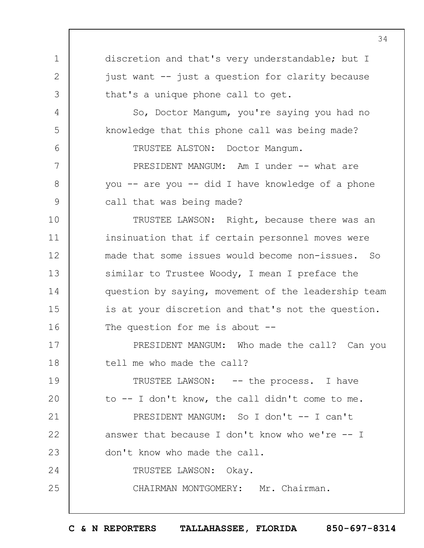1 2 3 4 5 6 7 8 9 10 11 12 13 14 15 16 17 18 19  $20$ 21 22 23 24 25 34 discretion and that's very understandable; but I just want -- just a question for clarity because that's a unique phone call to get. So, Doctor Mangum, you're saying you had no knowledge that this phone call was being made? TRUSTEE ALSTON: Doctor Mangum. PRESIDENT MANGUM: Am I under -- what are you -- are you -- did I have knowledge of a phone call that was being made? TRUSTEE LAWSON: Right, because there was an insinuation that if certain personnel moves were made that some issues would become non-issues. So similar to Trustee Woody, I mean I preface the question by saying, movement of the leadership team is at your discretion and that's not the question. The question for me is about --PRESIDENT MANGUM: Who made the call? Can you tell me who made the call? TRUSTEE LAWSON: -- the process. I have to -- I don't know, the call didn't come to me. PRESIDENT MANGUM: So I don't -- I can't answer that because I don't know who we're  $-$ - I don't know who made the call. TRUSTEE LAWSON: Okay. CHAIRMAN MONTGOMERY: Mr. Chairman.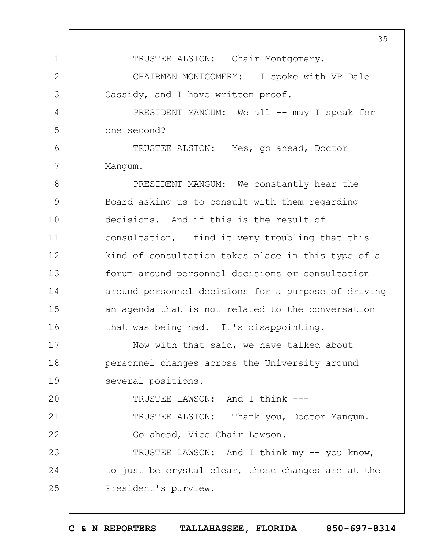1 2 3 4 5 6 7 8 9 10 11 12 13 14 15 16 17 18 19  $20$ 21 22 23 24 25 35 TRUSTEE ALSTON: Chair Montgomery. CHAIRMAN MONTGOMERY: I spoke with VP Dale Cassidy, and I have written proof. PRESIDENT MANGUM: We all -- may I speak for one second? TRUSTEE ALSTON: Yes, go ahead, Doctor Mangum. PRESIDENT MANGUM: We constantly hear the Board asking us to consult with them regarding decisions. And if this is the result of consultation, I find it very troubling that this kind of consultation takes place in this type of a forum around personnel decisions or consultation around personnel decisions for a purpose of driving an agenda that is not related to the conversation that was being had. It's disappointing. Now with that said, we have talked about personnel changes across the University around several positions. TRUSTEE LAWSON: And I think --- TRUSTEE ALSTON: Thank you, Doctor Mangum. Go ahead, Vice Chair Lawson. TRUSTEE LAWSON: And I think my -- you know, to just be crystal clear, those changes are at the President's purview.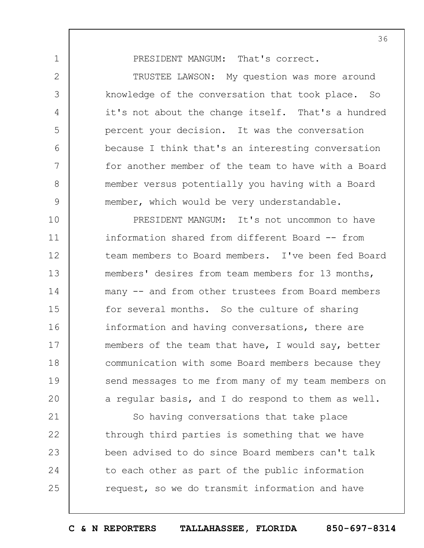PRESIDENT MANGUM: That's correct.

1

2

3

4

5

6

7

8

9

TRUSTEE LAWSON: My question was more around knowledge of the conversation that took place. So it's not about the change itself. That's a hundred percent your decision. It was the conversation because I think that's an interesting conversation for another member of the team to have with a Board member versus potentially you having with a Board member, which would be very understandable.

10 11 12 13 14 15 16 17 18 19  $20$ PRESIDENT MANGUM: It's not uncommon to have information shared from different Board -- from team members to Board members. I've been fed Board members' desires from team members for 13 months, many -- and from other trustees from Board members for several months. So the culture of sharing information and having conversations, there are members of the team that have, I would say, better communication with some Board members because they send messages to me from many of my team members on a regular basis, and I do respond to them as well.

21 22 23 24 25 So having conversations that take place through third parties is something that we have been advised to do since Board members can't talk to each other as part of the public information request, so we do transmit information and have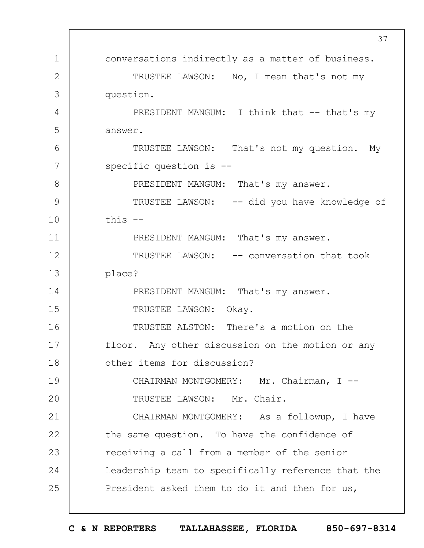|              | 37                                                 |
|--------------|----------------------------------------------------|
| 1            | conversations indirectly as a matter of business.  |
| $\mathbf{2}$ | TRUSTEE LAWSON: No, I mean that's not my           |
| 3            | question.                                          |
| 4            | PRESIDENT MANGUM: I think that -- that's my        |
| 5            | answer.                                            |
| 6            | TRUSTEE LAWSON: That's not my question. My         |
| 7            | specific question is $-$ -                         |
| 8            | PRESIDENT MANGUM: That's my answer.                |
| 9            | TRUSTEE LAWSON: -- did you have knowledge of       |
| 10           | this $--$                                          |
| 11           | PRESIDENT MANGUM: That's my answer.                |
| 12           | TRUSTEE LAWSON: -- conversation that took          |
| 13           | place?                                             |
| 14           | PRESIDENT MANGUM: That's my answer.                |
| 15           | TRUSTEE LAWSON: Okay.                              |
| 16           | TRUSTEE ALSTON: There's a motion on the            |
| 17           | floor. Any other discussion on the motion or any   |
| 18           | other items for discussion?                        |
| 19           | CHAIRMAN MONTGOMERY: Mr. Chairman, I --            |
| 20           | TRUSTEE LAWSON: Mr. Chair.                         |
| 21           | CHAIRMAN MONTGOMERY: As a followup, I have         |
| 22           | the same question. To have the confidence of       |
| 23           | receiving a call from a member of the senior       |
| 24           | leadership team to specifically reference that the |
| 25           | President asked them to do it and then for us,     |
|              |                                                    |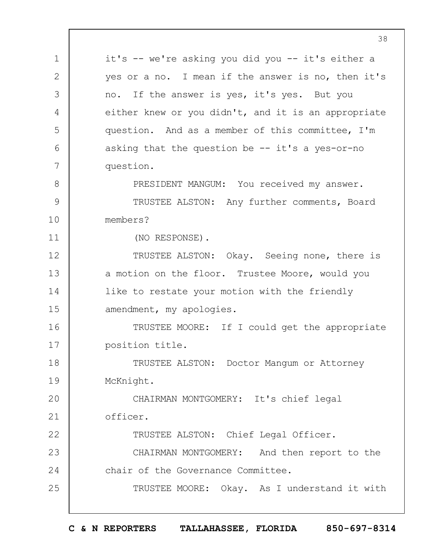1 2 3 4 5 6 7 8 9 10 11 12 13 14 15 16 17 18 19  $20$ 21 22 23 24 25 it's -- we're asking you did you -- it's either a yes or a no. I mean if the answer is no, then it's no. If the answer is yes, it's yes. But you either knew or you didn't, and it is an appropriate question. And as a member of this committee, I'm asking that the question be  $-$  it's a yes-or-no question. PRESIDENT MANGUM: You received my answer. TRUSTEE ALSTON: Any further comments, Board members? (NO RESPONSE). TRUSTEE ALSTON: Okay. Seeing none, there is a motion on the floor. Trustee Moore, would you like to restate your motion with the friendly amendment, my apologies. TRUSTEE MOORE: If I could get the appropriate position title. TRUSTEE ALSTON: Doctor Mangum or Attorney McKnight. CHAIRMAN MONTGOMERY: It's chief legal officer. TRUSTEE ALSTON: Chief Legal Officer. CHAIRMAN MONTGOMERY: And then report to the chair of the Governance Committee. TRUSTEE MOORE: Okay. As I understand it with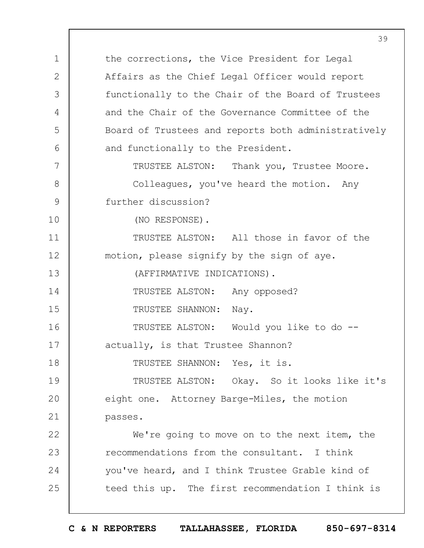1 2 3 4 5 6 7 8 9 10 11 12 13 14 15 16 17 18 19  $20$ 21 22 23 24 25 the corrections, the Vice President for Legal Affairs as the Chief Legal Officer would report functionally to the Chair of the Board of Trustees and the Chair of the Governance Committee of the Board of Trustees and reports both administratively and functionally to the President. TRUSTEE ALSTON: Thank you, Trustee Moore. Colleagues, you've heard the motion. Any further discussion? (NO RESPONSE). TRUSTEE ALSTON: All those in favor of the motion, please signify by the sign of aye. (AFFIRMATIVE INDICATIONS). TRUSTEE ALSTON: Any opposed? TRUSTEE SHANNON: Nay. TRUSTEE ALSTON: Would you like to do - actually, is that Trustee Shannon? TRUSTEE SHANNON: Yes, it is. TRUSTEE ALSTON: Okay. So it looks like it's eight one. Attorney Barge-Miles, the motion passes. We're going to move on to the next item, the recommendations from the consultant. I think you've heard, and I think Trustee Grable kind of teed this up. The first recommendation I think is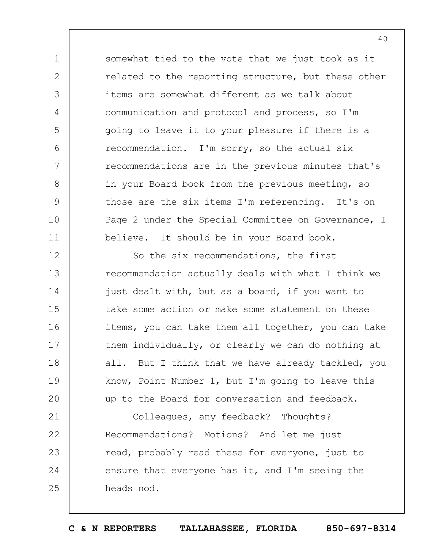somewhat tied to the vote that we just took as it related to the reporting structure, but these other items are somewhat different as we talk about communication and protocol and process, so I'm going to leave it to your pleasure if there is a recommendation. I'm sorry, so the actual six recommendations are in the previous minutes that's in your Board book from the previous meeting, so those are the six items I'm referencing. It's on Page 2 under the Special Committee on Governance, I believe. It should be in your Board book.

1

2

3

4

5

 $6\overline{6}$ 

7

8

9

10

11

12 13 14 15 16 17 18 19  $20$ So the six recommendations, the first recommendation actually deals with what I think we just dealt with, but as a board, if you want to take some action or make some statement on these items, you can take them all together, you can take them individually, or clearly we can do nothing at all. But I think that we have already tackled, you know, Point Number 1, but I'm going to leave this up to the Board for conversation and feedback.

21 22 23 24 25 Colleagues, any feedback? Thoughts? Recommendations? Motions? And let me just read, probably read these for everyone, just to ensure that everyone has it, and I'm seeing the heads nod.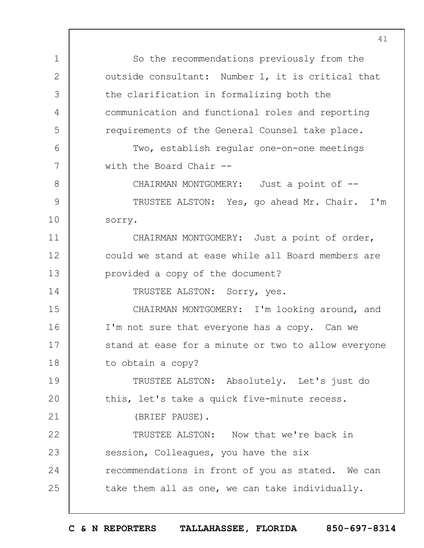1 2 3 4 5 6 7 8 9 10 11 12 13 14 15 16 17 18 19  $20$ 21 22 23 24 25 So the recommendations previously from the outside consultant: Number 1, it is critical that the clarification in formalizing both the communication and functional roles and reporting requirements of the General Counsel take place. Two, establish regular one-on-one meetings with the Board Chair -- CHAIRMAN MONTGOMERY: Just a point of --TRUSTEE ALSTON: Yes, go ahead Mr. Chair. I'm sorry. CHAIRMAN MONTGOMERY: Just a point of order, could we stand at ease while all Board members are provided a copy of the document? TRUSTEE ALSTON: Sorry, yes. CHAIRMAN MONTGOMERY: I'm looking around, and I'm not sure that everyone has a copy. Can we stand at ease for a minute or two to allow everyone to obtain a copy? TRUSTEE ALSTON: Absolutely. Let's just do this, let's take a quick five-minute recess. (BRIEF PAUSE). TRUSTEE ALSTON: Now that we're back in session, Colleagues, you have the six recommendations in front of you as stated. We can take them all as one, we can take individually.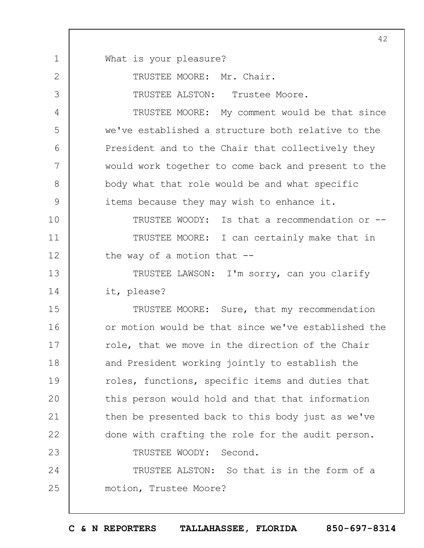1 2 3 4 5 6 7 8 9 10 11 12 13 14 15 16 17 18 19  $20$ 21 22 23 24 25 42 What is your pleasure? TRUSTEE MOORE: Mr. Chair. TRUSTEE ALSTON: Trustee Moore. TRUSTEE MOORE: My comment would be that since we've established a structure both relative to the President and to the Chair that collectively they would work together to come back and present to the body what that role would be and what specific items because they may wish to enhance it. TRUSTEE WOODY: Is that a recommendation or -- TRUSTEE MOORE: I can certainly make that in the way of a motion that  $-$ -TRUSTEE LAWSON: I'm sorry, can you clarify it, please? TRUSTEE MOORE: Sure, that my recommendation or motion would be that since we've established the role, that we move in the direction of the Chair and President working jointly to establish the roles, functions, specific items and duties that this person would hold and that that information then be presented back to this body just as we've done with crafting the role for the audit person. TRUSTEE WOODY: Second. TRUSTEE ALSTON: So that is in the form of a motion, Trustee Moore?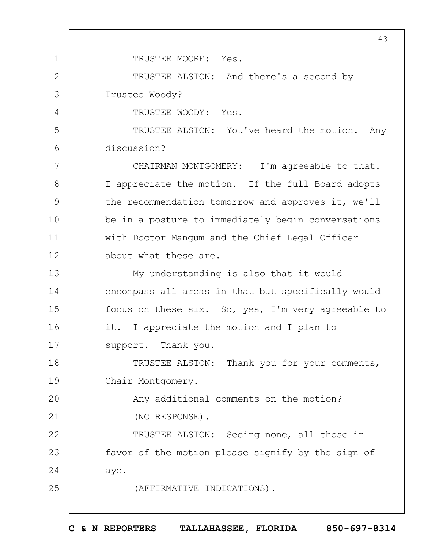1 2 3 4 5 6 7 8 9 10 11 12 13 14 15 16 17 18 19  $20$ 21 22 23 24 25 43 TRUSTEE MOORE: Yes. TRUSTEE ALSTON: And there's a second by Trustee Woody? TRUSTEE WOODY: Yes. TRUSTEE ALSTON: You've heard the motion. Any discussion? CHAIRMAN MONTGOMERY: I'm agreeable to that. I appreciate the motion. If the full Board adopts the recommendation tomorrow and approves it, we'll be in a posture to immediately begin conversations with Doctor Mangum and the Chief Legal Officer about what these are. My understanding is also that it would encompass all areas in that but specifically would focus on these six. So, yes, I'm very agreeable to it. I appreciate the motion and I plan to support. Thank you. TRUSTEE ALSTON: Thank you for your comments, Chair Montgomery. Any additional comments on the motion? (NO RESPONSE). TRUSTEE ALSTON: Seeing none, all those in favor of the motion please signify by the sign of aye. (AFFIRMATIVE INDICATIONS).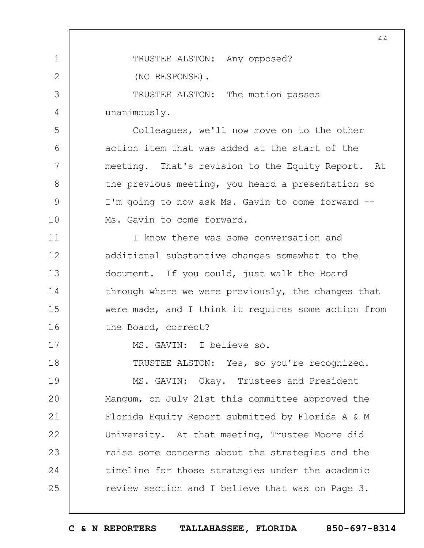1 2 3 4 5 6 7 8 9 10 11 12 13 14 15 16 17 18 19  $20$ 21 22 23 24 25 44 TRUSTEE ALSTON: Any opposed? (NO RESPONSE). TRUSTEE ALSTON: The motion passes unanimously. Colleagues, we'll now move on to the other action item that was added at the start of the meeting. That's revision to the Equity Report. At the previous meeting, you heard a presentation so I'm going to now ask Ms. Gavin to come forward -- Ms. Gavin to come forward. I know there was some conversation and additional substantive changes somewhat to the document. If you could, just walk the Board through where we were previously, the changes that were made, and I think it requires some action from the Board, correct? MS. GAVIN: I believe so. TRUSTEE ALSTON: Yes, so you're recognized. MS. GAVIN: Okay. Trustees and President Mangum, on July 21st this committee approved the Florida Equity Report submitted by Florida A & M University. At that meeting, Trustee Moore did raise some concerns about the strategies and the timeline for those strategies under the academic review section and I believe that was on Page 3.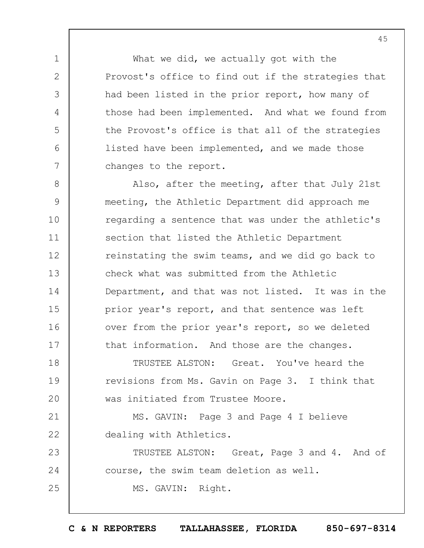What we did, we actually got with the Provost's office to find out if the strategies that had been listed in the prior report, how many of those had been implemented. And what we found from the Provost's office is that all of the strategies listed have been implemented, and we made those changes to the report.

1

2

3

4

5

6

7

8 9 10 11 12 13 14 15 16 17 Also, after the meeting, after that July 21st meeting, the Athletic Department did approach me regarding a sentence that was under the athletic's section that listed the Athletic Department reinstating the swim teams, and we did go back to check what was submitted from the Athletic Department, and that was not listed. It was in the prior year's report, and that sentence was left over from the prior year's report, so we deleted that information. And those are the changes.

18 19  $20$ TRUSTEE ALSTON: Great. You've heard the revisions from Ms. Gavin on Page 3. I think that was initiated from Trustee Moore.

21 22 MS. GAVIN: Page 3 and Page 4 I believe dealing with Athletics.

23 24 25 TRUSTEE ALSTON: Great, Page 3 and 4. And of course, the swim team deletion as well. MS. GAVIN: Right.

45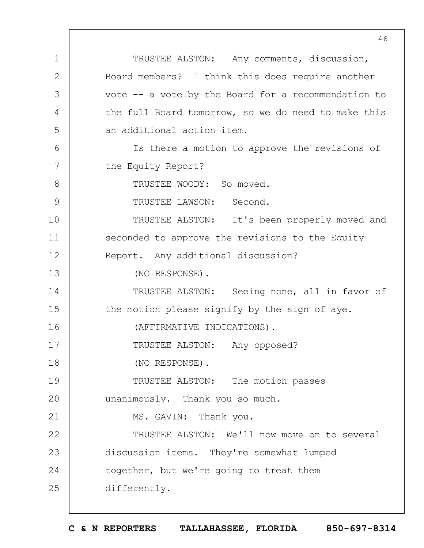1 2 3 4 5 6 7 8 9 10 11 12 13 14 15 16 17 18 19  $20$ 21 22 23 24 25 TRUSTEE ALSTON: Any comments, discussion, Board members? I think this does require another vote -- a vote by the Board for a recommendation to the full Board tomorrow, so we do need to make this an additional action item. Is there a motion to approve the revisions of the Equity Report? TRUSTEE WOODY: So moved. TRUSTEE LAWSON: Second. TRUSTEE ALSTON: It's been properly moved and seconded to approve the revisions to the Equity Report. Any additional discussion? (NO RESPONSE). TRUSTEE ALSTON: Seeing none, all in favor of the motion please signify by the sign of aye. (AFFIRMATIVE INDICATIONS). TRUSTEE ALSTON: Any opposed? (NO RESPONSE). TRUSTEE ALSTON: The motion passes unanimously. Thank you so much. MS. GAVIN: Thank you. TRUSTEE ALSTON: We'll now move on to several discussion items. They're somewhat lumped together, but we're going to treat them differently.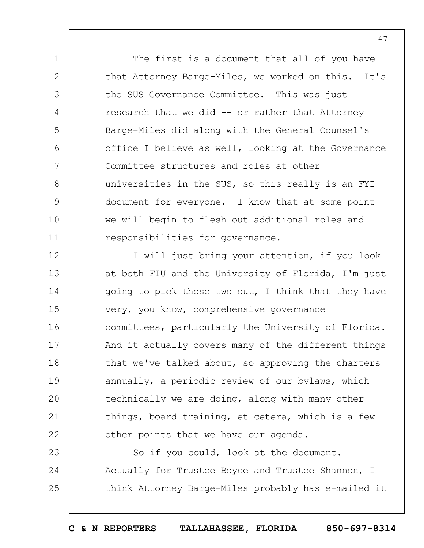The first is a document that all of you have that Attorney Barge-Miles, we worked on this. It's the SUS Governance Committee. This was just research that we did -- or rather that Attorney Barge-Miles did along with the General Counsel's office I believe as well, looking at the Governance Committee structures and roles at other universities in the SUS, so this really is an FYI document for everyone. I know that at some point we will begin to flesh out additional roles and responsibilities for governance.

1

2

3

4

5

6

7

8

9

10

11

12 13 14 15 16 17 18 19  $20$ 21 22 I will just bring your attention, if you look at both FIU and the University of Florida, I'm just going to pick those two out, I think that they have very, you know, comprehensive governance committees, particularly the University of Florida. And it actually covers many of the different things that we've talked about, so approving the charters annually, a periodic review of our bylaws, which technically we are doing, along with many other things, board training, et cetera, which is a few other points that we have our agenda.

23 24 25 So if you could, look at the document. Actually for Trustee Boyce and Trustee Shannon, I think Attorney Barge-Miles probably has e-mailed it

**C & N REPORTERS TALLAHASSEE, FLORIDA 850-697-8314**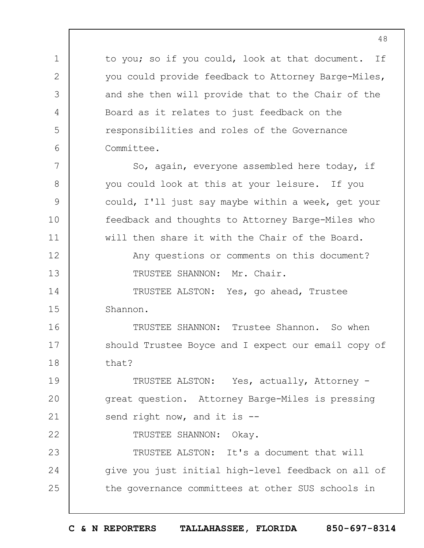to you; so if you could, look at that document. If you could provide feedback to Attorney Barge-Miles, and she then will provide that to the Chair of the Board as it relates to just feedback on the responsibilities and roles of the Governance Committee.

7 8 9 10 11 12 13 14 15 16 17 18 19  $20$ So, again, everyone assembled here today, if you could look at this at your leisure. If you could, I'll just say maybe within a week, get your feedback and thoughts to Attorney Barge-Miles who will then share it with the Chair of the Board. Any questions or comments on this document? TRUSTEE SHANNON: Mr. Chair. TRUSTEE ALSTON: Yes, go ahead, Trustee Shannon. TRUSTEE SHANNON: Trustee Shannon. So when should Trustee Boyce and I expect our email copy of that? TRUSTEE ALSTON: Yes, actually, Attorney great question. Attorney Barge-Miles is pressing

21 send right now, and it is --

1

2

3

4

5

6

22

TRUSTEE SHANNON: Okay.

23 24 25 TRUSTEE ALSTON: It's a document that will give you just initial high-level feedback on all of the governance committees at other SUS schools in

**C & N REPORTERS TALLAHASSEE, FLORIDA 850-697-8314**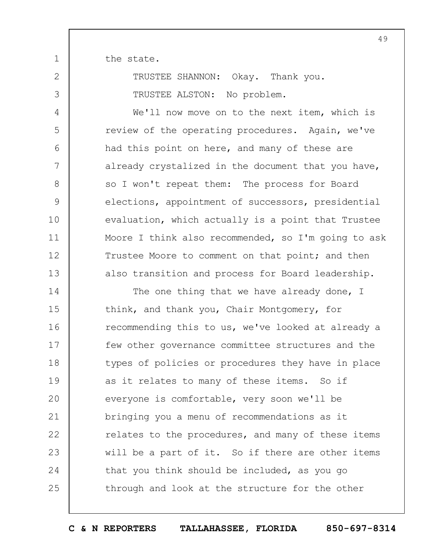the state.

1

2

3

4

5

6

7

8

9

10

11

12

13

TRUSTEE SHANNON: Okay. Thank you. TRUSTEE ALSTON: No problem.

We'll now move on to the next item, which is review of the operating procedures. Again, we've had this point on here, and many of these are already crystalized in the document that you have, so I won't repeat them: The process for Board elections, appointment of successors, presidential evaluation, which actually is a point that Trustee Moore I think also recommended, so I'm going to ask Trustee Moore to comment on that point; and then also transition and process for Board leadership.

14 15 16 17 18 19  $20$ 21 22 23 24 25 The one thing that we have already done, I think, and thank you, Chair Montgomery, for recommending this to us, we've looked at already a few other governance committee structures and the types of policies or procedures they have in place as it relates to many of these items. So if everyone is comfortable, very soon we'll be bringing you a menu of recommendations as it relates to the procedures, and many of these items will be a part of it. So if there are other items that you think should be included, as you go through and look at the structure for the other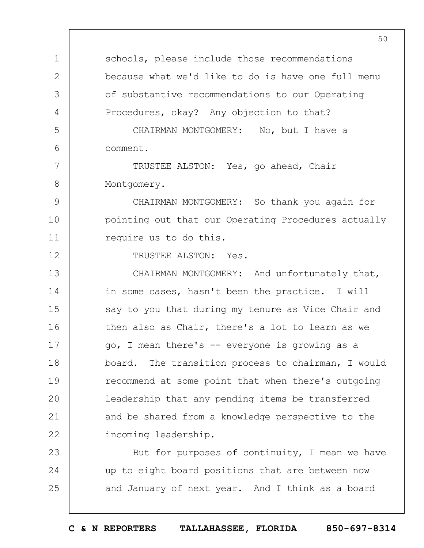1 2 3 4 5 6 7 8 9 10 11 12 13 14 15 16 17 18 19  $20$ 21 22 23 24 25 50 schools, please include those recommendations because what we'd like to do is have one full menu of substantive recommendations to our Operating Procedures, okay? Any objection to that? CHAIRMAN MONTGOMERY: No, but I have a comment. TRUSTEE ALSTON: Yes, go ahead, Chair Montgomery. CHAIRMAN MONTGOMERY: So thank you again for pointing out that our Operating Procedures actually require us to do this. TRUSTEE ALSTON: Yes. CHAIRMAN MONTGOMERY: And unfortunately that, in some cases, hasn't been the practice. I will say to you that during my tenure as Vice Chair and then also as Chair, there's a lot to learn as we go, I mean there's -- everyone is growing as a board. The transition process to chairman, I would recommend at some point that when there's outgoing leadership that any pending items be transferred and be shared from a knowledge perspective to the incoming leadership. But for purposes of continuity, I mean we have up to eight board positions that are between now and January of next year. And I think as a board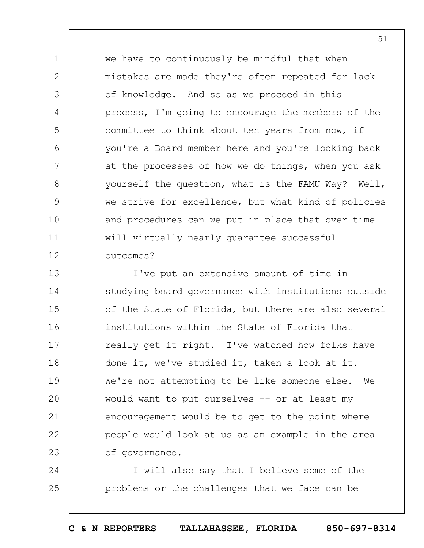we have to continuously be mindful that when mistakes are made they're often repeated for lack of knowledge. And so as we proceed in this process, I'm going to encourage the members of the committee to think about ten years from now, if you're a Board member here and you're looking back at the processes of how we do things, when you ask yourself the question, what is the FAMU Way? Well, we strive for excellence, but what kind of policies and procedures can we put in place that over time will virtually nearly guarantee successful outcomes?

1

2

3

4

5

6

7

8

9

10

11

12

13 14 15 16 17 18 19  $20$ 21 22 23 I've put an extensive amount of time in studying board governance with institutions outside of the State of Florida, but there are also several institutions within the State of Florida that really get it right. I've watched how folks have done it, we've studied it, taken a look at it. We're not attempting to be like someone else. We would want to put ourselves -- or at least my encouragement would be to get to the point where people would look at us as an example in the area of governance.

24 25 I will also say that I believe some of the problems or the challenges that we face can be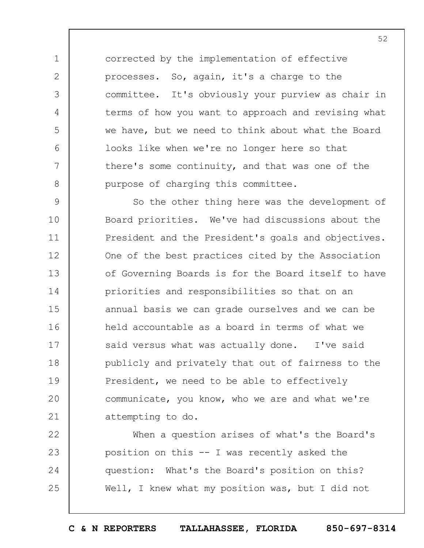corrected by the implementation of effective processes. So, again, it's a charge to the committee. It's obviously your purview as chair in terms of how you want to approach and revising what we have, but we need to think about what the Board looks like when we're no longer here so that there's some continuity, and that was one of the purpose of charging this committee.

1

2

3

4

5

 $6 \overline{6}$ 

7

8

9 10 11 12 13 14 15 16 17 18 19  $20$ 21 So the other thing here was the development of Board priorities. We've had discussions about the President and the President's goals and objectives. One of the best practices cited by the Association of Governing Boards is for the Board itself to have priorities and responsibilities so that on an annual basis we can grade ourselves and we can be held accountable as a board in terms of what we said versus what was actually done. I've said publicly and privately that out of fairness to the President, we need to be able to effectively communicate, you know, who we are and what we're attempting to do.

22 23 24 25 When a question arises of what's the Board's position on this -- I was recently asked the question: What's the Board's position on this? Well, I knew what my position was, but I did not

52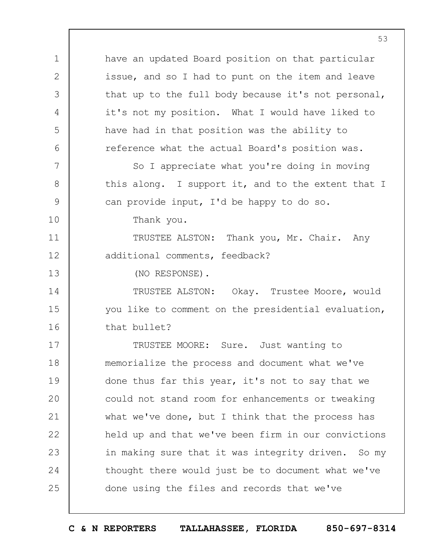have an updated Board position on that particular issue, and so I had to punt on the item and leave that up to the full body because it's not personal, it's not my position. What I would have liked to have had in that position was the ability to reference what the actual Board's position was.

So I appreciate what you're doing in moving this along. I support it, and to the extent that I can provide input, I'd be happy to do so.

Thank you.

TRUSTEE ALSTON: Thank you, Mr. Chair. Any additional comments, feedback?

(NO RESPONSE).

1

2

3

4

5

6

7

8

9

10

11

12

13

14 15 16 TRUSTEE ALSTON: Okay. Trustee Moore, would you like to comment on the presidential evaluation, that bullet?

17 18 19  $20$ 21 22 23 24 25 TRUSTEE MOORE: Sure. Just wanting to memorialize the process and document what we've done thus far this year, it's not to say that we could not stand room for enhancements or tweaking what we've done, but I think that the process has held up and that we've been firm in our convictions in making sure that it was integrity driven. So my thought there would just be to document what we've done using the files and records that we've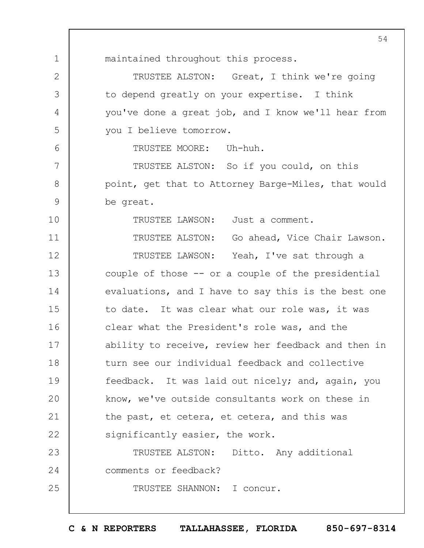1 2 3 4 5 6 7 8 9 10 11 12 13 14 15 16 17 18 19  $20$ 21 22 23 24 25 54 maintained throughout this process. TRUSTEE ALSTON: Great, I think we're going to depend greatly on your expertise. I think you've done a great job, and I know we'll hear from you I believe tomorrow. TRUSTEE MOORE: Uh-huh. TRUSTEE ALSTON: So if you could, on this point, get that to Attorney Barge-Miles, that would be great. TRUSTEE LAWSON: Just a comment. TRUSTEE ALSTON: Go ahead, Vice Chair Lawson. TRUSTEE LAWSON: Yeah, I've sat through a couple of those -- or a couple of the presidential evaluations, and I have to say this is the best one to date. It was clear what our role was, it was clear what the President's role was, and the ability to receive, review her feedback and then in turn see our individual feedback and collective feedback. It was laid out nicely; and, again, you know, we've outside consultants work on these in the past, et cetera, et cetera, and this was significantly easier, the work. TRUSTEE ALSTON: Ditto. Any additional comments or feedback? TRUSTEE SHANNON: I concur.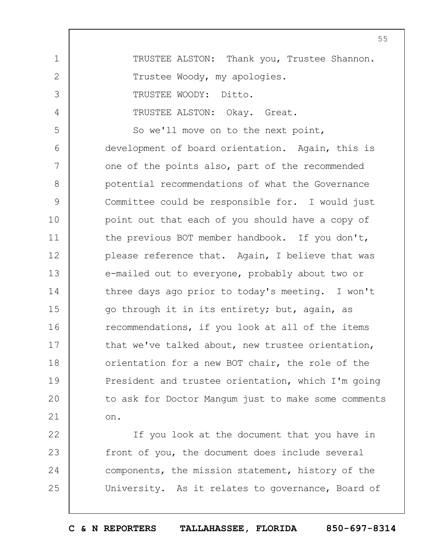1 2 3 4 5 6 7 8 9 10 11 12 13 14 15 16 17 18 19  $20$ 21 TRUSTEE ALSTON: Thank you, Trustee Shannon. Trustee Woody, my apologies. TRUSTEE WOODY: Ditto. TRUSTEE ALSTON: Okay. Great. So we'll move on to the next point, development of board orientation. Again, this is one of the points also, part of the recommended potential recommendations of what the Governance Committee could be responsible for. I would just point out that each of you should have a copy of the previous BOT member handbook. If you don't, please reference that. Again, I believe that was e-mailed out to everyone, probably about two or three days ago prior to today's meeting. I won't go through it in its entirety; but, again, as recommendations, if you look at all of the items that we've talked about, new trustee orientation, orientation for a new BOT chair, the role of the President and trustee orientation, which I'm going to ask for Doctor Mangum just to make some comments on.

22 23 24 25 If you look at the document that you have in front of you, the document does include several components, the mission statement, history of the University. As it relates to governance, Board of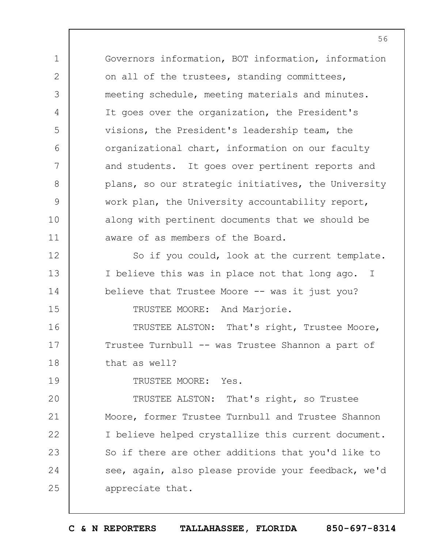Governors information, BOT information, information on all of the trustees, standing committees, meeting schedule, meeting materials and minutes. It goes over the organization, the President's visions, the President's leadership team, the organizational chart, information on our faculty and students. It goes over pertinent reports and plans, so our strategic initiatives, the University work plan, the University accountability report, along with pertinent documents that we should be aware of as members of the Board.

So if you could, look at the current template. I believe this was in place not that long ago. I believe that Trustee Moore -- was it just you? TRUSTEE MOORE: And Marjorie.

16 17 18 TRUSTEE ALSTON: That's right, Trustee Moore, Trustee Turnbull -- was Trustee Shannon a part of that as well?

19

1

2

3

4

5

6

7

8

9

10

11

12

13

14

15

TRUSTEE MOORE: Yes.

 $20$ 21 22 23 24 25 TRUSTEE ALSTON: That's right, so Trustee Moore, former Trustee Turnbull and Trustee Shannon I believe helped crystallize this current document. So if there are other additions that you'd like to see, again, also please provide your feedback, we'd appreciate that.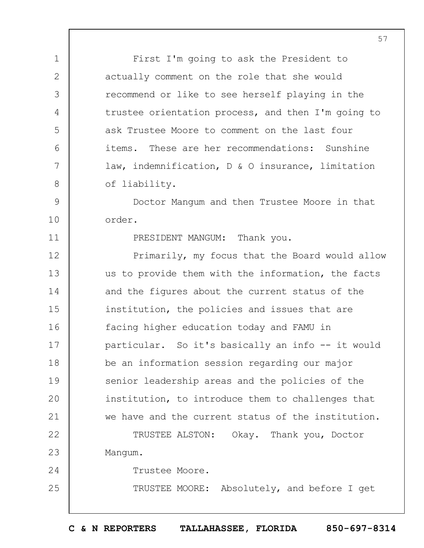First I'm going to ask the President to actually comment on the role that she would recommend or like to see herself playing in the trustee orientation process, and then I'm going to ask Trustee Moore to comment on the last four items. These are her recommendations: Sunshine law, indemnification, D & O insurance, limitation of liability.

9 10 Doctor Mangum and then Trustee Moore in that order.

PRESIDENT MANGUM: Thank you.

12 13 14 15 16 17 18 19  $20$ 21 Primarily, my focus that the Board would allow us to provide them with the information, the facts and the figures about the current status of the institution, the policies and issues that are facing higher education today and FAMU in particular. So it's basically an info -- it would be an information session regarding our major senior leadership areas and the policies of the institution, to introduce them to challenges that we have and the current status of the institution.

22 23 TRUSTEE ALSTON: Okay. Thank you, Doctor Mangum.

Trustee Moore.

1

2

3

4

5

6

7

8

11

24

25

TRUSTEE MOORE: Absolutely, and before I get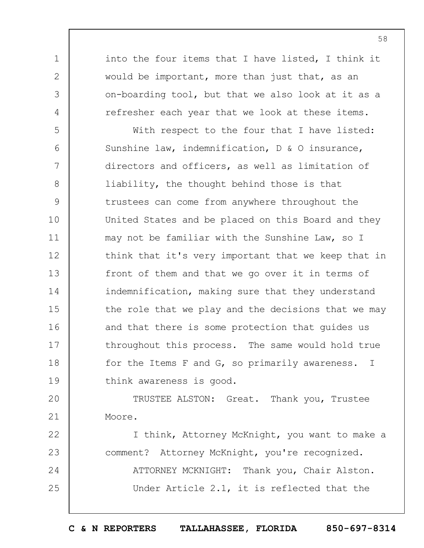into the four items that I have listed, I think it would be important, more than just that, as an on-boarding tool, but that we also look at it as a refresher each year that we look at these items.

1

2

3

4

5 6 7 8 9 10 11 12 13 14 15 16 17 18 19 With respect to the four that I have listed: Sunshine law, indemnification, D & O insurance, directors and officers, as well as limitation of liability, the thought behind those is that trustees can come from anywhere throughout the United States and be placed on this Board and they may not be familiar with the Sunshine Law, so I think that it's very important that we keep that in front of them and that we go over it in terms of indemnification, making sure that they understand the role that we play and the decisions that we may and that there is some protection that guides us throughout this process. The same would hold true for the Items F and G, so primarily awareness. I think awareness is good.

 $20$ 21 TRUSTEE ALSTON: Great. Thank you, Trustee Moore.

22 23 24 25 I think, Attorney McKnight, you want to make a comment? Attorney McKnight, you're recognized. ATTORNEY MCKNIGHT: Thank you, Chair Alston. Under Article 2.1, it is reflected that the

58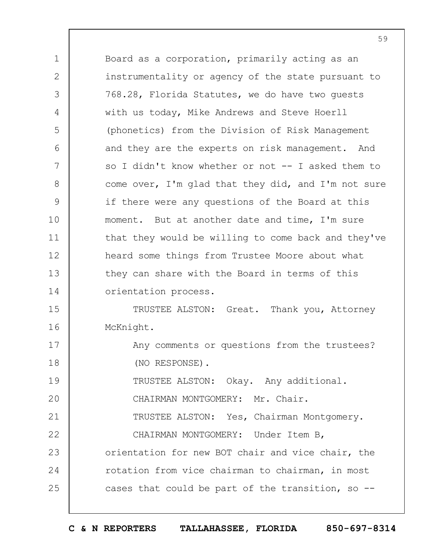1 2 3 4 5 6 7 8 9 10 11 12 13 14 15 16 17 18 19  $20$ 21 22 23 24 25 Board as a corporation, primarily acting as an instrumentality or agency of the state pursuant to 768.28, Florida Statutes, we do have two guests with us today, Mike Andrews and Steve Hoerll (phonetics) from the Division of Risk Management and they are the experts on risk management. And so I didn't know whether or not -- I asked them to come over, I'm glad that they did, and I'm not sure if there were any questions of the Board at this moment. But at another date and time, I'm sure that they would be willing to come back and they've heard some things from Trustee Moore about what they can share with the Board in terms of this orientation process. TRUSTEE ALSTON: Great. Thank you, Attorney McKnight. Any comments or questions from the trustees? (NO RESPONSE). TRUSTEE ALSTON: Okay. Any additional. CHAIRMAN MONTGOMERY: Mr. Chair. TRUSTEE ALSTON: Yes, Chairman Montgomery. CHAIRMAN MONTGOMERY: Under Item B, orientation for new BOT chair and vice chair, the rotation from vice chairman to chairman, in most cases that could be part of the transition, so --

**C & N REPORTERS TALLAHASSEE, FLORIDA 850-697-8314**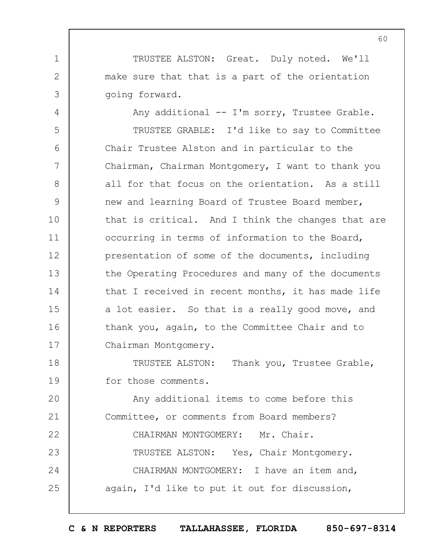TRUSTEE ALSTON: Great. Duly noted. We'll make sure that that is a part of the orientation going forward.

1

2

3

4 5 6 7 8 9 10 11 12 13 14 15 16 17 Any additional -- I'm sorry, Trustee Grable. TRUSTEE GRABLE: I'd like to say to Committee Chair Trustee Alston and in particular to the Chairman, Chairman Montgomery, I want to thank you all for that focus on the orientation. As a still new and learning Board of Trustee Board member, that is critical. And I think the changes that are occurring in terms of information to the Board, presentation of some of the documents, including the Operating Procedures and many of the documents that I received in recent months, it has made life a lot easier. So that is a really good move, and thank you, again, to the Committee Chair and to Chairman Montgomery.

18 19 TRUSTEE ALSTON: Thank you, Trustee Grable, for those comments.

 $20$ 21 22 23 24 25 Any additional items to come before this Committee, or comments from Board members? CHAIRMAN MONTGOMERY: Mr. Chair. TRUSTEE ALSTON: Yes, Chair Montgomery. CHAIRMAN MONTGOMERY: I have an item and, again, I'd like to put it out for discussion,

60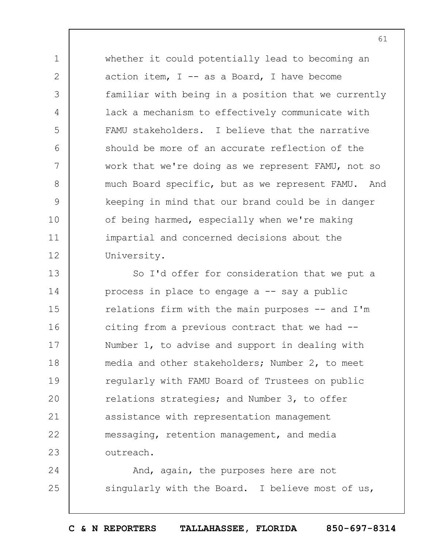whether it could potentially lead to becoming an action item,  $I$  -- as a Board, I have become familiar with being in a position that we currently lack a mechanism to effectively communicate with FAMU stakeholders. I believe that the narrative should be more of an accurate reflection of the work that we're doing as we represent FAMU, not so much Board specific, but as we represent FAMU. And keeping in mind that our brand could be in danger of being harmed, especially when we're making impartial and concerned decisions about the University.

1

2

3

4

5

6

7

8

9

10

11

12

13 14 15 16 17 18 19  $20$ 21 22 23 So I'd offer for consideration that we put a process in place to engage a -- say a public relations firm with the main purposes -- and I'm citing from a previous contract that we had -- Number 1, to advise and support in dealing with media and other stakeholders; Number 2, to meet regularly with FAMU Board of Trustees on public relations strategies; and Number 3, to offer assistance with representation management messaging, retention management, and media outreach.

24 25 And, again, the purposes here are not singularly with the Board. I believe most of us,

**C & N REPORTERS TALLAHASSEE, FLORIDA 850-697-8314**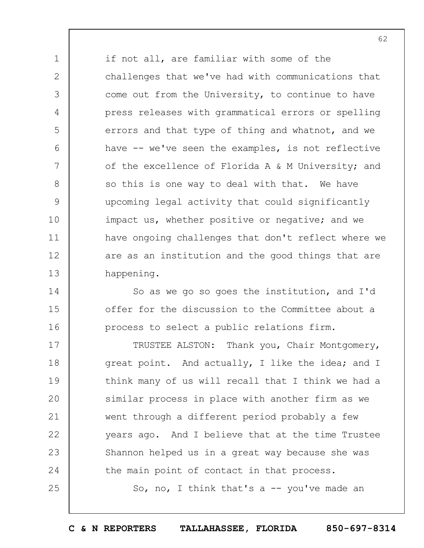1 2 3 4 5 6 7 8 9 10 11 12 13 if not all, are familiar with some of the challenges that we've had with communications that come out from the University, to continue to have press releases with grammatical errors or spelling errors and that type of thing and whatnot, and we have -- we've seen the examples, is not reflective of the excellence of Florida A & M University; and so this is one way to deal with that. We have upcoming legal activity that could significantly impact us, whether positive or negative; and we have ongoing challenges that don't reflect where we are as an institution and the good things that are happening.

So as we go so goes the institution, and I'd offer for the discussion to the Committee about a process to select a public relations firm.

14

15

16

17 18 19  $20$ 21 22 23 24 25 TRUSTEE ALSTON: Thank you, Chair Montgomery, great point. And actually, I like the idea; and I think many of us will recall that I think we had a similar process in place with another firm as we went through a different period probably a few years ago. And I believe that at the time Trustee Shannon helped us in a great way because she was the main point of contact in that process.

So, no, I think that's a  $-$  you've made an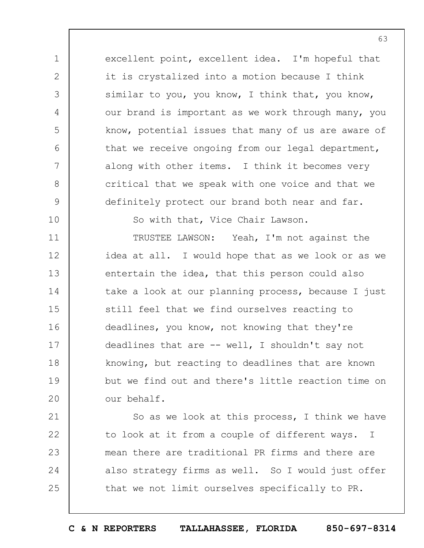excellent point, excellent idea. I'm hopeful that it is crystalized into a motion because I think similar to you, you know, I think that, you know, our brand is important as we work through many, you know, potential issues that many of us are aware of that we receive ongoing from our legal department, along with other items. I think it becomes very critical that we speak with one voice and that we definitely protect our brand both near and far.

1

2

3

4

5

6

7

8

9

10

So with that, Vice Chair Lawson.

11 12 13 14 15 16 17 18 19  $20$ TRUSTEE LAWSON: Yeah, I'm not against the idea at all. I would hope that as we look or as we entertain the idea, that this person could also take a look at our planning process, because I just still feel that we find ourselves reacting to deadlines, you know, not knowing that they're deadlines that are  $--$  well, I shouldn't say not knowing, but reacting to deadlines that are known but we find out and there's little reaction time on our behalf.

21 22 23 24 25 So as we look at this process, I think we have to look at it from a couple of different ways. I mean there are traditional PR firms and there are also strategy firms as well. So I would just offer that we not limit ourselves specifically to PR.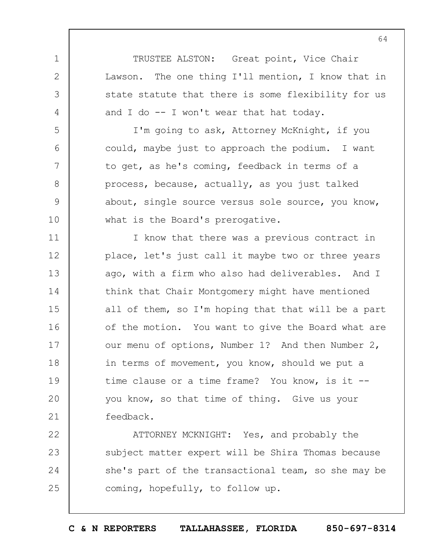TRUSTEE ALSTON: Great point, Vice Chair Lawson. The one thing I'll mention, I know that in state statute that there is some flexibility for us and I do -- I won't wear that hat today.

1

2

3

4

5

6

7

8

9

10

I'm going to ask, Attorney McKnight, if you could, maybe just to approach the podium. I want to get, as he's coming, feedback in terms of a process, because, actually, as you just talked about, single source versus sole source, you know, what is the Board's prerogative.

11 12 13 14 15 16 17 18 19  $20$ 21 I know that there was a previous contract in place, let's just call it maybe two or three years ago, with a firm who also had deliverables. And I think that Chair Montgomery might have mentioned all of them, so I'm hoping that that will be a part of the motion. You want to give the Board what are our menu of options, Number 1? And then Number 2, in terms of movement, you know, should we put a time clause or a time frame? You know, is it - you know, so that time of thing. Give us your feedback.

22 23 24 25 ATTORNEY MCKNIGHT: Yes, and probably the subject matter expert will be Shira Thomas because she's part of the transactional team, so she may be coming, hopefully, to follow up.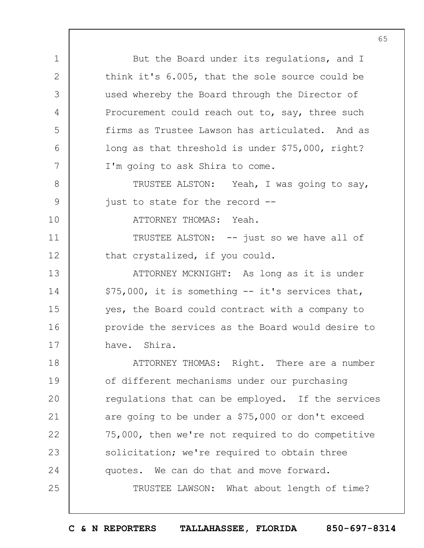But the Board under its regulations, and I think it's 6.005, that the sole source could be used whereby the Board through the Director of Procurement could reach out to, say, three such firms as Trustee Lawson has articulated. And as long as that threshold is under \$75,000, right? I'm going to ask Shira to come.

TRUSTEE ALSTON: Yeah, I was going to say, just to state for the record --

ATTORNEY THOMAS: Yeah.

1

2

3

4

5

6

7

8

9

10

11

12

TRUSTEE ALSTON: -- just so we have all of that crystalized, if you could.

13 14 15 16 17 ATTORNEY MCKNIGHT: As long as it is under \$75,000, it is something -- it's services that, yes, the Board could contract with a company to provide the services as the Board would desire to have. Shira.

18 19  $20$ 21 22 23 24 25 ATTORNEY THOMAS: Right. There are a number of different mechanisms under our purchasing regulations that can be employed. If the services are going to be under a \$75,000 or don't exceed 75,000, then we're not required to do competitive solicitation; we're required to obtain three quotes. We can do that and move forward. TRUSTEE LAWSON: What about length of time?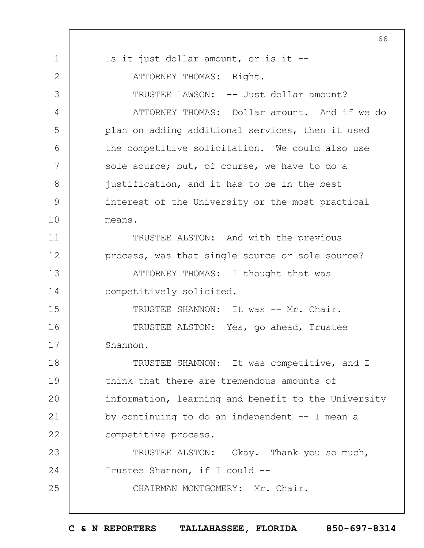|             | 66                                                  |
|-------------|-----------------------------------------------------|
| $\mathbf 1$ | Is it just dollar amount, or is it --               |
| 2           | ATTORNEY THOMAS: Right.                             |
| 3           | TRUSTEE LAWSON: -- Just dollar amount?              |
| 4           | ATTORNEY THOMAS: Dollar amount. And if we do        |
| 5           | plan on adding additional services, then it used    |
| 6           | the competitive solicitation. We could also use     |
| 7           | sole source; but, of course, we have to do a        |
| 8           | justification, and it has to be in the best         |
| 9           | interest of the University or the most practical    |
| 10          | means.                                              |
| 11          | TRUSTEE ALSTON: And with the previous               |
| 12          | process, was that single source or sole source?     |
| 13          | ATTORNEY THOMAS: I thought that was                 |
| 14          | competitively solicited.                            |
| 15          | TRUSTEE SHANNON: It was -- Mr. Chair.               |
| 16          | TRUSTEE ALSTON: Yes, go ahead, Trustee              |
| 17          | Shannon.                                            |
| 18          | TRUSTEE SHANNON: It was competitive, and I          |
| 19          | think that there are tremendous amounts of          |
| 20          | information, learning and benefit to the University |
| 21          | by continuing to do an independent -- I mean a      |
| 22          | competitive process.                                |
| 23          | TRUSTEE ALSTON: Okay. Thank you so much,            |
| 24          | Trustee Shannon, if I could --                      |
| 25          | CHAIRMAN MONTGOMERY: Mr. Chair.                     |
|             |                                                     |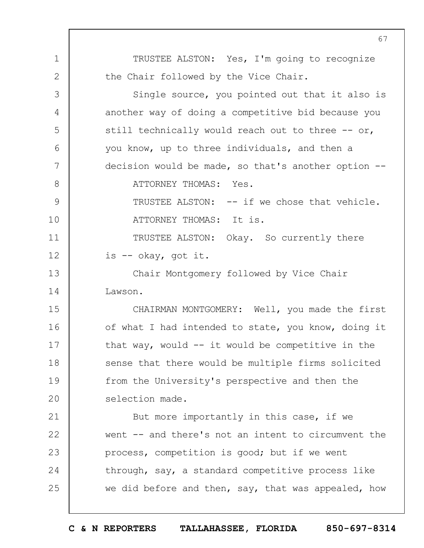1 2 3 4 5 6 7 8 9 10 11 12 13 14 15 16 17 18 19  $20$ 21 22 23 24 25 67 TRUSTEE ALSTON: Yes, I'm going to recognize the Chair followed by the Vice Chair. Single source, you pointed out that it also is another way of doing a competitive bid because you still technically would reach out to three  $-$ - or, you know, up to three individuals, and then a decision would be made, so that's another option -- ATTORNEY THOMAS: Yes. TRUSTEE ALSTON: -- if we chose that vehicle. ATTORNEY THOMAS: It is. TRUSTEE ALSTON: Okay. So currently there is -- okay, got it. Chair Montgomery followed by Vice Chair Lawson. CHAIRMAN MONTGOMERY: Well, you made the first of what I had intended to state, you know, doing it that way, would  $--$  it would be competitive in the sense that there would be multiple firms solicited from the University's perspective and then the selection made. But more importantly in this case, if we went -- and there's not an intent to circumvent the process, competition is good; but if we went through, say, a standard competitive process like we did before and then, say, that was appealed, how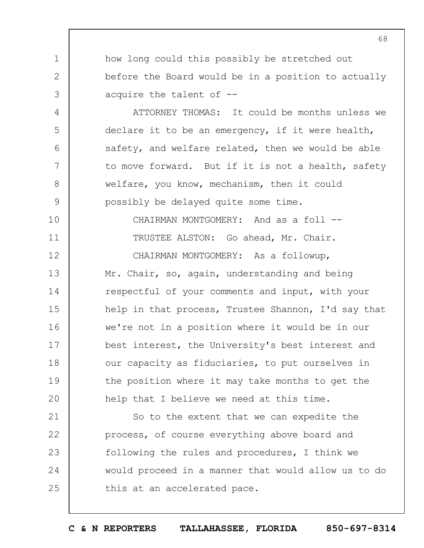how long could this possibly be stretched out before the Board would be in a position to actually acquire the talent of --

1

2

3

4

5

6

7

8

9

10

11

ATTORNEY THOMAS: It could be months unless we declare it to be an emergency, if it were health, safety, and welfare related, then we would be able to move forward. But if it is not a health, safety welfare, you know, mechanism, then it could possibly be delayed quite some time.

CHAIRMAN MONTGOMERY: And as a foll --TRUSTEE ALSTON: Go ahead, Mr. Chair.

12 13 14 15 16 17 18 19  $20$ CHAIRMAN MONTGOMERY: As a followup, Mr. Chair, so, again, understanding and being respectful of your comments and input, with your help in that process, Trustee Shannon, I'd say that we're not in a position where it would be in our best interest, the University's best interest and our capacity as fiduciaries, to put ourselves in the position where it may take months to get the help that I believe we need at this time.

21 22 23 24 25 So to the extent that we can expedite the process, of course everything above board and following the rules and procedures, I think we would proceed in a manner that would allow us to do this at an accelerated pace.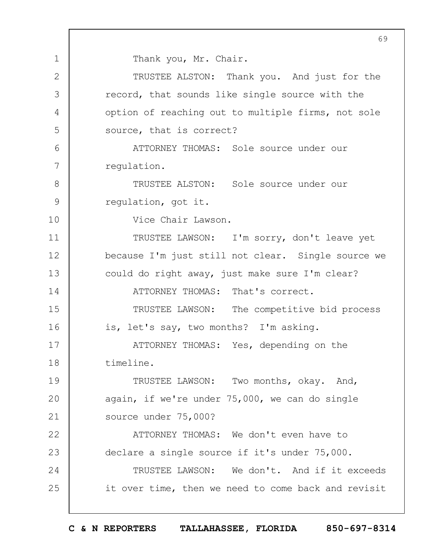Thank you, Mr. Chair.

1

2 3 4 5  $6 \overline{6}$ 7 8 9 10 11 12 13 14 15 16 17 18 19  $20$ 21 22 23 24 25 TRUSTEE ALSTON: Thank you. And just for the record, that sounds like single source with the option of reaching out to multiple firms, not sole source, that is correct? ATTORNEY THOMAS: Sole source under our regulation. TRUSTEE ALSTON: Sole source under our regulation, got it. Vice Chair Lawson. TRUSTEE LAWSON: I'm sorry, don't leave yet because I'm just still not clear. Single source we could do right away, just make sure I'm clear? ATTORNEY THOMAS: That's correct. TRUSTEE LAWSON: The competitive bid process is, let's say, two months? I'm asking. ATTORNEY THOMAS: Yes, depending on the timeline. TRUSTEE LAWSON: Two months, okay. And, again, if we're under 75,000, we can do single source under 75,000? ATTORNEY THOMAS: We don't even have to declare a single source if it's under 75,000. TRUSTEE LAWSON: We don't. And if it exceeds it over time, then we need to come back and revisit

**C & N REPORTERS TALLAHASSEE, FLORIDA 850-697-8314**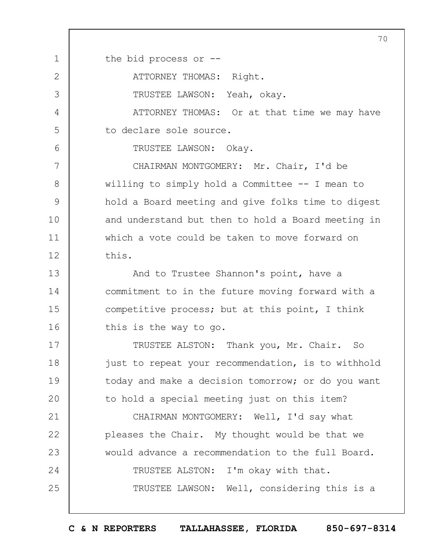1 2 3 4 5 6 7 8 9 10 11 12 13 14 15 16 17 18 19  $20$ 21 22 23 24 25 70 the bid process or -- ATTORNEY THOMAS: Right. TRUSTEE LAWSON: Yeah, okay. ATTORNEY THOMAS: Or at that time we may have to declare sole source. TRUSTEE LAWSON: Okay. CHAIRMAN MONTGOMERY: Mr. Chair, I'd be willing to simply hold a Committee -- I mean to hold a Board meeting and give folks time to digest and understand but then to hold a Board meeting in which a vote could be taken to move forward on this. And to Trustee Shannon's point, have a commitment to in the future moving forward with a competitive process; but at this point, I think this is the way to go. TRUSTEE ALSTON: Thank you, Mr. Chair. So just to repeat your recommendation, is to withhold today and make a decision tomorrow; or do you want to hold a special meeting just on this item? CHAIRMAN MONTGOMERY: Well, I'd say what pleases the Chair. My thought would be that we would advance a recommendation to the full Board. TRUSTEE ALSTON: I'm okay with that. TRUSTEE LAWSON: Well, considering this is a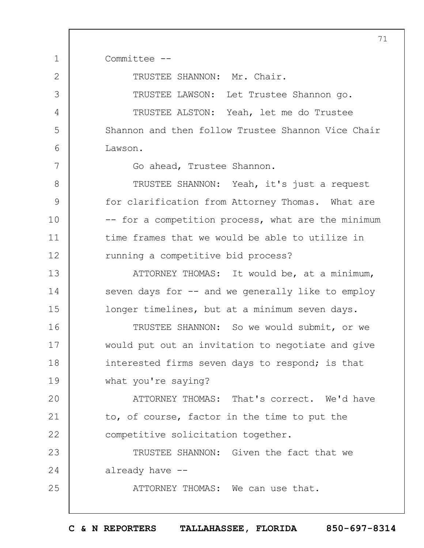1 2 3 4 5 6 7 8 9 10 11 12 13 14 15 16 17 18 19  $20$ 21 22 23 24 25 71 Committee -- TRUSTEE SHANNON: Mr. Chair. TRUSTEE LAWSON: Let Trustee Shannon go. TRUSTEE ALSTON: Yeah, let me do Trustee Shannon and then follow Trustee Shannon Vice Chair Lawson. Go ahead, Trustee Shannon. TRUSTEE SHANNON: Yeah, it's just a request for clarification from Attorney Thomas. What are -- for a competition process, what are the minimum time frames that we would be able to utilize in running a competitive bid process? ATTORNEY THOMAS: It would be, at a minimum, seven days for  $-$  and we generally like to employ longer timelines, but at a minimum seven days. TRUSTEE SHANNON: So we would submit, or we would put out an invitation to negotiate and give interested firms seven days to respond; is that what you're saying? ATTORNEY THOMAS: That's correct. We'd have to, of course, factor in the time to put the competitive solicitation together. TRUSTEE SHANNON: Given the fact that we already have -- ATTORNEY THOMAS: We can use that.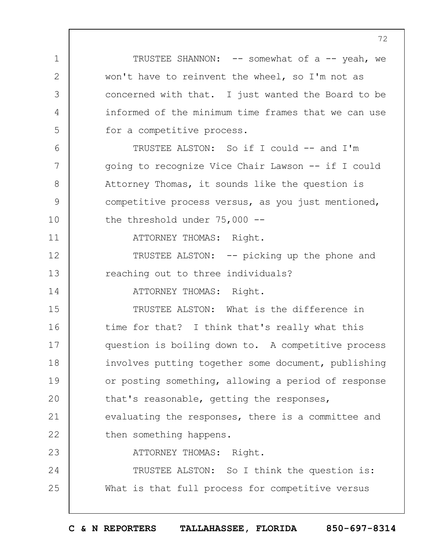TRUSTEE SHANNON: -- somewhat of a -- yeah, we won't have to reinvent the wheel, so I'm not as concerned with that. I just wanted the Board to be informed of the minimum time frames that we can use for a competitive process.

TRUSTEE ALSTON: So if I could -- and I'm going to recognize Vice Chair Lawson -- if I could Attorney Thomas, it sounds like the question is competitive process versus, as you just mentioned, the threshold under 75,000 --

ATTORNEY THOMAS: Right.

1

2

3

4

5

6

7

8

9

10

11

14

12 13 TRUSTEE ALSTON: -- picking up the phone and reaching out to three individuals?

ATTORNEY THOMAS: Right.

15 16 17 18 19  $20$ 21 22 23 TRUSTEE ALSTON: What is the difference in time for that? I think that's really what this question is boiling down to. A competitive process involves putting together some document, publishing or posting something, allowing a period of response that's reasonable, getting the responses, evaluating the responses, there is a committee and then something happens. ATTORNEY THOMAS: Right.

24 25 TRUSTEE ALSTON: So I think the question is: What is that full process for competitive versus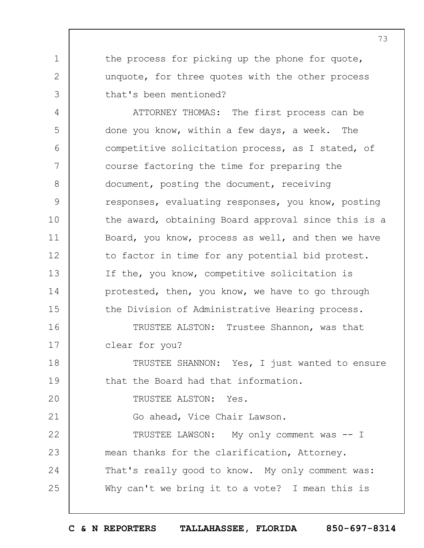the process for picking up the phone for quote, unquote, for three quotes with the other process that's been mentioned?

1

2

3

25

4 5 6 7 8 9 10 11 12 13 14 15 16 17 18 19  $20$ 21 22 23 24 ATTORNEY THOMAS: The first process can be done you know, within a few days, a week. The competitive solicitation process, as I stated, of course factoring the time for preparing the document, posting the document, receiving responses, evaluating responses, you know, posting the award, obtaining Board approval since this is a Board, you know, process as well, and then we have to factor in time for any potential bid protest. If the, you know, competitive solicitation is protested, then, you know, we have to go through the Division of Administrative Hearing process. TRUSTEE ALSTON: Trustee Shannon, was that clear for you? TRUSTEE SHANNON: Yes, I just wanted to ensure that the Board had that information. TRUSTEE ALSTON: Yes. Go ahead, Vice Chair Lawson. TRUSTEE LAWSON: My only comment was -- I mean thanks for the clarification, Attorney. That's really good to know. My only comment was:

Why can't we bring it to a vote? I mean this is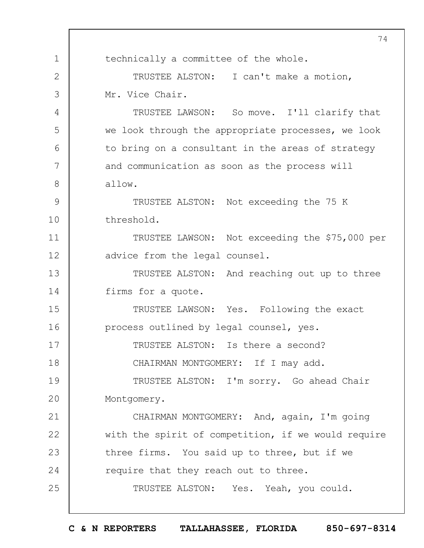1 2 3 4 5 6 7 8 9 10 11 12 13 14 15 16 17 18 19  $20$ 21 22 23 24 25 74 technically a committee of the whole. TRUSTEE ALSTON: I can't make a motion, Mr. Vice Chair. TRUSTEE LAWSON: So move. I'll clarify that we look through the appropriate processes, we look to bring on a consultant in the areas of strategy and communication as soon as the process will allow. TRUSTEE ALSTON: Not exceeding the 75 K threshold. TRUSTEE LAWSON: Not exceeding the \$75,000 per advice from the legal counsel. TRUSTEE ALSTON: And reaching out up to three firms for a quote. TRUSTEE LAWSON: Yes. Following the exact process outlined by legal counsel, yes. TRUSTEE ALSTON: Is there a second? CHAIRMAN MONTGOMERY: If I may add. TRUSTEE ALSTON: I'm sorry. Go ahead Chair Montgomery. CHAIRMAN MONTGOMERY: And, again, I'm going with the spirit of competition, if we would require three firms. You said up to three, but if we require that they reach out to three. TRUSTEE ALSTON: Yes. Yeah, you could.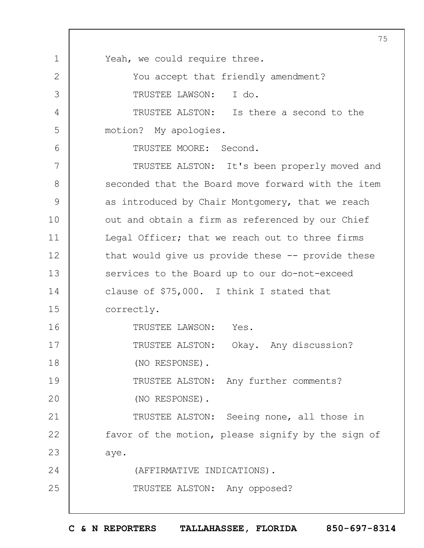1 2 3 4 5 6 7 8 9 10 11 12 13 14 15 16 17 18 19  $20$ 21 22 23 24 25 75 Yeah, we could require three. You accept that friendly amendment? TRUSTEE LAWSON: I do. TRUSTEE ALSTON: Is there a second to the motion? My apologies. TRUSTEE MOORE: Second. TRUSTEE ALSTON: It's been properly moved and seconded that the Board move forward with the item as introduced by Chair Montgomery, that we reach out and obtain a firm as referenced by our Chief Legal Officer; that we reach out to three firms that would give us provide these -- provide these services to the Board up to our do-not-exceed clause of \$75,000. I think I stated that correctly. TRUSTEE LAWSON: Yes. TRUSTEE ALSTON: Okay. Any discussion? (NO RESPONSE). TRUSTEE ALSTON: Any further comments? (NO RESPONSE). TRUSTEE ALSTON: Seeing none, all those in favor of the motion, please signify by the sign of aye. (AFFIRMATIVE INDICATIONS). TRUSTEE ALSTON: Any opposed?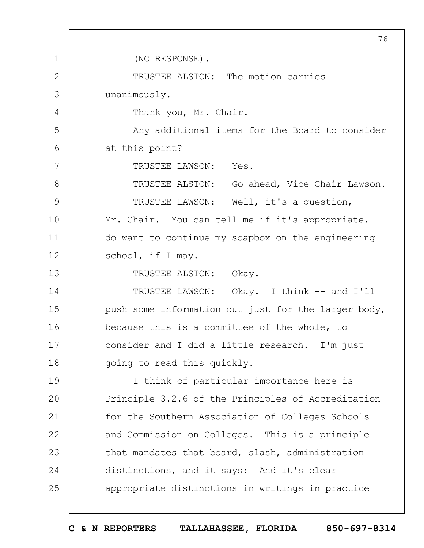1 2 3 4 5 6 7 8 9 10 11 12 13 14 15 16 17 18 19  $20$ 21 22 23 24 25 76 (NO RESPONSE). TRUSTEE ALSTON: The motion carries unanimously. Thank you, Mr. Chair. Any additional items for the Board to consider at this point? TRUSTEE LAWSON: Yes. TRUSTEE ALSTON: Go ahead, Vice Chair Lawson. TRUSTEE LAWSON: Well, it's a question, Mr. Chair. You can tell me if it's appropriate. I do want to continue my soapbox on the engineering school, if I may. TRUSTEE ALSTON: Okay. TRUSTEE LAWSON: Okay. I think -- and I'll push some information out just for the larger body, because this is a committee of the whole, to consider and I did a little research. I'm just going to read this quickly. I think of particular importance here is Principle 3.2.6 of the Principles of Accreditation for the Southern Association of Colleges Schools and Commission on Colleges. This is a principle that mandates that board, slash, administration distinctions, and it says: And it's clear appropriate distinctions in writings in practice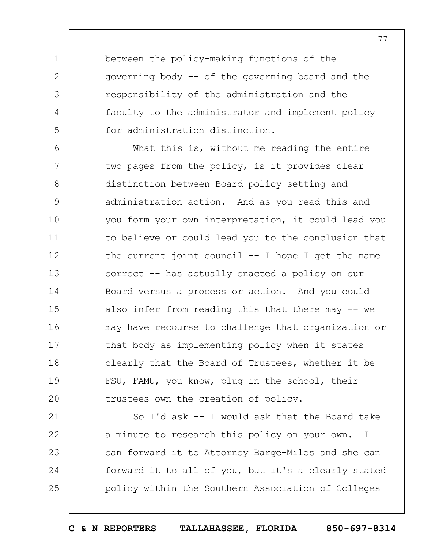between the policy-making functions of the governing body -- of the governing board and the responsibility of the administration and the faculty to the administrator and implement policy for administration distinction.

1

2

3

4

5

6 7 8 9 10 11 12 13 14 15 16 17 18 19  $20$ What this is, without me reading the entire two pages from the policy, is it provides clear distinction between Board policy setting and administration action. And as you read this and you form your own interpretation, it could lead you to believe or could lead you to the conclusion that the current joint council  $--$  I hope I get the name correct -- has actually enacted a policy on our Board versus a process or action. And you could also infer from reading this that there may -- we may have recourse to challenge that organization or that body as implementing policy when it states clearly that the Board of Trustees, whether it be FSU, FAMU, you know, plug in the school, their trustees own the creation of policy.

21 22 23 24 25 So I'd ask -- I would ask that the Board take a minute to research this policy on your own. I can forward it to Attorney Barge-Miles and she can forward it to all of you, but it's a clearly stated policy within the Southern Association of Colleges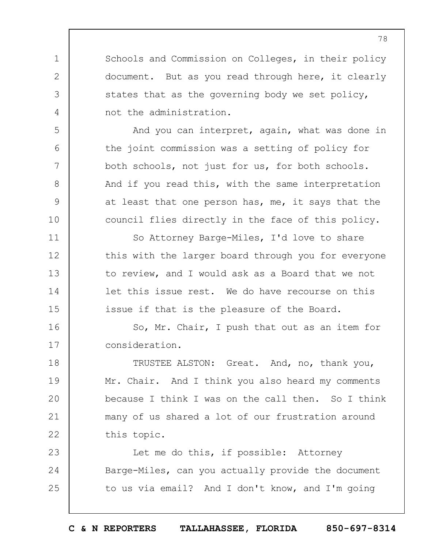Schools and Commission on Colleges, in their policy document. But as you read through here, it clearly states that as the governing body we set policy, not the administration.

1

2

3

4

5

6

7

8

9

10

11

12

13

14

15

And you can interpret, again, what was done in the joint commission was a setting of policy for both schools, not just for us, for both schools. And if you read this, with the same interpretation at least that one person has, me, it says that the council flies directly in the face of this policy.

So Attorney Barge-Miles, I'd love to share this with the larger board through you for everyone to review, and I would ask as a Board that we not let this issue rest. We do have recourse on this issue if that is the pleasure of the Board.

16 17 So, Mr. Chair, I push that out as an item for consideration.

18 19  $20$ 21 22 TRUSTEE ALSTON: Great. And, no, thank you, Mr. Chair. And I think you also heard my comments because I think I was on the call then. So I think many of us shared a lot of our frustration around this topic.

23 24 25 Let me do this, if possible: Attorney Barge-Miles, can you actually provide the document to us via email? And I don't know, and I'm going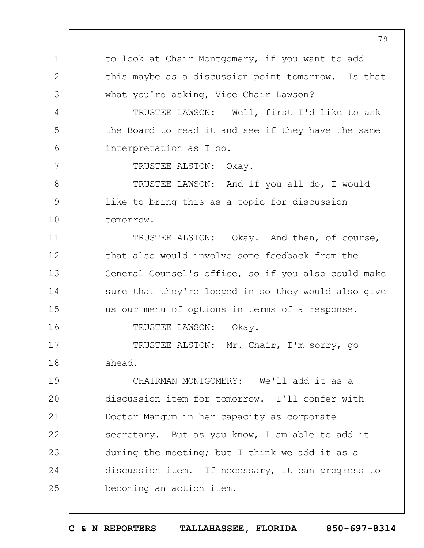1 2 3 4 5 6 7 8 9 10 11 12 13 14 15 16 17 18 19  $20$ 21 22 23 24 25 79 to look at Chair Montgomery, if you want to add this maybe as a discussion point tomorrow. Is that what you're asking, Vice Chair Lawson? TRUSTEE LAWSON: Well, first I'd like to ask the Board to read it and see if they have the same interpretation as I do. TRUSTEE ALSTON: Okay. TRUSTEE LAWSON: And if you all do, I would like to bring this as a topic for discussion tomorrow. TRUSTEE ALSTON: Okay. And then, of course, that also would involve some feedback from the General Counsel's office, so if you also could make sure that they're looped in so they would also give us our menu of options in terms of a response. TRUSTEE LAWSON: Okay. TRUSTEE ALSTON: Mr. Chair, I'm sorry, go ahead. CHAIRMAN MONTGOMERY: We'll add it as a discussion item for tomorrow. I'll confer with Doctor Mangum in her capacity as corporate secretary. But as you know, I am able to add it during the meeting; but I think we add it as a discussion item. If necessary, it can progress to becoming an action item.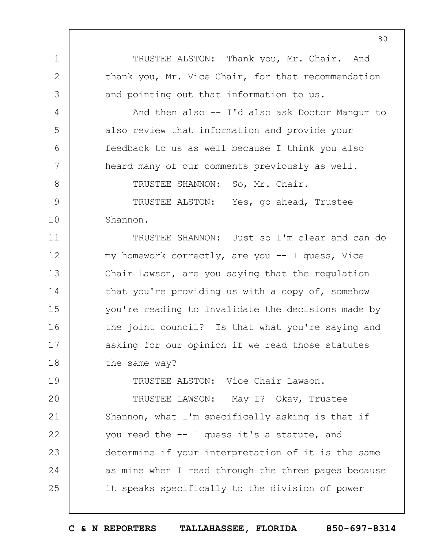TRUSTEE ALSTON: Thank you, Mr. Chair. And thank you, Mr. Vice Chair, for that recommendation and pointing out that information to us.

1

2

3

4

5

6

7

8

9

10

And then also -- I'd also ask Doctor Mangum to also review that information and provide your feedback to us as well because I think you also heard many of our comments previously as well.

TRUSTEE SHANNON: So, Mr. Chair.

TRUSTEE ALSTON: Yes, go ahead, Trustee Shannon.

11 12 13 14 15 16 17 18 TRUSTEE SHANNON: Just so I'm clear and can do my homework correctly, are you -- I guess, Vice Chair Lawson, are you saying that the regulation that you're providing us with a copy of, somehow you're reading to invalidate the decisions made by the joint council? Is that what you're saying and asking for our opinion if we read those statutes the same way?

19  $20$ 21 22 23 24 25 TRUSTEE ALSTON: Vice Chair Lawson. TRUSTEE LAWSON: May I? Okay, Trustee Shannon, what I'm specifically asking is that if you read the -- I guess it's a statute, and determine if your interpretation of it is the same as mine when I read through the three pages because it speaks specifically to the division of power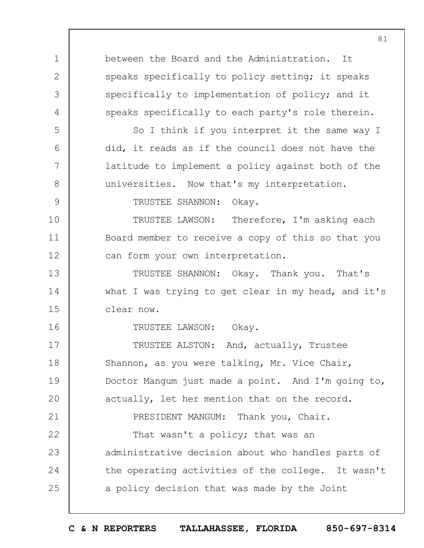1 2 3 4 5 6 7 8 9 10 11 12 13 14 15 16 17 18 19  $20$ 21 22 23 24 25 81 between the Board and the Administration. It speaks specifically to policy setting; it speaks specifically to implementation of policy; and it speaks specifically to each party's role therein. So I think if you interpret it the same way I did, it reads as if the council does not have the latitude to implement a policy against both of the universities. Now that's my interpretation. TRUSTEE SHANNON: Okay. TRUSTEE LAWSON: Therefore, I'm asking each Board member to receive a copy of this so that you can form your own interpretation. TRUSTEE SHANNON: Okay. Thank you. That's what I was trying to get clear in my head, and it's clear now. TRUSTEE LAWSON: Okay. TRUSTEE ALSTON: And, actually, Trustee Shannon, as you were talking, Mr. Vice Chair, Doctor Mangum just made a point. And I'm going to, actually, let her mention that on the record. PRESIDENT MANGUM: Thank you, Chair. That wasn't a policy; that was an administrative decision about who handles parts of the operating activities of the college. It wasn't a policy decision that was made by the Joint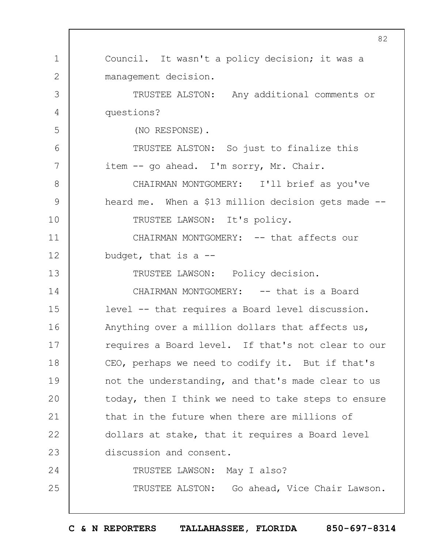1 2 3 4 5 6 7 8 9 10 11 12 13 14 15 16 17 18 19  $20$ 21 22 23 24 25 82 Council. It wasn't a policy decision; it was a management decision. TRUSTEE ALSTON: Any additional comments or questions? (NO RESPONSE). TRUSTEE ALSTON: So just to finalize this item -- go ahead. I'm sorry, Mr. Chair. CHAIRMAN MONTGOMERY: I'll brief as you've heard me. When a \$13 million decision gets made -- TRUSTEE LAWSON: It's policy. CHAIRMAN MONTGOMERY: -- that affects our budget, that is a  $-$ TRUSTEE LAWSON: Policy decision. CHAIRMAN MONTGOMERY: -- that is a Board level -- that requires a Board level discussion. Anything over a million dollars that affects us, requires a Board level. If that's not clear to our CEO, perhaps we need to codify it. But if that's not the understanding, and that's made clear to us today, then I think we need to take steps to ensure that in the future when there are millions of dollars at stake, that it requires a Board level discussion and consent. TRUSTEE LAWSON: May I also? TRUSTEE ALSTON: Go ahead, Vice Chair Lawson.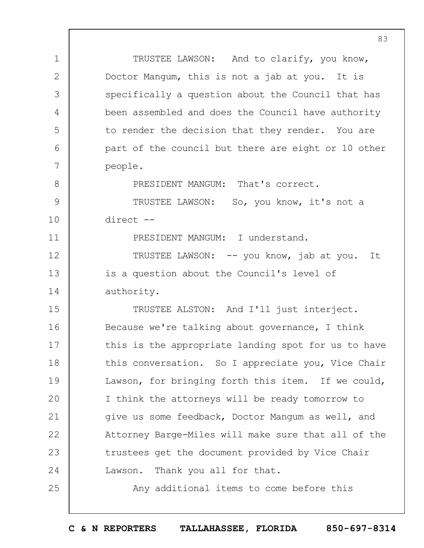| $\mathbf 1$  | TRUSTEE LAWSON: And to clarify, you know,           |
|--------------|-----------------------------------------------------|
| $\mathbf{2}$ | Doctor Mangum, this is not a jab at you. It is      |
| 3            | specifically a question about the Council that has  |
| 4            | been assembled and does the Council have authority  |
| 5            | to render the decision that they render. You are    |
| 6            | part of the council but there are eight or 10 other |
| 7            | people.                                             |
| 8            | PRESIDENT MANGUM: That's correct.                   |
| 9            | TRUSTEE LAWSON: So, you know, it's not a            |
| 10           | direct --                                           |
| 11           | PRESIDENT MANGUM: I understand.                     |
| 12           | TRUSTEE LAWSON: -- you know, jab at you. It         |
| 13           | is a question about the Council's level of          |
| 14           | authority.                                          |
| 15           | TRUSTEE ALSTON: And I'll just interject.            |
| 16           | Because we're talking about governance, I think     |
| 17           | this is the appropriate landing spot for us to have |
| 18           | this conversation. So I appreciate you, Vice Chair  |
| 19           | Lawson, for bringing forth this item. If we could,  |
| 20           | I think the attorneys will be ready tomorrow to     |
| 21           | give us some feedback, Doctor Mangum as well, and   |
| 22           | Attorney Barge-Miles will make sure that all of the |
| 23           | trustees get the document provided by Vice Chair    |
| 24           | Lawson. Thank you all for that.                     |
| 25           | Any additional items to come before this            |
|              |                                                     |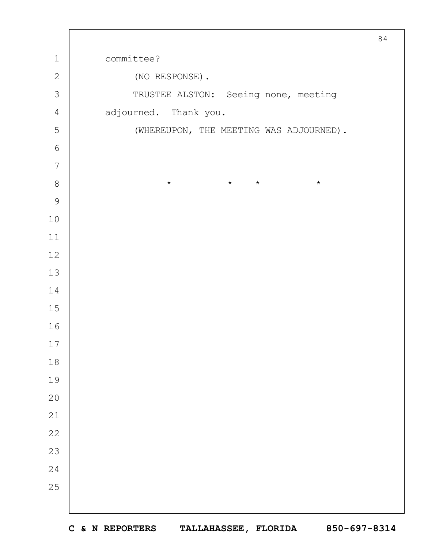| $\mathbf 1$      | committee?                              |  |  |  |  |  |  |  |
|------------------|-----------------------------------------|--|--|--|--|--|--|--|
| $\mathbf{2}$     | (NO RESPONSE).                          |  |  |  |  |  |  |  |
| 3                | TRUSTEE ALSTON: Seeing none, meeting    |  |  |  |  |  |  |  |
| $\sqrt{4}$       | adjourned. Thank you.                   |  |  |  |  |  |  |  |
| $\mathsf S$      | (WHEREUPON, THE MEETING WAS ADJOURNED). |  |  |  |  |  |  |  |
| $6\,$            |                                         |  |  |  |  |  |  |  |
| $\boldsymbol{7}$ |                                         |  |  |  |  |  |  |  |
| $8\,$            | $\star$ $\star$<br>$\star$<br>$\star$   |  |  |  |  |  |  |  |
| $\mathcal{G}$    |                                         |  |  |  |  |  |  |  |
| $10$             |                                         |  |  |  |  |  |  |  |
| $11$             |                                         |  |  |  |  |  |  |  |
| $12\,$           |                                         |  |  |  |  |  |  |  |
| $13$             |                                         |  |  |  |  |  |  |  |
| $1\,4$           |                                         |  |  |  |  |  |  |  |
| $15\,$           |                                         |  |  |  |  |  |  |  |
| 16               |                                         |  |  |  |  |  |  |  |
| 17               |                                         |  |  |  |  |  |  |  |
| $18\,$           |                                         |  |  |  |  |  |  |  |
| 19               |                                         |  |  |  |  |  |  |  |
| 20               |                                         |  |  |  |  |  |  |  |
| 21               |                                         |  |  |  |  |  |  |  |
| 22               |                                         |  |  |  |  |  |  |  |
| 23               |                                         |  |  |  |  |  |  |  |
| 24               |                                         |  |  |  |  |  |  |  |
| 25               |                                         |  |  |  |  |  |  |  |
|                  |                                         |  |  |  |  |  |  |  |

 $\Gamma$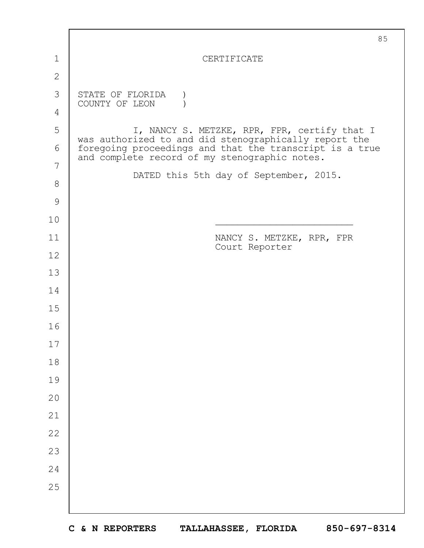|               | 85                                                                                                                                                                |
|---------------|-------------------------------------------------------------------------------------------------------------------------------------------------------------------|
| 1             | CERTIFICATE                                                                                                                                                       |
| $\mathbf{2}$  |                                                                                                                                                                   |
| 3             | STATE OF FLORIDA                                                                                                                                                  |
| 4             | COUNTY OF LEON                                                                                                                                                    |
| 5             | I, NANCY S. METZKE, RPR, FPR, certify that I                                                                                                                      |
| 6             | was authorized to and did stenographically report the<br>foregoing proceedings and that the transcript is a true<br>and complete record of my stenographic notes. |
| 7             |                                                                                                                                                                   |
| $8\,$         | DATED this 5th day of September, 2015.                                                                                                                            |
| $\mathcal{G}$ |                                                                                                                                                                   |
| 10            |                                                                                                                                                                   |
| 11            | NANCY S. METZKE, RPR, FPR<br>Court Reporter                                                                                                                       |
| 12            |                                                                                                                                                                   |
| 13            |                                                                                                                                                                   |
| 14            |                                                                                                                                                                   |
| 15            |                                                                                                                                                                   |
| 16            |                                                                                                                                                                   |
| 17            |                                                                                                                                                                   |
| 18            |                                                                                                                                                                   |
| 19            |                                                                                                                                                                   |
| 20            |                                                                                                                                                                   |
| 21            |                                                                                                                                                                   |
| 22            |                                                                                                                                                                   |
| 23            |                                                                                                                                                                   |
| 24            |                                                                                                                                                                   |
| 25            |                                                                                                                                                                   |
|               |                                                                                                                                                                   |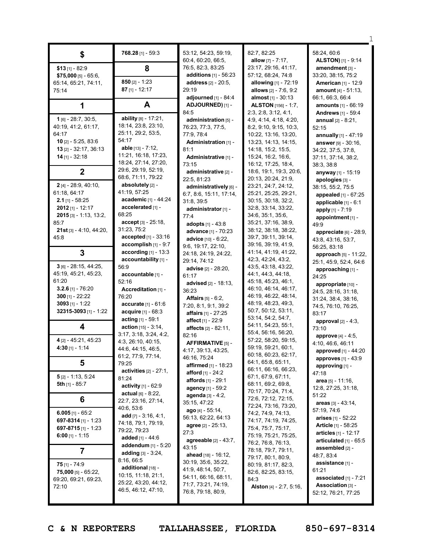|                               | 768.28 [1] - 59:3             | 53:12, 54:23, 59:19,                | 82:7, 82:25                               | 58:24, 60:6                 |
|-------------------------------|-------------------------------|-------------------------------------|-------------------------------------------|-----------------------------|
| \$                            |                               | 60:4, 60:20, 66:5,                  | allow $[7] - 7:17$ ,                      | <b>ALSTON)</b> [1] - 9:14   |
| $$13$ [1] - 82:9              | 8                             | 76:5, 82:3, 83:25                   | 23:17, 29:16, 41:17,                      | amendment [3] -             |
| $$75,000$ [5] - 65:6,         |                               | <b>additions</b> $[1] - 56:23$      | 57:12, 68:24, 74:8                        | 33:20, 38:15, 75:2          |
| 65:14, 65:21, 74:11,          | 850 $[2] - 1:23$              | address [2] - 20:5,                 | allowing [1] - 72:19                      | <b>American [1] - 12:9</b>  |
| 75:14                         | $87$ [1] - 12:17              | 29:19                               | allows [2] - 7:6, 9:2                     | amount $[4] - 51:13$ ,      |
|                               |                               | adjourned [1] - 84:4                | almost [1] - 30:13                        | 66:1, 66:3, 66:4            |
| 1                             | A                             | ADJOURNED) [1] -                    | <b>ALSTON</b> [156] - 1:7,                | <b>amounts</b> [1] - 66:19  |
|                               |                               | 84:5                                | 2:3, 2:8, 3:12, 4:1,                      | <b>Andrews</b> [1] - 59:4   |
| $1$ [6] - 28:7, 30:5,         | ability [8] - 17:21,          | administration [5] -                | 4:9, 4:14, 4:18, 4:20,                    | annual $[2] - 8:21$ ,       |
| 40:19, 41:2, 61:17,           | 18:14, 23:8, 23:10,           | 76:23, 77:3, 77:5,                  | 8:2, 9:10, 9:15, 10:3,                    | 52:15                       |
| 64:17                         | 25:11, 29:2, 53:5,            | 77:9, 78:4                          | 10:22, 13:16, 13:20,                      | annually $[1] - 47:19$      |
| $10$ [2] - 5:25, 83:6         | 54:17                         | Administration [1] -                | 13:23, 14:13, 14:15,                      | answer [9] - 30:16,         |
| 13 $[2] - 32:17, 36:13$       | able $[13] - 7:12$ ,          | 81:1                                | 14:18, 15:2, 15:5,                        | 34:22, 37:5, 37:8,          |
| $14$ [1] - 32:18              | 11:21, 16:18, 17:23,          | Administrative [1] -                | 15:24, 16:2, 16:6,                        | 37:11, 37:14, 38:2,         |
|                               | 18:24, 27:14, 27:20,          | 73:15                               | 16:12, 17:25, 18:4,                       | 38:3, 38:8                  |
| $\boldsymbol{2}$              | 29:6, 29:19, 52:19,           | administrative [2] -                | 18:6, 19:1, 19:3, 20:6,                   | anyway [1] - 15:19          |
|                               | 68:6, 71:11, 79:22            | 22:5, 81:23                         | 20:13, 20:24, 21:9,                       | apologies [3] -             |
| 2 [4] - 28:9, 40:10,          | absolutely [2] -              | administratively [6] -              | 23:21, 24:7, 24:12,                       | 38:15, 55:2, 75:5           |
| 61:18, 64:17                  | 41:19, 57:25                  | 6:7, 8:6, 15:11, 17:14,             | 25:21, 25:25, 29:21,                      | appealed $[1] - 67:25$      |
| $2.1$ [1] - 58:25             | academic [1] - 44:24          | 31:8, 39:5                          | 30:15, 30:18, 32:2,                       | applicable [1] - 6:1        |
| $2012$ [1] - 12:17            | accelerated [1] -             | administrator [1] -                 | 32:8, 33:14, 33:22,                       | apply [1] - 7:19            |
| $2015$ [3] - 1:13, 13:2,      | 68:25                         | 77:4                                | 34:6, 35:1, 35:6,                         | appointment [1] -           |
| 85:7                          | $accept[3] - 25:18,$          | adopts $[1] - 43:8$                 | 35:21, 37:16, 38:9,                       | 49:9                        |
| 21st [3] - 4:10, 44:20,       | 31:23, 75:2                   | advance [1] - 70:23                 | 38:12, 38:18, 38:22,                      | appreciate [6] - 28:9,      |
| 45:8                          | accepted [1] - 33:16          | advice [10] - 6:22,                 | 39:7, 39:11, 39:14,                       | 43:8, 43:16, 53:7,          |
|                               | accomplish [1] - 9:7          | 9:6, 19:17, 22:10,                  | 39:16, 39:19, 41:9,                       | 56:25, 83:18                |
| 3                             | according $[1] - 13:3$        | 24:18, 24:19, 24:22,                | 41:14, 41:19, 41:22,                      | approach [5] - 11:22,       |
|                               | accountability [1] -          | 29:14, 74:12                        | 42:3, 42:24, 43:2,                        | 25:1, 45:9, 52:4, 64:6      |
| $3$ [6] - 28:15, 44:25,       | 56:9                          | <b>advise</b> $[2] - 28:20$ ,       | 43:5, 43:18, 43:22,                       | approaching [1] -           |
| 45:19, 45:21, 45:23,<br>61:20 | accountable [1] -             | 61:17                               | 44:1, 44:3, 44:18,<br>45:18, 45:23, 46:1, | 24:25                       |
| $3.2.6$ [1] - 76:20           | 52:16                         | advised [2] - 18:13,                | 46:10, 46:14, 46:17,                      | appropriate [10] -          |
| $300$ [1] - 22:22             | Accreditation [1] -<br>76:20  | 36:23                               | 46:19, 46:22, 48:14,                      | 24:5, 28:16, 31:18,         |
| $3093$ [1] - 1:22             | accurate [1] - 61:6           | <b>Affairs</b> $[5] - 6:2$ ,        | 48:19, 48:23, 49:3,                       | 31:24, 38:4, 38:16,         |
| 32315-3093 [1] - 1:22         | acquire [1] - 68:3            | 7:20, 8:1, 9:1, 39:2                | 50:7, 50:12, 53:11,                       | 74:5, 76:10, 76:25,         |
|                               | acting [1] - 59:1             | <b>affairs</b> [1] - 27:25          | 53:14, 54:2, 54:7,                        | 83:17                       |
| 4                             | <b>action</b> $[15] - 3:14$ , | affect [1] - 22:9                   | 54:11, 54:23, 55:1,                       | $approual [2] - 4:3,$       |
|                               | 3:17, 3:18, 3:24, 4:2,        | <b>affects</b> $[2] - 82:11$ ,      | 55:4, 56:16, 56:20,                       | 73:10                       |
| 4 [2] - 45:21, 45:23          | 4:3, 26:10, 40:15,            | 82:16                               | 57:22, 58:20, 59:15,                      | approve [4] - 4:5,          |
| 4:30 $[1] - 1:14$             | 44:6, 44:15, 46:5,            | <b>AFFIRMATIVE</b> [5] -            | 59:19, 59:21, 60:1,                       | 4:10, 46:6, 46:11           |
|                               | 61:2, 77:9, 77:14,            | 4:17, 39:13, 43:25,<br>46:16, 75:24 | 60:18, 60:23, 62:17,                      | approved [1] - 44:20        |
| 5                             | 79:25                         | affirmed [1] - 18:23                | 64:1, 65:8, 65:11,                        | approves [1] - 43:9         |
|                               | activities $[2] - 27:1$ ,     | <b>afford</b> $[1] - 24:2$          | 66:11, 66:16, 66:23,                      | approving [1] -<br>47:18    |
| $5$ [2] - 1:13, 5:24          | 81:24                         | <b>affords</b> $[1] - 29:1$         | 67:1, 67:9, 67:11,                        | area [5] - 11:16,           |
| 5th $[1]$ - 85:7              | <b>activity</b> $[1] - 62:9$  | agency [1] - 59:2                   | 68:11, 69:2, 69:8,                        | 12:8, 27:25, 31:18,         |
|                               | <b>actual</b> $[6] - 8:22$ ,  | agenda [3] - 4:2,                   | 70:17, 70:24, 71:4,                       | 51:22                       |
| 6                             | 22:7, 23:16, 27:14,           | 35:15, 47:22                        | 72:6, 72:12, 72:15,                       | areas [3] - 43:14,          |
|                               | 40:6, 53:6                    | ago $[4] - 55:14$ ,                 | 72:24, 73:16, 73:20,                      | 57:19, 74:6                 |
| 6.005 $[1] - 65:2$            | add $[7] - 3:16, 4:1,$        | 56:13, 62:22, 64:13                 | 74:2, 74:9, 74:13,                        | arises [1] - 52:22          |
| 697-8314 [1] - 1:23           | 74:18, 79:1, 79:19,           | agree [2] - 25:13,                  | 74:17, 74:19, 74:25,                      | <b>Article</b> [1] - 58:25  |
| 697-8715 [1] - 1:23           | 79:22, 79:23                  | 27:3                                | 75:4, 75:7, 75:17,                        | <b>articles</b> [1] - 12:17 |
| 6:00 [1] - 1:15               | added $[1] - 44:6$            | agreeable [2] - 43:7,               | 75:19, 75:21, 75:25,                      | articulated $[1]$ - 65:5    |
|                               | addendum [1] - 5:20           | 43:15                               | 76:2, 76:8, 76:13,                        | assembled [2] -             |
| 7                             | adding $[3] - 3:24$ ,         | ahead [18] - 16:12,                 | 78:18, 79:7, 79:11,<br>79:17, 80:1, 80:9, | 48:7, 83:4                  |
| $75$ [1] - $74:9$             | 8:16, 66:5                    | 30:19, 35:6, 35:22,                 | 80:19, 81:17, 82:3,                       | assistance [1] -            |
| $75,000$ [5] - 65:22,         | additional [18] -             | 41:9, 48:14, 50:7,                  | 82:6, 82:25, 83:15,                       | 61:21                       |
| 69:20, 69:21, 69:23,          | 10:15, 11:18, 21:1,           | 54:11, 66:16, 68:11,                | 84:3                                      | associated $[1]$ - $7:21$   |
| 72:10                         | 25:22, 43:20, 44:12,          | 71:7, 73:21, 74:19,                 | Alston [4] - 2:7, 5:16,                   | Association [3] -           |
|                               | 46:5, 46:12, 47:10,           | 76:8, 79:18, 80:9,                  |                                           | 52:12, 76:21, 77:25         |
|                               |                               |                                     |                                           |                             |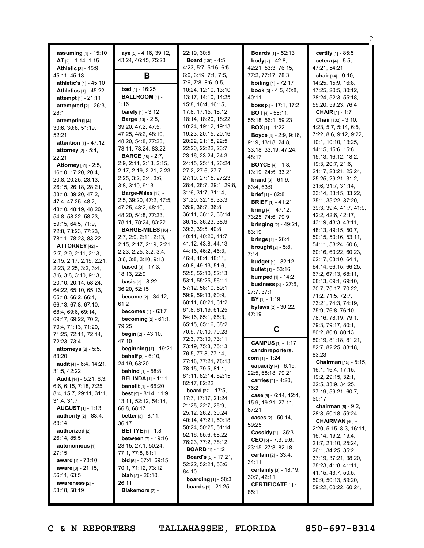|                                            |                                                          |                                               |                                                    | 2                                              |
|--------------------------------------------|----------------------------------------------------------|-----------------------------------------------|----------------------------------------------------|------------------------------------------------|
| assuming [1] - 15:10                       | aye [5] - 4:16, 39:12,                                   | 22:19, 30:5                                   | <b>Boards</b> $[1] - 52:13$                        | certify [1] - 85:5                             |
| <b>AT</b> $[2] - 1:14, 1:15$               | 43:24, 46:15, 75:23                                      | <b>Board</b> [139] - 4:5,                     | <b>body</b> [7] - 42:8,                            | cetera [4] - 5:5,                              |
| <b>Athletic</b> $[3] - 45.9$ ,             |                                                          | 4:23, 5:7, 5:16, 6:5,                         | 42:21, 53:3, 76:15,                                | 47:21, 54:21                                   |
| 45:11, 45:13                               | B                                                        | 6:6, 6:19, 7:1, 7:5,                          | 77:2, 77:17, 78:3                                  | chair [14] - 9:10,                             |
| athletic's [1] - 45:10                     |                                                          | 7:6, 7:8, 8:6, 9:5,                           | <b>boiling</b> [1] - 72:17                         | 14:25, 15:9, 16:8,                             |
| <b>Athletics [1] - 45:22</b>               | <b>bad</b> [1] - 16:25                                   | 10:24, 12:10, 13:10,                          | <b>book</b> $[3] - 4:5, 40:8,$                     | 17:25, 20:5, 30:12,                            |
| attempt [1] - 21:11                        | <b>BALLROOM</b> [1] -                                    | 13:17, 14:10, 14:25,                          | 40:11                                              | 38:24, 52:3, 55:18,                            |
| attempted $[2] - 26:3$ ,                   | 1:16                                                     | 15:8, 16:4, 16:15,                            | <b>boss</b> $[3] - 17:1, 17:2$                     | 59:20, 59:23, 76:4                             |
| 28:1                                       | <b>barely</b> [1] - $3:12$                               | 17:8, 17:15, 18:12,                           | <b>BOT</b> [4] $-$ 55:11,                          | <b>CHAIR</b> $[1] - 1:7$                       |
| attempting [4] -                           | <b>Barge</b> [13] - 2:5,                                 | 18:14, 18:20, 18:22,                          | 55:18, 56:1, 59:23                                 | Chair [102] - 3:10,                            |
| 30:6, 30:8, 51:19,                         | 39:20, 47:2, 47:5,                                       | 18:24, 19:12, 19:13,                          | <b>BOX</b> $[1]$ - 1:22                            | 4:23, 5:7, 5:14, 6:5,                          |
| 52:21                                      | 47:25, 48:2, 48:10,                                      | 19:23, 20:15, 20:16,                          | Boyce [9] - 2:9, 9:16,                             | 7:22, 8:6, 9:12, 9:22,                         |
| attention [1] - 47:12                      | 48:20, 54:8, 77:23,                                      | 20:22, 21:18, 22:5,                           | 9:19, 13:18, 24:8,                                 | 10:1, 10:10, 13:25,                            |
| <b>attorney</b> $[2] - 5:4$ ,              | 78:11, 78:24, 83:22                                      | 22:20, 22:22, 23:7,                           | 33:18, 33:19, 47:24,                               | 14:15, 15:6, 15:8,                             |
| 22:21                                      | <b>BARGE</b> [16] - 2:7,                                 | 23:16, 23:24, 24:3,                           | 48:17                                              | 15:13, 16:12, 18:2,                            |
| <b>Attorney</b> [31] - 2:5,                | 2:9, 2:11, 2:13, 2:15,                                   | 24:15, 25:14, 26:24,                          | <b>BOYCE</b> $[4] - 1:8$ ,                         | 19:3, 20:7, 21:6,                              |
| 16:10, 17:20, 20:4,                        | 2:17, 2:19, 2:21, 2:23,                                  | 27:2, 27:6, 27:7,                             | 13:19, 24:6, 33:21                                 | 21:17, 23:21, 25:24,                           |
| 20:8, 20:25, 23:13,                        | 2:25, 3:2, 3:4, 3:6,                                     | 27:10, 27:15, 27:23,                          | <b>brand</b> $[3] - 61:9$ ,                        | 25:25, 29:21, 31:2,                            |
| 26:15, 26:18, 28:21,                       | 3:8, 3:10, 9:13                                          | 28:4, 28:7, 29:1, 29:8,<br>31:6, 31:7, 31:14, | 63:4, 63:9                                         | 31:6, 31:7, 31:14,                             |
| 38:18, 39:20, 47:2,                        | Barge-Miles [13] -                                       | 31:20, 32:16, 33:3,                           | <b>brief</b> [1] - 82:8                            | 33:14, 33:15, 33:22,                           |
| 47:4, 47:25, 48:2,                         | 2:5, 39:20, 47:2, 47:5,<br>47:25, 48:2, 48:10,           | 35:9, 36:7, 36:8,                             | <b>BRIEF</b> $[1] - 41:21$                         | 35:1, 35:22, 37:20,<br>39:3, 39:4, 41:7, 41:9, |
| 48:10, 48:19, 48:20,                       | 48:20, 54:8, 77:23,                                      | 36:11, 36:12, 36:14,                          | bring $[4] - 47:12$ ,                              | 42:2, 42:6, 42:17,                             |
| 54:8, 58:22, 58:23,                        | 78:11, 78:24, 83:22                                      | 36:18, 36:23, 38:9,                           | 73:25, 74:6, 79:9                                  | 43:19, 48:3, 48:11,                            |
| 59:15, 64:5, 71:9,                         | <b>BARGE-MILES</b> [16] -                                | 39:3, 39:5, 40:8,                             | <b>bringing</b> $[2] - 49:21$ ,                    | 48:13, 49:15, 50:7,                            |
| 72:8, 73:23, 77:23,<br>78:11, 78:23, 83:22 | 2:7, 2:9, 2:11, 2:13,                                    | 40:11, 40:20, 41:7,                           | 83:19                                              | 50:15, 50:16, 53:11,                           |
| ATTORNEY [42] -                            | 2:15, 2:17, 2:19, 2:21,                                  | 41:12, 43:8, 44:13,                           | <b>brings</b> $[1] - 26:4$                         | 54:11, 58:24, 60:6,                            |
| 2:7, 2:9, 2:11, 2:13,                      | 2:23, 2:25, 3:2, 3:4,                                    | 44:16, 46:2, 46:3,                            | <b>brought</b> $[2] - 5:8$ ,                       | 60:16, 60:22, 60:23,                           |
| 2:15, 2:17, 2:19, 2:21,                    | 3:6, 3:8, 3:10, 9:13                                     | 46:4, 48:4, 48:11,                            | 7:14                                               | 62:17, 63:10, 64:1,                            |
| 2:23, 2:25, 3:2, 3:4,                      | <b>based</b> $[3] - 17:3$ ,                              | 49:8, 49:13, 51:6,                            | <b>budget</b> $[1] - 82:12$                        | 64:14, 66:15, 66:25,                           |
| 3:6, 3:8, 3:10, 9:13,                      | 18:13, 22:9                                              | 52:5, 52:10, 52:13,                           | <b>bullet</b> $[1]$ - 53:16<br>bumped $[1] - 14:2$ | 67:2, 67:13, 68:11,                            |
| 20:10, 20:14, 58:24,                       | <b>basis</b> $[3] - 8:22$ ,                              | 53:1, 55:25, 56:11,                           |                                                    | 68:13, 69:1, 69:10,                            |
| 64:22, 65:10, 65:13,                       | 36:20, 52:15                                             | 57:12, 58:10, 59:1,                           | <b>business</b> $[3] - 27:6$ ,<br>27:7, 37:1       | 70:7, 70:17, 70:22,                            |
| 65:18, 66:2, 66:4,                         | <b>become</b> $[2] - 34:12$                              | 59:9, 59:13, 60:9,                            | <b>BY</b> [1] - 1:19                               | 71:2, 71:5, 72:7,                              |
| 66:13, 67:8, 67:10,                        | 61:2                                                     | 60:11, 60:21, 61:2,                           | bylaws [2] - 30:22,                                | 73:21, 74:3, 74:19,                            |
| 68:4, 69:6, 69:14,                         | <b>becomes</b> $[1] - 63:7$                              | 61:8, 61:19, 61:25,                           | 47:19                                              | 75:9, 76:8, 76:10,                             |
| 69:17, 69:22, 70:2,                        | <b>becoming</b> $[2] - 61:1$ ,                           | 64:16, 65:1, 65:3,                            |                                                    | 78:16, 78:19, 79:1,                            |
| 70:4, 71:13, 71:20,                        | 79:25                                                    | 65:15, 65:16, 68:2,                           | C                                                  | 79:3, 79:17, 80:1,                             |
| 71:25, 72:11, 72:14,                       | <b>begin</b> $[2] - 43:10$ ,                             | 70:9, 70:10, 70:23,                           |                                                    | 80:2, 80:8, 80:13,                             |
| 72:23, 73:4                                | 47:10                                                    | 72:3, 73:10, 73:11,                           | <b>CAMPUS</b> [1] - 1:17                           | 80:19, 81:18, 81:21,                           |
| attorneys [2] - 5:5,                       | <b>beginning</b> [1] - 19:21                             | 73:19, 75:8, 75:13,<br>76:5, 77:8, 77:14,     | candnreporters.                                    | 82:7, 82:25, 83:18,                            |
| 83:20                                      | <b>behalf</b> $[3] - 6:10$ ,                             | 77:18, 77:21, 78:13,                          | com $[1] - 1:24$                                   | 83:23                                          |
| audit [4] - 6:4, 14:21,                    | 24:19, 63:20                                             | 78:15, 79:5, 81:1,                            | capacity $[4] - 6:19$ ,                            | <b>Chairman</b> [15] - 5:15,                   |
| 31:5, 42:22                                | <b>behind</b> $[1]$ - 58:8                               | 81:11, 82:14, 82:15,                          | 22:5, 68:18, 79:21                                 | 16:1, 16:4, 17:15,                             |
| <b>Audit</b> [14] - 5:21, 6:3,             | <b>BELINDA</b> $[1]$ - 1:11                              | 82:17, 82:22                                  | carries $[2] - 4:20,$                              | 19:2, 29:15, 32:1,<br>32:5, 33:9, 34:25,       |
| 6:6, 6:15, 7:18, 7:25,                     | <b>benefit</b> $[1]$ - 66:20                             | <b>board</b> $[22] - 17:5$ ,                  | 76:2                                               | 37:19, 59:21, 60:7,                            |
| 8:4, 15:7, 29:11, 31:1,                    | <b>best</b> $[9] - 8:14, 11:9,$                          | 17:7, 17:17, 21:24,                           | case $[6] - 6:14, 12:4,$                           | 60:17                                          |
| 31:4, 31:7                                 | 13:11, 52:12, 54:14,                                     | 21:25, 22:7, 25:9,                            | 15:9, 19:21, 27:11,                                | <b>chairman</b> $[5] - 9:2$ ,                  |
| <b>AUGUST</b> $[1] - 1:13$                 | 66:8, 68:17                                              | 25:12, 26:2, 30:24,                           | 67:21                                              | 28:8, 50:18, 59:24                             |
| authority $[2] - 83:4$ ,<br>83:14          | <b>better</b> [3] $-8:11,$                               | 40:14, 47:21, 50:18,                          | cases $[2] - 50:14$ ,                              | CHAIRMAN [40] -                                |
| authorized [2] -                           | 36:17                                                    | 50:24, 50:25, 51:14,                          | 59:25                                              | 2:20, 5:15, 8:3, 16:11,                        |
| 26:14, 85:5                                | <b>BETTYE</b> $[1] - 1:8$<br><b>between</b> [7] - 19:16, | 52:16, 55:6, 68:22,                           | <b>Cassidy</b> $[1]$ - 35:3                        | 16:14, 19:2, 19:4,                             |
| autonomous [1] -                           | 23:15, 27:1, 50:24,                                      | 76:23, 77:2, 78:12                            | CEO [5] - 7:3, 9:6,                                | 21:7, 21:10, 25:24,                            |
| 27:15                                      | 77:1, 77:8, 81:1                                         | <b>BOARD</b> [1] - 1:2                        | 23:15, 27:8, 82:18                                 | 26:1, 34:25, 35:2,                             |
| award $[1] - 73:10$                        | <b>bid</b> $[5] - 67:4, 69:15,$                          | <b>Board's</b> $[5] - 17:21$ ,                | <b>certain</b> $[2] - 33:4,$                       | 37:19, 37:21, 38:20,                           |
| <b>aware</b> [3] - 21:15,                  | 70:1, 71:12, 73:12                                       | 52:22, 52:24, 53:6,                           | 34:11                                              | 38:23, 41:8, 41:11,                            |
| 56:11, 63:5                                | <b>blah</b> $[2] - 26:10$ ,                              | 64:10                                         | certainly [3] - 18:19,<br>30:7, 42:11              | 41:15, 43:7, 50:5,                             |
| awareness [2] -                            | 26:11                                                    | <b>boarding</b> $[1] - 58:3$                  | <b>CERTIFICATE [1] -</b>                           | 50:9, 50:13, 59:20,                            |
| 58:18, 58:19                               | Blakemore [2] -                                          | <b>boards</b> $[1] - 21:25$                   | 85:1                                               | 59:22, 60:22, 60:24,                           |
|                                            |                                                          |                                               |                                                    |                                                |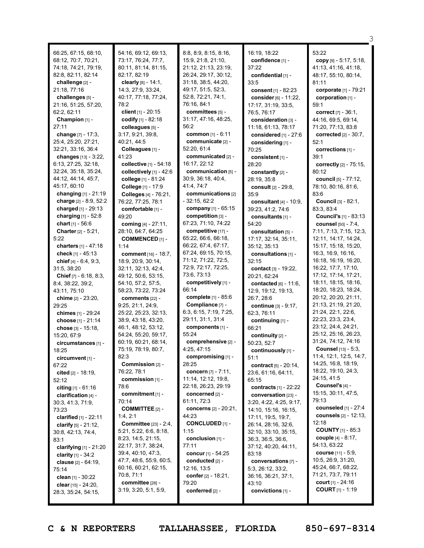|                                             |                                             |                                       |                                | З                                          |
|---------------------------------------------|---------------------------------------------|---------------------------------------|--------------------------------|--------------------------------------------|
|                                             | 54:16, 69:12, 69:13,                        | 8:8, 8:9, 8:15, 8:16,                 | 16:19, 18:22                   | 53:22                                      |
| 66:25, 67:15, 68:10,<br>68:12, 70:7, 70:21, | 73:17, 76:24, 77:7,                         | 15:9, 21:8, 21:10,                    | confidence [1] -               | copy $[9] - 5:17, 5:18,$                   |
| 74:18, 74:21, 79:19,                        | 80:11, 81:14, 81:15,                        | 21:12, 21:13, 23:19,                  | 37:22                          | 41:13, 41:16, 41:18,                       |
| 82:8, 82:11, 82:14                          | 82:17, 82:19                                | 26:24, 29:17, 30:12,                  | confidential [1] -             | 48:17, 55:10, 80:14,                       |
| challenge [2] -                             | clearly $[8] - 14:1$ ,                      | 31:18, 38:5, 44:20,                   | 33:5                           | 81:11                                      |
| 21:18, 77:16                                | 14:3, 27:9, 33:24,                          | 49:17, 51:5, 52:3,                    | consent $[1] - 82:23$          | corporate [1] - 79:21                      |
| challenges [5] -                            | 40:17, 77:18, 77:24,                        | 52:8, 72:21, 74:1,                    | consider [6] - 11:22,          | corporation [1] -                          |
| 21:16, 51:25, 57:20,                        | 78:2                                        | 76:16, 84:1                           | 17:17, 31:19, 33:5,            | 59:1                                       |
| 62:2, 62:11                                 | client $[1] - 20:15$                        | committees [5] -                      | 76:5, 76:17                    | correct $[7] - 36:1$ ,                     |
| Champion [1] -                              | codify [1] - 82:18                          | 31:17, 47:16, 48:25,                  | consideration [3] -            | 44:16, 69:5, 69:14,                        |
| 27:11                                       | colleagues [5] -                            | 56:2                                  | 11:18, 61:13, 78:17            | 71:20, 77:13, 83:8                         |
| change [7] - 17:3,                          | 3:17, 9:21, 39:8,                           | common [1] - 6:11                     | considered [1] - 27:6          | corrected $[2] - 30:7$ ,                   |
| 25:4, 25:20, 27:21,                         | 40:21, 44:5                                 | communicate [2] -                     | considering [1] -              | 52:1                                       |
| 32:21, 33:16, 36:4                          | Colleagues [1] -                            | 52:20, 61:4                           | 70:25                          | corrections [1] -                          |
| changes [13] - 3:22,                        | 41:23                                       | communicated [2] -                    | consistent [1] -               | 39:1                                       |
| 6:13, 27:25, 32:18,                         | collective [1] - 54:18                      | 16:17, 22:12                          | 28:20                          | correctly [2] - 75:15,                     |
| 32:24, 35:18, 35:24,                        | collectively [1] - 42:6                     | communication [5] -                   | constantly [2] -               | 80:12                                      |
| 44:12, 44:14, 45:7,                         | college [1] - 81:24                         | 30:9, 36:18, 40:4,                    | 28:19, 35:8                    | council [5] - 77:12,                       |
| 45:17, 60:10                                | College [1] - 17:9                          | 41:4, 74:7                            | consult [2] - 29:8,            | 78:10, 80:16, 81:6,                        |
| changing $[1] - 21:19$                      | Colleges [4] - 76:21,                       | communications [2]                    | 35:9                           | 83:6                                       |
| charge [2] - 8:9, 52:2                      | 76:22, 77:25, 78:1                          | $-32:15, 62:2$                        | consultant $[4] - 10.9$ .      | Council [3] - 82:1,                        |
| charged $[1] - 29:13$                       | comfortable [1] -                           | company [1] - 65:15                   | 39:23, 41:2, 74:6              | 83:3, 83:4                                 |
| charging $[1] - 52:8$                       | 49:20                                       | competition [3] -                     | consultants [1] -              | <b>Council's [1] - 83:13</b>               |
| chart $[1] - 56:6$                          | coming [4] - 27:11,                         | 67:23, 71:10, 74:22                   | 54:20                          | <b>counsel</b> [50] - 7:4,                 |
| <b>Charter</b> $[2] - 5:21$ ,               | 28:10, 64:7, 64:25                          | competitive [17] -                    | consultation [5] -             | 7:11, 7:13, 7:15, 12:3,                    |
| 5:22                                        | <b>COMMENCED [1] -</b>                      | 65:22, 66:6, 66:18,                   | 17:17, 32:14, 35:11,           | 12:11, 14:17, 14:24,                       |
| charters $[1] - 47:18$                      | 1:14                                        | 66:22, 67:4, 67:17,                   | 35:12, 35:13                   | 15:17, 15:18, 15:20,                       |
| check $[1] - 45:13$                         | <b>comment</b> $[16] - 18:7$ ,              | 67:24, 69:15, 70:15,                  | consultations [1] -            | 16:3, 16:9, 16:16,                         |
| chief $[4] - 6:4, 9:3,$                     | 18:9, 20:9, 30:14,                          | 71:12, 71:22, 72:5,                   | 32:15                          | 16:18, 16:19, 16:20,                       |
| 31:5, 38:20                                 | 32:11, 32:13, 42:4,                         | 72:9, 72:17, 72:25,                   | contact [3] - 19:22,           | 16:22, 17:7, 17:10,                        |
| <b>Chief</b> $[7] - 6:18, 8:3,$             | 49:12, 50:6, 53:15,                         | 73:6, 73:13                           | 20:21, 62:24                   | 17:12, 17:14, 17:21,                       |
| 8:4, 38:22, 39:2,                           | 54:10, 57:2, 57:5,                          | competitively [1] -                   | contacted $[6] - 11:6$ ,       | 18:11, 18:15, 18:16,                       |
| 43:11, 75:10                                | 58:23, 73:22, 73:24                         | 66:14                                 | 12:9, 19:12, 19:13,            | 18:20, 18:23, 18:24,                       |
| chime [2] - 23:20,                          | comments [22] -                             | complete [1] - 85:6                   | 26:7, 28:6                     | 20:12, 20:20, 21:11,                       |
| 29:25                                       | 9:25, 21:1, 24:9,                           | Compliance [7] -                      | <b>continue</b> $[3] - 9:17$ , | 21:13, 21:19, 21:20,<br>21:24, 22:1, 22:6, |
| chimes [1] - 29:24                          | 25:22, 25:23, 32:13,                        | 6:3, 6:15, 7:19, 7:25,                | 62:3, 76:11                    | 22:23, 23:3, 23:4,                         |
| choose [1] - 21:14                          | 38:9, 43:18, 43:20,                         | 29:11, 31:1, 31:4<br>components [1] - | continuing [1] -               | 23:12, 24:4, 24:21,                        |
| chose [3] - 15:18,                          | 46:1, 48:12, 53:12,<br>54:24, 55:20, 59:17, | 55:24                                 | 66:21                          | 25:12, 25:16, 26:23,                       |
| 15:20, 67:9                                 | 60:19, 60:21, 68:14,                        | comprehensive [2] -                   | continuity [2] -               | 31:24, 74:12, 74:16                        |
| circumstances [1] -                         | 75:19, 78:19, 80:7,                         | 4:25, 47:15                           | 50:23, 52:7                    | Counsel [13] - 5:3,                        |
| 18:25                                       | 82:3                                        | compromising [1] -                    | continuously [1] -<br>51:1     | 11:4, 12:1, 12:5, 14:7,                    |
| circumvent [1] -<br>67:22                   | Commission [2] -                            | 28:25                                 | contract [5] - 20:14,          | 14:25, 16:8, 18:19,                        |
| cited [2] - 18:19,                          | 76:22, 78:1                                 | concern [7] - 7:11,                   | 23:6, 61:16, 64:11,            | 18:22, 19:10, 24:3,                        |
| 52:12                                       | commission [1] -                            | 11:14, 12:12, 19:8,                   | 65:15                          | 24:15, 41:5                                |
| citing $[1] - 61:16$                        | 78:6                                        | 22:18, 26:23, 29:19                   | <b>contracts</b> $[1] - 22:22$ | Counsel's [4] -                            |
| clarification $[4]$ -                       | commitment [1] -                            | concerned $[2]$ -                     | conversation [23] -            | 15:15, 30:11, 47:5,                        |
| 30:3, 41:3, 71:9,                           | 70:14                                       | 61:11, 72:3                           | 3:20, 4:22, 4:25, 9:17,        | 79:13                                      |
| 73:23                                       | <b>COMMITTEE</b> [2] -                      | concerns [2] - 20:21,                 | 14:10, 15:16, 16:15,           | counseled [1] - 27:4                       |
| clarified $[1] - 22:11$                     | 1:4,2:1                                     | 44:23                                 | 17:11, 19:5, 19:7,             | counsels [2] - 12:13,                      |
| clarify $[5] - 21:12$ ,                     | <b>Committee</b> [23] - 2:4,                | <b>CONCLUDED [1] -</b>                | 26:14, 28:16, 32:6,            | 12:18                                      |
| 30:8, 42:13, 74:4,                          | 5:21, 5:22, 6:6, 8:18,                      | 1:15                                  | 32:10, 33:10, 35:15,           | <b>COUNTY</b> $[1]$ - 85:3                 |
| 83:1                                        | 8:23, 14:5, 21:15,                          | conclusion [1] -                      | 36:3, 36:5, 36:6,              | couple $[4] - 8:17$ ,                      |
| clarifying $[1] - 21:20$                    | 22:17, 31:7, 38:24,                         | 77:11                                 | 37:12, 40:20, 44:11,           | 54:13, 63:22                               |
| <b>clarity</b> $[1] - 34:2$                 | 39:4, 40:10, 47:3,                          | concur [1] - 54:25                    | 83:18                          | course [11] - 5:9,                         |
| <b>clause</b> [2] - 64:19,                  | 47:7, 48:6, 55:9, 60:5,                     | conducted [2] -                       | conversations [7] -            | 10:5, 26:9, 31:20,                         |
| 75:14                                       | 60:16, 60:21, 62:15,                        | 12:16, 13:5                           | 5:3, 26:12, 33:2,              | 45:24, 66:7, 68:22,                        |
| clean $[1] - 30:22$                         | 70:8, 71:1                                  | confer $[2] - 18:21$ ,                | 36:16, 36:21, 37:1,            | 71:21, 73:7, 79:11                         |
| clear $[15] - 24:20$ ,                      | committee [28] -                            | 79:20                                 | 43:10                          | <b>court</b> $[1] - 24:16$                 |
| 28:3, 35:24, 54:15,                         | 3:19, 3:20, 5:1, 5:9,                       | conferred [2] -                       | convictions [1] -              | <b>COURT</b> $[1]$ - 1:19                  |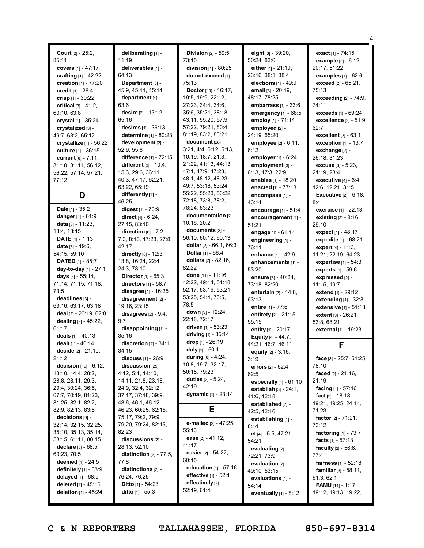| Court [2] - 25:2,<br>85:11                | deliberating [1] -                        | Division [2] - 59:5,                              | eight [3] - 39:20,                           | exa         |
|-------------------------------------------|-------------------------------------------|---------------------------------------------------|----------------------------------------------|-------------|
|                                           | 11:19                                     | 73:15<br>division [1] - 80:25                     | 50:24, 83:6                                  | ex          |
| covers [1] - 47:17                        | deliverables [1] -<br>64:13               |                                                   | either $[4] - 21:19$ ,<br>23:16, 38:1, 38:4  | 20:1        |
| crafting [1] - 42:22                      | Department [3] -                          | do-not-exceed [1] -<br>75:13                      |                                              | ex          |
| creation [1] - 77:20                      | 45:9, 45:11, 45:14                        |                                                   | elections $[1]$ - 49:9<br>email [3] - 20:19, | ex<br>75:1  |
| credit [1] - 26:4<br>crisp $[1] - 30:22$  | department [1] -                          | <b>Doctor</b> [19] - 16:17,<br>19:5, 19:9, 22:12, | 48:17, 78:25                                 | ex          |
| critical $[3] - 41:2$ ,                   | 63:6                                      | 27:23, 34:4, 34:6,                                | embarrass [1] - 33:6                         | 74:1        |
| 60:10, 63:8                               | desire $[2] - 13:12$ ,                    | 35:6, 35:21, 38:18,                               | emergency [1] - 68:5                         | ex          |
| crystal [1] - 35:24                       | 65:16                                     | 43:11, 55:20, 57:9,                               | employ [1] - 71:14                           | ex          |
| crystalized [3] -                         | desires [1] - 36:13                       | 57:22, 79:21, 80:4,                               | employed [2] -                               | 62:7        |
| 49:7, 63:2, 65:12                         | determine [1] - 80:23                     | 81:19, 83:2, 83:21                                | 24:19. 65:20                                 | ex          |
| crystallize [1] - 56:22                   | development [2] -                         | $document$ [28] -                                 | employee [2] - 6:11,                         | ex          |
| culture [1] - 36:15                       | 52:9, 55:6                                | 3:21, 4:4, 5:12, 5:13,                            | 6:12                                         | ex          |
| <b>current</b> $[8] - 7:11$ ,             | difference [1] - 72:15                    | 10:19, 18:7, 21:3,                                | employer $[1] - 6:24$                        | 26:1        |
| 31:10, 31:11, 56:12,                      | different $[9] - 10:4$ ,                  | 21:22, 41:13, 44:13,                              | employment [3] -                             | ex          |
| 56:22, 57:14, 57:21,                      | 15:3, 29:6, 36:11,                        | 47:1, 47:9, 47:23,                                | 6:13, 17:3, 22:9                             | 21:1        |
| 77:12                                     | 40:3, 47:17, 62:21,                       | 48:1, 48:12, 48:23,                               | enables [1] - 18:20                          | ex          |
|                                           | 63:22, 65:19                              | 49:7, 53:18, 53:24,                               | enacted [1] - 77:13                          | 12:6        |
| D                                         | differently [1] -                         | 55:22, 55:23, 56:22,                              | encompass [1] -                              | Ex          |
|                                           | 46:25                                     | 72:18, 73:8, 78:2,                                | 43:14                                        | 8:4         |
| <b>Dale</b> $[1]$ - 35:2                  | digest $[1] - 70.9$                       | 78:24, 83:23                                      | encourage [1] - 51:4                         | ex          |
| danger $[1] - 61:9$                       | direct $[4] - 6:24$ ,                     | documentation [2] -                               | encouragement [1] -                          | exi         |
| <b>data</b> $[3] - 11:23$ ,               | 27:15, 83:10                              | 10:16, 20:2                                       | 51:21                                        | 29:1        |
| 13:4, 13:15                               | direction $[6] - 7:2$ ,                   | documents [3] -                                   | engage [1] - 61:14                           | ex          |
| <b>DATE</b> $[1] - 1:13$                  | 7:3, 8:10, 17:23, 27:8,                   | 56:10, 60:12, 60:13                               | engineering [1] -                            | ex          |
| <b>date</b> [3] - 19:6,                   | 42:17                                     | dollar $[2] - 66:1, 66:3$                         | 76:11                                        | ex          |
| 54:15, 59:10                              | directly [6] - 12:3,                      | Dollar [1] - 66:4                                 | enhance $[1] - 42:9$                         | 11:2        |
| <b>DATED</b> [1] - 85:7                   | 13:8, 16:24, 22:4,                        | <b>dollars</b> $[2] - 82:16$ ,                    | enhancements [1] -                           | ex          |
| day-to-day [1] - 27:1                     | 24:3, 78:10                               | 82:22                                             | 53:20                                        | ex          |
| days [5] - 55:14,                         | <b>Director</b> $[1] - 65:3$              | <b>done</b> $[11] - 11:16$ ,                      | <b>ensure</b> $[3] - 40:24$ ,                | ex          |
| 71:14, 71:15, 71:18,                      | directors [1] - 58:7                      | 42:22, 49:14, 51:18,                              | 73:18, 82:20                                 | 11:1        |
| 73:5                                      | disagree [1] - 16:25                      | 52:17, 53:19, 53:21,                              | entertain [2] - 14:8,                        | ext         |
| deadlines [3] -                           | disagreement $[2]$ -                      | 53:25, 54:4, 73:5,                                | 63:13                                        | ext         |
| 63:16, 63:17, 63:18                       | 19:16, 23:15                              | 78:5                                              | <b>entire</b> [1] - 77:6                     | ext         |
| <b>deal</b> $[2] - 26:19, 62:8$           | disagrees $[2] - 9:4$ ,                   | down $[3] - 12:24$ ,                              | entirety [2] - 21:15,                        | ext         |
| dealing [2] - 45:22,                      | 9:7                                       | 22:18, 72:17                                      | 55:15                                        | 53:8        |
| 61:17                                     | disappointing [1] -                       | driven $[1]$ - 53:23                              | entity $[1] - 20:17$                         | ext         |
| deals $[1] - 40:13$                       | 35:16                                     | driving $[1]$ - 35:14                             | <b>Equity</b> [4] - 44:7,                    |             |
| dealt [1] - 40:14                         | discretion $[2] - 34:1$ ,                 | drop [1] - 26:19                                  | 44:21, 46:7, 46:11                           |             |
| decide [2] - 21:10,                       | 34:15                                     | duly [1] - 60:1                                   | equity [2] - 3:16,                           |             |
| 21:12                                     | <b>discuss</b> $[1] - 26:9$               | during $[6] - 4:24$ ,                             | 3:19                                         | fac         |
| decision $[19] - 6:12$ ,                  | discussion [25] -                         | 10:8, 19:7, 32:17,<br>50:15, 79:23                | errors $[2] - 62:4,$                         | 78:1        |
| 13:10, 14:4, 28:2,                        | 4:12, 5:1, 14:10,                         | duties $[2] - 5:24$ ,                             | 62:5                                         | fac         |
| 28:8, 28:11, 29:3,                        | 14:11, 21:8, 23:18,                       | 42:19                                             | especially $[1]$ - $61:10$                   | 21:1        |
| 29:4, 30:24, 36:5,                        | 24:9, 32:4, 32:12,                        | dynamic $[1] - 23:14$                             | <b>establish</b> $[3] - 24:1,$               | fac         |
| 67:7, 70:19, 81:23,<br>81:25, 82:1, 82:2, | 37:17, 37:18, 39:9,<br>43:6, 46:1, 46:12, |                                                   | 41:6, 42:18                                  | fac         |
| 82:9, 82:13, 83:5                         | 46:23, 60:25, 62:15,                      | Е                                                 | established [2] -                            | 19:2        |
| decisions [9] -                           | 75:17, 79:2, 79:9,                        |                                                   | 42:5, 42:16                                  | 71:2        |
| 32:14, 32:15, 32:25,                      | 79:20, 79:24, 82:15,                      | e-mailed [2] - 47:25,                             | establishing [1] -                           | fac<br>73:1 |
| 35:10, 35:13, 35:14,                      | 82:23                                     | 55:13                                             | 8:14                                         |             |
| 58:15, 61:11, 80:15                       | discussions $[2]$ -                       | ease [2] - 41:12,                                 | et $[4] - 5:5, 47:21,$                       | fac         |
| <b>declare</b> $[3] - 68:5$ ,             | 28:13, 52:10                              | 41:17                                             | 54:21                                        | fac         |
| 69:23, 70:5                               | distinction $[2] - 77:5$ ,                | easier [2] - 54:22,                               | evaluating [2] -<br>72:21, 73:9              | fac<br>77:4 |
| deemed [1] - 24:5                         | 77:8                                      | 60:15                                             | evaluation [2] -                             | fai         |
| definitely $[1]$ - $63:9$                 | distinctions $[2]$ -                      | education $[1] - 57:16$                           | 49:10, 53:15                                 | far         |
| delayed $[1] - 68.9$                      | 76:24, 76:25                              | effective [1] - 52:1                              | evaluations [1] -                            | 61:3        |
| deleted [1] - 45:16                       | <b>Ditto</b> [1] - 54:23                  | effectively [2] -                                 | 54:14                                        | FA          |
| deletion [1] - 45:24                      | <b>ditto</b> $[1] - 55:3$                 | 52:19, 61:4                                       | eventually [1] - 8:12                        | 19:1        |
|                                           |                                           |                                                   |                                              |             |

**exact** [1] - 74:15 **example** [3] - 6:12, 20:17, 51:22 **examples** [1] - 62:6 **exceed** [2] - 65:21, 75:13 **exceeding** [2] - 74:9, 74:11 **exceeds** [1] - 69:24 **excellence** [2] - 51:9, **excellent** [2] - 63:1 **exception** [1] - 13:7 **exchange** [2] - 26:18, 31:23 **excuse** [3] - 5:23, 19, 28:4 **executive** [4] - 6:4, 12:6, 12:21, 31:5 **Executive** [2] - 6:18, **exercise** [1] - 22:13 **existing** [2] - 8:16, 29:10 **expect** [1] - 48:17 **expedite** [1] - 68:21 **expert** [4] - 11:3, 11:21, 22:19, 64:23 **expertise** [1] - 54:3 **experts** [1] - 59:6 **expressed** [2] - 15, 19:7 **extend** [1] - 29:12 **extending** [1] - 32:3 **extensive** [1] - 51:13 **extent** [3] - 26:21, 8, 68:21 **external** [1] - 19:23 **F**

4

**face** [3] - 25:7, 51:25, 78:10 **faced** [2] - 21:16, 19 **facing** [1] - 57:16 **fact** [5] - 18:18, 19:21, 19:25, 24:14, 71:23 **factor** [2] - 71:21, 73:12 **factoring** [1] - 73:7 **facts** [1] - 57:13 **faculty** [2] - 56:6, 77:4 **fairness** [1] - 52:18 **familiar** [3] - 58:11, 61:3, 62:1 **FAMU** [14] - 1:17, 19:12, 19:13, 19:22,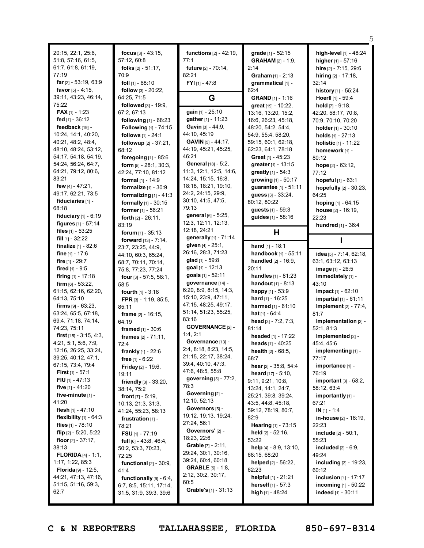| 20:15, 22:1, 25:6,<br>51:8, 57:16, 61:5,<br>61:7, 61:8, 61:19,<br>77:19<br>far $[2] - 53:19, 63:9$<br>favor $[5] - 4:15$ , | focus $[3] - 43:15$ ,<br>57:12, 60:8<br>folks $[2] - 51:17$ ,<br>70:9<br>foll $[1]$ - 68:10<br>follow [3] - 20:22, | <b>functions</b> $[2] - 42:19$ ,<br>77:1<br><b>future</b> [2] - 70:14,<br>82:21<br>FYI [1] - 47:8 | grade [1] - 52:15<br><b>GRAHAM</b> [2] - 1:9,<br>2:14<br>Graham $[1] - 2:13$<br>grammatical [1] -<br>62:4 | high-level [1] - 48:24<br>higher $[1] - 57:16$<br>hire [2] - 7:15, 29:6<br>hiring $[2] - 17:18$ ,<br>32:14<br>history [1] - 55:24 |
|----------------------------------------------------------------------------------------------------------------------------|--------------------------------------------------------------------------------------------------------------------|---------------------------------------------------------------------------------------------------|-----------------------------------------------------------------------------------------------------------|-----------------------------------------------------------------------------------------------------------------------------------|
| 39:11, 43:23, 46:14,                                                                                                       | 64:25, 71:5                                                                                                        | G                                                                                                 | <b>GRAND</b> [1] - 1:16                                                                                   | Hoerll [1] - 59:4                                                                                                                 |
| 75:22                                                                                                                      | <b>followed</b> $[3] - 19:9$ ,                                                                                     |                                                                                                   | great [19] - 10:22,                                                                                       | <b>hold</b> $[7] - 9:18$ ,                                                                                                        |
| <b>FAX</b> [1] - 1:23                                                                                                      | 67:2, 67:13                                                                                                        | gain [1] - 25:10                                                                                  | 13:16, 13:20, 15:2,                                                                                       | 42:20, 58:17, 70:8,                                                                                                               |
| fed [1] - 36:12                                                                                                            | following [1] - 68:23                                                                                              | gather [1] - 11:23<br>Gavin [3] - 44:9.                                                           | 16:6, 26:23, 45:18,                                                                                       | 70:9, 70:10, 70:20                                                                                                                |
| feedback [19] -<br>10:24, 14:1, 40:20,                                                                                     | Following [1] - 74:15                                                                                              | 44:10, 45:19                                                                                      | 48:20, 54:2, 54:4,                                                                                        | holder [1] - 30:10                                                                                                                |
| 40:21, 48:2, 48:4,                                                                                                         | follows [1] - 24:1                                                                                                 | GAVIN [5] - 44:17,                                                                                | 54:9, 55:4, 58:20,                                                                                        | holds $[1] - 27:13$                                                                                                               |
| 48:10, 48:24, 53:12,                                                                                                       | followup $[2] - 37:21$ ,                                                                                           | 44:19, 45:21, 45:25,                                                                              | 59:15, 60:1, 62:18,<br>62:23, 64:1, 78:18                                                                 | holistic [1] - 11:22                                                                                                              |
| 54:17, 54:18, 54:19,                                                                                                       | 68:12                                                                                                              | 46:21                                                                                             | <b>Great</b> $[1]$ - 45:23                                                                                | homework [1] -                                                                                                                    |
| 54:24, 56:24, 64:7,                                                                                                        | foregoing [1] - 85:6                                                                                               | General [18] - 5:2,                                                                               | greater [1] - 13:15                                                                                       | 80:12                                                                                                                             |
| 64:21, 79:12, 80:6,                                                                                                        | <b>form</b> $[5] - 28:1$ , 30:3,                                                                                   | 11:3, 12:1, 12:5, 14:6,                                                                           | <b>greatly</b> $[1] - 54:3$                                                                               | hope $[2] - 63:12$ ,<br>77:12                                                                                                     |
| 83:21                                                                                                                      | 42:24, 77:10, 81:12<br>formal [1] - 14:9                                                                           | 14:24, 15:15, 16:8,                                                                               | growing $[1] - 50:17$                                                                                     | hopeful [1] - 63:1                                                                                                                |
| few $[4] - 47:21$ ,                                                                                                        |                                                                                                                    | 18:18, 18:21, 19:10,                                                                              | guarantee [1] - 51:11                                                                                     |                                                                                                                                   |
| 49:17, 62:21, 73:5                                                                                                         | formalize $[1]$ - 30:9                                                                                             | 24:2, 24:15, 29:9,                                                                                | guess $[3] - 33:24$ ,                                                                                     | hopefully [2] - 30:23,                                                                                                            |
| fiduciaries [1] -                                                                                                          | formalizing $[1] - 41:3$                                                                                           | 30:10, 41:5, 47:5,                                                                                | 80:12, 80:22                                                                                              | 64:25                                                                                                                             |
| 68:18                                                                                                                      | formally [1] - 30:15<br>former [1] - 56:21                                                                         | 79:13                                                                                             | <b>guests</b> $[1] - 59:3$                                                                                | hoping $[1] - 64:15$<br>house $[2] - 16:19$ ,                                                                                     |
| fiduciary $[1] - 6:19$                                                                                                     | <b>forth</b> $[2] - 26:11$ ,                                                                                       | general [6] - 5:25,                                                                               | guides [1] - 58:16                                                                                        | 22:23                                                                                                                             |
| figures [1] - 57:14                                                                                                        | 83:19                                                                                                              | 12:3, 12:11, 12:13,                                                                               |                                                                                                           | hundred [1] - 36:4                                                                                                                |
| files $[1] - 53:25$                                                                                                        | forum $[1] - 35:13$                                                                                                | 12:18, 24:21                                                                                      | н                                                                                                         |                                                                                                                                   |
| fill $[1]$ - 32:22                                                                                                         | forward [13] - 7:14,                                                                                               | generally [1] - 71:14                                                                             |                                                                                                           |                                                                                                                                   |
| <b>finalize</b> $[1] - 82:6$                                                                                               | 23:7, 23:25, 44:9,                                                                                                 | given [4] - 25:1,                                                                                 | hand $[1] - 18:1$                                                                                         |                                                                                                                                   |
| fine $[1] - 17:6$                                                                                                          | 44:10, 60:3, 65:24,                                                                                                | 26:16, 28:3, 71:23                                                                                | handbook [1] - 55:11                                                                                      | idea [5] - 7:14, 62:18,                                                                                                           |
| fire [1] - 29:7                                                                                                            | 68:7, 70:11, 70:14,                                                                                                | glad $[1]$ - 59:8                                                                                 | <b>handled</b> $[2] - 16:9$ ,                                                                             | 63:1, 63:12, 63:13                                                                                                                |
| <b>fired</b> [1] - 9:5                                                                                                     | 75:8, 77:23, 77:24                                                                                                 | goal [1] - 12:13                                                                                  | 20:11                                                                                                     | image [1] - 26:5                                                                                                                  |
| firing [1] - 17:18                                                                                                         | four $[3] - 57:5, 58:1,$                                                                                           | goals [1] - 52:11                                                                                 | handles [1] - 81:23                                                                                       | immediately [1] -                                                                                                                 |
| firm $[6] - 53:22$ ,                                                                                                       |                                                                                                                    |                                                                                                   |                                                                                                           |                                                                                                                                   |
|                                                                                                                            |                                                                                                                    | governance [14] -                                                                                 | <b>handout</b> $[1] - 8:13$                                                                               | 43:10                                                                                                                             |
|                                                                                                                            | 58:5                                                                                                               | 6:20, 8:9, 8:15, 14:3,                                                                            |                                                                                                           |                                                                                                                                   |
| 61:15, 62:16, 62:20,<br>64:13, 75:10                                                                                       | <b>fourth</b> $[1] - 3:18$                                                                                         | 15:10, 23:9, 47:11,                                                                               | happy [1] - 53:9                                                                                          | impact [1] - 62:10                                                                                                                |
| firms $[9] - 63:23$ ,                                                                                                      | FPR [3] - 1:19, 85:5,                                                                                              | 47:15, 48:25, 49:17,                                                                              | hard [1] - 16:25<br>harmed [1] - 61:10                                                                    | <b>impartial</b> $[1] - 61:11$                                                                                                    |
| 63:24, 65:5, 67:18,                                                                                                        | 85:11                                                                                                              | 51:14, 51:23, 55:25,                                                                              | <b>hat</b> $[1] - 64:4$                                                                                   | <b>implement</b> [2] - 77:4,<br>81:7                                                                                              |
| 69:4, 71:18, 74:14,                                                                                                        | frame $[2] - 16:15$ ,                                                                                              | 83:16                                                                                             |                                                                                                           |                                                                                                                                   |
| 74:23, 75:11                                                                                                               | 64:19                                                                                                              | <b>GOVERNANCE [2] -</b>                                                                           | head [3] - 7:2, 7:3,<br>81:14                                                                             | implementation [2] -<br>52:1, 81:3                                                                                                |
| <b>first</b> $[15] - 3:15, 4:3,$                                                                                           | <b>framed</b> $[1] - 30:6$                                                                                         | 1:4,2:1                                                                                           | headed [1] - 17:22                                                                                        | implemented [2] -                                                                                                                 |
| 4:21, 5:1, 5:6, 7:9,                                                                                                       | frames $[2] - 71:11$ ,<br>72:4                                                                                     | Governance [13] -                                                                                 | heads [1] - 40:25                                                                                         | 45:4, 45:6                                                                                                                        |
| 12:16, 26:25, 33:24,                                                                                                       |                                                                                                                    | 2:4, 8:18, 8:23, 14:5,                                                                            | <b>health</b> $[2] - 68:5$ ,                                                                              | implementing [1] -                                                                                                                |
| 39:25, 40:12, 47:1,                                                                                                        | <b>frankly</b> $[1] - 22:6$                                                                                        | 21:15, 22:17, 38:24,                                                                              | 68:7                                                                                                      | 77:17                                                                                                                             |
| 67:15, 73:4, 79:4                                                                                                          | free $[1] - 6:22$<br><b>Friday</b> $[2] - 19:6$ ,                                                                  | 39:4, 40:10, 47:3,                                                                                | hear $[2] - 35:8, 54:4$                                                                                   | importance [1] -                                                                                                                  |
| <b>First</b> $[1] - 57:1$                                                                                                  | 19:11                                                                                                              | 47:6, 48:5, 55:8                                                                                  | <b>heard</b> $[17] - 5:10$ ,                                                                              | 76:19                                                                                                                             |
| <b>FIU</b> $[1]$ - 47:13                                                                                                   | friendly [3] - 33:20,                                                                                              | governing $[3] - 77:2$ ,                                                                          | 9:11, 9:21, 10:8,                                                                                         | important $[3] - 58:2$ ,                                                                                                          |
| five $[1] - 41:20$                                                                                                         | 38:14, 75:2                                                                                                        | 78:3                                                                                              | 13:24, 14:1, 24:7,                                                                                        | 58:12, 63:4                                                                                                                       |
| five-minute [1] -                                                                                                          | <b>front</b> $[7] - 5:19$ ,                                                                                        | Governing [2] -                                                                                   | 25:21, 39:8, 39:24,                                                                                       | importantly [1] -                                                                                                                 |
| 41:20                                                                                                                      | 10:13, 21:3, 31:3,                                                                                                 | 12:10, 52:13                                                                                      | 43:5, 44:8, 45:18,                                                                                        | 67:21                                                                                                                             |
| flesh [1] - 47:10                                                                                                          | 41:24, 55:23, 58:13                                                                                                | Governors [5] -                                                                                   | 59:12, 78:19, 80:7,                                                                                       | $IN [1] - 1:4$                                                                                                                    |
| flexibility $[1]$ - 64:3                                                                                                   | frustration [1] -                                                                                                  | 19:12, 19:13, 19:24,                                                                              | 82:9                                                                                                      | in-house [2] - 16:19,                                                                                                             |
| flies $[1]$ - 78:10                                                                                                        | 78:21                                                                                                              | 27:24, 56:1                                                                                       | Hearing [1] - 73:15                                                                                       | 22:23                                                                                                                             |
| flip $[2] - 5:20, 5:22$                                                                                                    | <b>FSU</b> $[1]$ - 77:19                                                                                           | Governors' [2] -                                                                                  | held [2] - 52:16,                                                                                         | include [2] - 50:1,                                                                                                               |
| floor $[2] - 37:17$ ,                                                                                                      | <b>full</b> $[6] - 43:8, 46:4,$                                                                                    | 18:23, 22:6                                                                                       | 53:22                                                                                                     | 55:23                                                                                                                             |
| 38:13                                                                                                                      | 50:2, 53:3, 70:23,                                                                                                 | <b>Grable</b> $[7] - 2:11$ ,                                                                      | help $[4] - 8.9, 13.10,$                                                                                  | included [2] - 6:9,                                                                                                               |
| <b>FLORIDA</b> $[4] - 1:1$ ,                                                                                               | 72:25                                                                                                              | 29:24, 30:1, 30:16,                                                                               | 68:15, 68:20                                                                                              | 49:24                                                                                                                             |
| 1:17, 1:22, 85:3                                                                                                           | functional $[2] - 30:9$ ,                                                                                          | 39:24, 60:4, 60:18                                                                                | <b>helped</b> $[2] - 56:22$                                                                               | including [2] - 19:23,                                                                                                            |
| <b>Florida</b> [9] - 12:5,                                                                                                 | 41:4                                                                                                               | <b>GRABLE</b> $[5] - 1:8$ ,                                                                       | 62:23                                                                                                     | 60:12                                                                                                                             |
| 44:21, 47:13, 47:16,                                                                                                       | functionally $[9] - 6:4$ ,                                                                                         | 2:12, 30:2, 30:17,                                                                                | helpful [1] - 21:21                                                                                       | <b>inclusion</b> $[1]$ - 17:17                                                                                                    |
| 51:15, 51:16, 59:3,<br>62:7                                                                                                | 6:7, 8:5, 15:11, 17:14,<br>31:5, 31:9, 39:3, 39:6                                                                  | 60:5<br>Grable's [1] - 31:13                                                                      | <b>herself</b> $[1] - 57:3$<br>high [1] - 48:24                                                           | incoming $[1] - 50:22$<br>indeed [1] - 30:11                                                                                      |

 $\overline{\phantom{0}}$ 5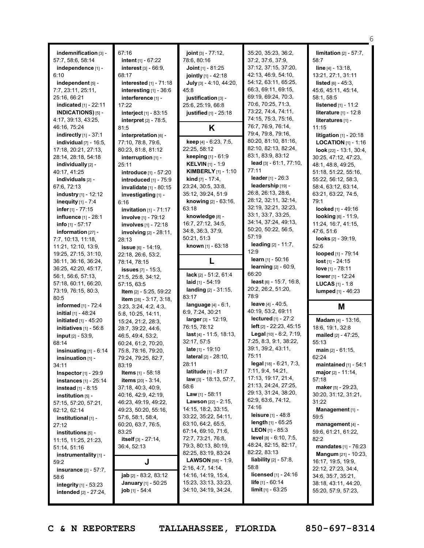|                                                                |                                                     |                                                  |                                             | 6                                           |
|----------------------------------------------------------------|-----------------------------------------------------|--------------------------------------------------|---------------------------------------------|---------------------------------------------|
| indemnification [3] -                                          | 67:16                                               | joint [3] - 77:12,                               | 35:20, 35:23, 36:2,                         | limitation $[2] - 57:7$ ,                   |
| 57:7, 58:6, 58:14                                              | intent [1] - 67:22                                  | 78:6, 80:16                                      | 37:2, 37:6, 37:9,                           | 58:7                                        |
| independence [1] -                                             | interest $[3] - 66:9$ ,                             | <b>Joint</b> $[1]$ - 81:25                       | 37:12, 37:15, 37:20,                        | <b>line</b> $[4] - 13:18$ ,                 |
| 6:10                                                           | 68:17                                               | jointly [1] - 42:18                              | 42:13, 46:9, 54:10,                         | 13:21, 27:1, 31:11                          |
| independent [5] -                                              | interested [1] - 71:18                              | July [3] - 4:10, 44:20,                          | 54:12, 63:11, 65:25,                        | <b>listed</b> $[6] - 45:3$ ,                |
| 7:7, 23:11, 25:11,                                             | interesting [1] - 36:6                              | 45:8                                             | 66:3, 69:11, 69:15,                         | 45:6, 45:11, 45:14,                         |
| 25:16, 66:21                                                   | interference [1] -                                  | justification [3] -                              | 69:19, 69:24, 70:3,                         | 58:1, 58:5                                  |
| indicated [1] - 22:11                                          | 17:22                                               | 25:6, 25:19, 66:8                                | 70:6, 70:25, 71:3,                          | <b>listened</b> [1] - 11:2                  |
| <b>INDICATIONS)</b> [5] -                                      | interject [1] - 83:15                               | justified [1] - 25:18                            | 73:22, 74:4, 74:11,                         | <b>literature</b> [1] - 12:8                |
| 4:17, 39:13, 43:25,                                            | interpret [2] - 78:5,                               |                                                  | 74:15, 75:3, 75:16,                         | literatures [1] -                           |
| 46:16, 75:24                                                   | 81:5                                                | K                                                | 76:7, 76:9, 76:14,                          | 11:15                                       |
| indirectly [1] - 37:1                                          | interpretation [6] -                                |                                                  | 79:4, 79:8, 79:16,                          | litigation $[1]$ - 20:18                    |
| individual [7] - 16:5,                                         | 77:10, 78:8, 79:6,                                  | keep [4] - 6:23, 7:5,                            | 80:20, 81:10, 81:16,                        | <b>LOCATION</b> $[1]$ - 1:16                |
| 17:18, 20:21, 27:13,                                           | 80:23, 81:8, 81:12                                  | 22:25, 58:12                                     | 82:10, 82:13, 82:24,<br>83:1, 83:9, 83:12   | <b>look</b> $[22] - 13:1, 30:4,$            |
| 28:14, 28:18, 54:18                                            | interruption [1] -                                  | keeping [1] - 61:9                               | lead [3] - 61:1, 77:10,                     | 30:25, 47:12, 47:23,                        |
| individually [2] -                                             | 25:11                                               | <b>KELVIN</b> [1] - 1:9                          | 77:11                                       | 48:1, 48:8, 49:25,                          |
| 40:17, 41:25                                                   | introduce [1] - 57:20                               | <b>KIMBERLY</b> $[1] - 1:10$                     | leader $[1] - 26:3$                         | 51:18, 51:22, 55:16,                        |
| individuals [2] -                                              | introduced [1] - 75:9                               | <b>kind</b> $[7] - 17:4$ ,<br>23:24, 30:5, 33:8, | leadership [19] -                           | 55:22, 56:12, 58:3,<br>58:4, 63:12, 63:14,  |
| 67:6, 72:13<br>industry [1] - 12:12                            | invalidate [1] - 80:15                              | 35:12, 39:24, 51:9                               | 26:8, 26:13, 28:6,                          | 63:21, 63:22, 74:5,                         |
|                                                                | investigating [1] -<br>6:16                         | knowing [2] - 63:16.                             | 28:12, 32:11, 32:14,                        | 79:1                                        |
| inequity $[1]$ - $7:4$<br>infer $[1]$ - $77:15$                | invitation [1] - 71:17                              | 63:18                                            | 32:19, 32:21, 32:23,                        | looked [1] - 49:16                          |
| influence [1] - 28:1                                           | involve [1] - 79:12                                 | knowledge [8] -                                  | 33:1, 33:7, 33:25,                          | looking [6] - 11:9,                         |
| info [1] - 57:17                                               | involves [1] - 72:18                                | 16:7, 27:12, 34:5,                               | 34:14, 37:24, 49:13,                        | 11:24, 16:7, 41:15,                         |
| information [27] -                                             | <b>involving</b> $[2] - 28:11$ ,                    | 34:8, 36:3, 37:9,                                | 50:20, 50:22, 56:5,                         | 47:6.51:6                                   |
| 7:7, 10:13, 11:18,                                             | 28:13                                               | 50:21, 51:3                                      | 57:19                                       | <b>looks</b> $[2] - 39:19$ ,                |
| 11:21, 12:10, 13:9,                                            | issue [6] - 14:19,                                  | known [1] - 63:18                                | <b>leading</b> [2] - 11:7,                  | 52:6                                        |
| 19:25, 27:15, 31:10,                                           | 22:18, 26:6, 53:2,                                  |                                                  | 12:9                                        | looped [1] - 79:14                          |
| 36:11, 36:16, 36:24,                                           | 78:14, 78:15                                        | L                                                | learn $[1] - 50:16$                         | $lost$ [1] - 24:15                          |
| 36:25, 42:20, 45:17,                                           | <b>issues</b> [7] - 15:3,                           |                                                  | <b>learning</b> [2] - 60:9,                 | love [1] - 78:11                            |
| 56:1, 56:6, 57:13,                                             | 21:5, 25:8, 34:12,                                  | lack [2] - 51:2, 61:4                            | 66:20                                       | lower $[1] - 12:24$                         |
| 57:18, 60:11, 66:20,                                           | 57:15, 63:5                                         | laid $[1] - 54:19$                               | least $[6] - 15:7, 16:8,$                   | <b>LUCAS</b> $[1] - 1:8$                    |
| 73:19, 76:15, 80:3,                                            | Item [2] - 5:25, 59:22                              | landing $[2] - 31:15$ ,                          | 20:2, 26:2, 51:20,                          | lumped [1] - 46:23                          |
| 80:5                                                           | <b>item</b> $[28] - 3:17, 3:18,$                    | 83:17                                            | 78:9                                        |                                             |
| informed [1] - 72:4                                            | 3:23, 3:24, 4:2, 4:3,                               | language $[4] - 6:1$ ,                           | leave [4] - 40:5,                           | M                                           |
| initial [1] - 48:24                                            | 5:8, 10:25, 14:11,                                  | 6:9, 7:24, 30:21                                 | 40:19, 53:2, 69:11<br>lectured $[1]$ - 27:2 |                                             |
| initiated [1] - 45:20                                          | 15:24, 21:2, 28:3,                                  | larger [3] - 12:19,<br>76:15, 78:12              | left $[2] - 22:23, 45:15$                   | Madam [4] - 13:16,                          |
| initiatives [1] - 56:8                                         | 28:7, 39:22, 44:6,                                  | last $[4] - 11:5, 18:13,$                        | Legal [10] - 6:2, 7:19,                     | 18:6, 19:1, 32:8                            |
| input [2] - 53:9,                                              | 46:5, 49:4, 53:2,                                   |                                                  | 7:25, 8:3, 9:1, 38:22,                      | mailed [2] - 47:25,                         |
| 68:14                                                          | 60:24, 61:2, 70:20,                                 | 32:17, 57:5<br>late [1] - 19:10                  | 39:1, 39:2, 43:11,                          | 55:13<br>main $[2] - 61:15$ ,               |
| insinuating $[1] - 6:14$                                       | 75:8, 78:16, 79:20,                                 | <b>lateral</b> $[2] - 28:10$ ,                   | 75:11                                       | 62:24                                       |
| insinuation [1] -<br>34:11                                     | 79:24, 79:25, 82:7,<br>83:19                        | 28:11                                            | $\log$ al [18] - 6:21, 7:3,                 | maintained $[1]$ - 54:1                     |
| <b>Inspector</b> $[1]$ - 29:9                                  | <b>Items</b> $[1] - 58:18$                          | <b>latitude</b> $[1] - 81:7$                     | 7:11, 9:4, 14:21,                           | major $[2] - 11:14$ ,                       |
| <b>instances</b> [1] - 25:14                                   | <b>items</b> [20] - 3:14,                           | $law$ [3] - 18:13, 57:7,                         | 17:13, 19:17, 21:4,                         | 57:18                                       |
| <b>instead</b> [1] - 8:15                                      | 37:18, 40:3, 40:9,                                  | 58:6                                             | 21:13, 24:24, 27:25,                        | <b>maker</b> [5] - $29:23$ ,                |
| $i$ nstitution $[5]$ -                                         | 40:16, 42:9, 42:19,                                 | <b>Law</b> [1] - 58:11                           | 29:13, 31:24, 38:20,                        | 30:20, 31:12, 31:21,                        |
| 57:15, 57:20, 57:21,                                           | 46:23, 49:19, 49:22,                                | <b>Lawson</b> $[22] - 2:15$ ,                    | 62:9, 63:6, 74:12,                          | 31:22                                       |
| 62:12, 62:14                                                   | 49:23, 50:20, 55:16,                                | 14:15, 18:2, 33:15,                              | 74:16                                       | Management [1] -                            |
| institutional [1] -                                            | 57:6, 58:1, 58:4,                                   | 33:22, 35:22, 54:11,                             | <b>leisure</b> $[1] - 48.8$                 | 59:5                                        |
| 27:12                                                          | 60:20, 63:7, 76:5,                                  | 63:10, 64:2, 65:5,                               | length $[1]$ - 65:25                        | management $[4]$ -                          |
| institutions [5] -                                             | 83:25                                               | 67:14, 69:10, 71:6,                              | <b>LEON</b> [1] - 85:3                      | 59:6, 61:21, 61:22,                         |
| 11:15, 11:25, 21:23,                                           | itself [3] - 27:14,                                 | 72:7, 73:21, 76:8,                               | <b>level</b> $[8] - 6:10, 7:5,$             | 82:2                                        |
| 51:14, 51:16                                                   | 36:4, 52:13                                         | 79:3, 80:13, 80:19,                              | 48:24, 82:15, 82:17,                        | <b>mandates</b> $[1] - 76:23$               |
| instrumentality [1] -                                          |                                                     | 82:25, 83:19, 83:24                              | 82:22, 83:13                                | <b>Mangum</b> [21] - 10:23,                 |
| 59:2                                                           | J                                                   | <b>LAWSON</b> $[58] - 1:9$ ,                     | <b>liability</b> $[2] - 57:8$ ,<br>58:8     | 16:17, 19:5, 19:9,                          |
| <b>insurance</b> [2] - 57:7,                                   |                                                     | 2:16, 4:7, 14:14,<br>14:16, 14:19, 15:4,         | <b>licensed</b> $[1]$ - 24:16               | 22:12, 27:23, 34:4,                         |
| 58:6                                                           | jab [2] - 83:2, 83:12<br><b>January</b> [1] - 50:25 | 15:23, 33:13, 33:23,                             | life [1] - 60:14                            | 34:6, 35:7, 35:21,                          |
| <b>integrity</b> $[1]$ - 53:23<br><b>intended</b> [2] - 27:24, | job [1] - 54:4                                      | 34:10, 34:19, 34:24,                             | <b>limit</b> $[1]$ - 63:25                  | 38:18, 43:11, 44:20,<br>55:20, 57:9, 57:23, |
|                                                                |                                                     |                                                  |                                             |                                             |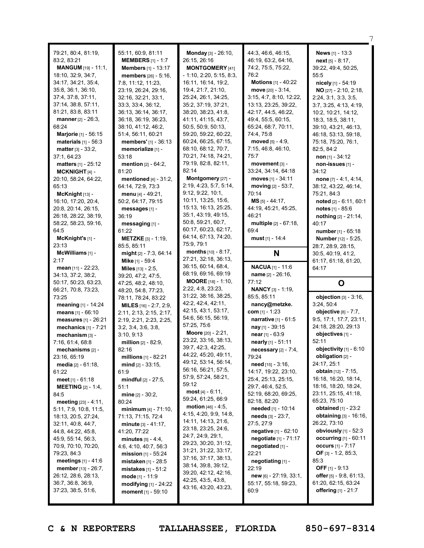| 79:21, 80:4, 81:19,<br>83:2, 83:21<br><b>MANGUM</b> [19] - 11:1,<br>18:10, 32:9, 34:7,<br>34:17, 34:21, 35:4,<br>35:8, 36:1, 36:10,<br>37:4, 37:8, 37:11,<br>37:14, 38:8, 57:11,<br>81:21, 83:8, 83:11<br>manner [2] - 26:3,<br>68:24<br><b>Marjorie</b> [1] - 56:15<br>materials $[1] - 56:3$<br><b>matter</b> $[3] - 33:2$ ,<br>37:1, 64:23<br><b>matters</b> [1] - 25:12<br>MCKNIGHT $[4]$ -<br>20:10, 58:24, 64:22,<br>65:13<br>$McKnight$ [13] -                                                                                                                                                                                                                                         | 55:11, 60:9, 81:11<br><b>MEMBERS</b> $[1] - 1:7$<br><b>Members</b> [1] - 13:17<br>members [26] - 5:16,<br>7:8, 11:12, 11:23,<br>23:19, 26:24, 29:16,<br>32:16, 32:21, 33:1,<br>33:3, 33:4, 36:12,<br>36:13, 36:14, 36:17,<br>36:18, 36:19, 36:23,<br>38:10, 41:12, 46:2,<br>51:4, 56:11, 60:21<br>members' [1] - 36:13<br>memorialize [1] -<br>53:18<br>mention [2] - 64:2,<br>81:20<br>mentioned $[4] - 31:2$ ,<br>64:14, 72:9, 73:3<br>menu [4] - 49:21,                                                                                                                                                                                                                                                                     | Monday [3] - 26:10,<br>26:15, 26:16<br><b>MONTGOMERY</b> [41]<br>$-1:10, 2:20, 5:15, 8:3,$<br>16:11, 16:14, 19:2,<br>19:4, 21:7, 21:10,<br>25:24, 26:1, 34:25,<br>35:2, 37:19, 37:21,<br>38:20, 38:23, 41:8,<br>41:11, 41:15, 43:7,<br>50:5, 50:9, 50:13,<br>59:20, 59:22, 60:22,<br>60:24, 66:25, 67:15,<br>68:10, 68:12, 70:7,<br>70:21, 74:18, 74:21,<br>79:19, 82:8, 82:11,<br>82:14<br>Montgomery [27] -<br>2:19, 4:23, 5:7, 5:14,<br>9:12, 9:22, 10:1,                                                                                                                                                                                                                                    | 44:3, 46:6, 46:15,<br>46:19, 63:2, 64:16,<br>74:2, 75:5, 75:22,<br>76:2<br>Motions [1] - 40:22<br>move $[20] - 3:14$ ,<br>3:15, 4:7, 8:10, 12:22,<br>13:13, 23:25, 39:22,<br>42:17, 44:5, 46:22,<br>49:4, 55:5, 60:15,<br>65:24, 68:7, 70:11,<br>74:4, 75:8<br>moved $[5] - 4:9$ ,<br>7:15, 46:8, 46:10,<br>75:7<br>movement [3] -<br>33:24, 34:14, 64:18<br>moves [1] - 34:11<br>moving [2] - 53:7,<br>70:14                                                                                                                                                                                                                     | <b>News</b> $[1] - 13:3$<br>$next_{[5]} - 8:17$ ,<br>39:22, 49:4, 50:25,<br>55:5<br>nicely [1] - 54:19<br>NO [27] - 2:10, 2:18,<br>2:24, 3:1, 3:3, 3:5,<br>3:7, 3:25, 4:13, 4:19,<br>10:2, 10:21, 14:12,<br>18:3, 18:5, 38:11,<br>39:10, 43:21, 46:13,<br>46:18, 53:13, 59:18,<br>75:18, 75:20, 76:1,<br>82:5, 84:2<br>non [1] - $34:12$<br>non-issues [1] -<br>34:12<br>none $[7] - 4.1, 4.14$ .<br>38:12, 43:22, 46:14,<br>75:21, 84:3                                                                                                                                                                                                 |
|-----------------------------------------------------------------------------------------------------------------------------------------------------------------------------------------------------------------------------------------------------------------------------------------------------------------------------------------------------------------------------------------------------------------------------------------------------------------------------------------------------------------------------------------------------------------------------------------------------------------------------------------------------------------------------------------------|--------------------------------------------------------------------------------------------------------------------------------------------------------------------------------------------------------------------------------------------------------------------------------------------------------------------------------------------------------------------------------------------------------------------------------------------------------------------------------------------------------------------------------------------------------------------------------------------------------------------------------------------------------------------------------------------------------------------------------|-------------------------------------------------------------------------------------------------------------------------------------------------------------------------------------------------------------------------------------------------------------------------------------------------------------------------------------------------------------------------------------------------------------------------------------------------------------------------------------------------------------------------------------------------------------------------------------------------------------------------------------------------------------------------------------------------|-----------------------------------------------------------------------------------------------------------------------------------------------------------------------------------------------------------------------------------------------------------------------------------------------------------------------------------------------------------------------------------------------------------------------------------------------------------------------------------------------------------------------------------------------------------------------------------------------------------------------------------|------------------------------------------------------------------------------------------------------------------------------------------------------------------------------------------------------------------------------------------------------------------------------------------------------------------------------------------------------------------------------------------------------------------------------------------------------------------------------------------------------------------------------------------------------------------------------------------------------------------------------------------|
| 16:10, 17:20, 20:4,<br>20:8, 20:14, 26:15,<br>26:18, 28:22, 38:19,<br>58:22, 58:23, 59:16,<br>64:5<br>McKnight's $[1]$ -<br>23:13<br>$McWilliams$ [1] -<br>2:17                                                                                                                                                                                                                                                                                                                                                                                                                                                                                                                               | 50:2, 64:17, 79:15<br>messages [1] -<br>36:19<br>messaging [1] -<br>61:22<br><b>METZKE</b> $[3] - 1:19$ ,<br>85:5, 85:11<br>might [2] - 7:3, 64:14<br>Mike [1] - 59:4                                                                                                                                                                                                                                                                                                                                                                                                                                                                                                                                                          | 10:11, 13:25, 15:6,<br>15:13, 16:13, 25:25,<br>35:1, 43:19, 49:15,<br>50:8, 59:21, 60:7,<br>60:17, 60:23, 62:17,<br>64:14, 67:13, 74:20,<br>75:9, 79:1<br><b>months</b> $[10] - 8:17$ ,<br>27:21, 32:18, 36:13,<br>36:15, 60:14, 68:4,                                                                                                                                                                                                                                                                                                                                                                                                                                                          | $MS$ [5] - 44:17,<br>44:19, 45:21, 45:25,<br>46:21<br>multiple [2] - 67:18,<br>69:4<br>must [1] - 14:4<br>N<br><b>NACUA</b> [1] - 11:6                                                                                                                                                                                                                                                                                                                                                                                                                                                                                            | noted [2] - 6:11, 60:1<br><b>notes</b> [1] - 85:6<br>nothing $[2] - 21:14$ ,<br>40:17<br>number [1] - 65:18<br>Number [12] - 5:25,<br>28:7, 28:9, 28:15,<br>30:5, 40:19, 41:2,<br>61:17, 61:18, 61:20,                                                                                                                                                                                                                                                                                                                                                                                                                                   |
| <b>mean</b> $[11] - 22:23$ ,<br>34:13, 37:2, 38:2,<br>50:17, 50:23, 63:23,<br>66:21, 70:8, 73:23,<br>73:25<br>meaning [1] - 14:24<br>means [1] - 66:10<br>measures [1] - 26:21<br>mechanics [1] - 7:21<br>mechanism [3] -<br>7:16, 61:4, 68:8<br>mechanisms [2] -<br>23:16, 65:19<br><b>media</b> $[2] - 61:18$ ,<br>61:22<br>meet $[1] - 61:18$<br><b>MEETING</b> $[2] - 1:4$ ,<br>84:5<br><b>meeting</b> $[23] - 4:11$ ,<br>5:11, 7:9, 10:8, 11:5,<br>18:13, 20:5, 27:24,<br>32:11, 40:8, 44:7,<br>44:8, 44:22, 45:8,<br>45:9, 55:14, 56:3,<br>70:9, 70:10, 70:20,<br>79:23, 84:3<br><b>meetings</b> $[1] - 41:6$<br><b>member</b> [13] - 26:7,<br>26:12, 28:6, 28:13,<br>36:7, 36:8, 36:9, | <b>Miles</b> $[13] - 2:5$ ,<br>39:20, 47:2, 47:5,<br>47:25, 48:2, 48:10,<br>48:20, 54:8, 77:23,<br>78:11, 78:24, 83:22<br>MILES [16] - 2:7, 2:9,<br>2:11, 2:13, 2:15, 2:17,<br>2:19, 2:21, 2:23, 2:25,<br>3:2, 3:4, 3:6, 3:8,<br>3:10, 9:13<br><b>million</b> $[2] - 82:9$ ,<br>82:16<br>millions $[1] - 82:21$<br>$mid$ [2] - 33:15,<br>61:9<br><b>mindful</b> $[2] - 27:5$ ,<br>51:1<br>mine $[2] - 30:2$ ,<br>80:24<br>minimum $[4] - 71:10$ ,<br>71:13, 71:15, 72:4<br><b>minute</b> $[3] - 41:17$ ,<br>41:20, 77:22<br><b>minutes</b> $[5] - 4:4,$<br>4:6, 4:10, 40:7, 56:3<br><b>mission</b> $[1]$ - 55:24<br><b>mistaken</b> $[1] - 28:5$<br><b>mistakes</b> $[1] - 51:2$<br>mode [1] - 11:9<br>modifying $[1]$ - 24:22 | 68:19, 69:16, 69:19<br><b>MOORE</b> $[18] - 1:10$ ,<br>2:22, 4:8, 23:23,<br>31:22, 38:16, 38:25,<br>42:2, 42:4, 42:11,<br>42:15, 43:1, 53:17,<br>54:6, 56:15, 56:19,<br>57:25, 75:6<br><b>Moore</b> $[20] - 2:21$ ,<br>23:22, 33:16, 38:13,<br>39:7, 42:3, 42:25,<br>44:22, 45:20, 49:11,<br>49:12, 53:14, 56:14,<br>56:16, 56:21, 57:5,<br>57:9, 57:24, 58:21,<br>59:12<br>most $[4] - 6:11$ ,<br>59:24, 61:25, 66:9<br><b>motion</b> $[46] - 4:5$ ,<br>4:15, 4:20, 9:9, 14:8,<br>14:11, 14:13, 21:6,<br>23:18, 23:25, 24:6,<br>24:7, 24:9, 29:1,<br>29:23, 30:20, 31:12,<br>31:21, 31:22, 33:17,<br>37:16, 37:17, 38:13,<br>38:14, 39:8, 39:12,<br>39:20, 42:12, 42:16,<br>42:25, 43:5, 43:8, | <b>name</b> $[2] - 26:16$ ,<br>77:12<br><b>NANCY</b> $[3] - 1:19$ ,<br>85:5, 85:11<br>nancy@metzke.<br><b>com</b> [1] - 1:23<br>narrative [1] - 61:5<br>$\text{may}$ [1] - 39:15<br>near [1] - 63:9<br>nearly [1] - 51:11<br>necessary $[2] - 7:4$ ,<br>79:24<br>need [15] - 3:16,<br>14:17, 19:22, 23:10,<br>25:4, 25:13, 25:15,<br>29:7, 46:4, 52:5,<br>52:19, 68:20, 69:25,<br>82:18, 82:20<br>needed [1] - 10:14<br><b>needs</b> $[3] - 23:7$ ,<br>27:5, 27:9<br>negative [1] - 62:10<br>negotiate [1] - 71:17<br>negotiated [1] -<br>22:21<br>negotiating [1] -<br>22:19<br>$new$ [6] - 27:19, 33:1,<br>55:17, 55:18, 59:23, | 64:17<br>O<br>objection [3] - 3:16,<br>3:24, 50:4<br>objective $[8] - 7:7$ ,<br>9:5, 17:1, 17:7, 23:11,<br>24:18, 28:20, 29:13<br>objectives [1] -<br>52:11<br>objectivity $[1]$ - $6:10$<br>obligation [2] -<br>24:17, 25:1<br><b>obtain</b> $[12] - 7:15$ ,<br>16:18, 16:20, 18:14,<br>18:16, 18:20, 18:24,<br>23:11, 25:15, 41:18,<br>65:23, 75:10<br><b>obtained</b> [1] - 23:2<br><b>obtaining</b> $[3] - 16:16$ ,<br>26:22, 73:10<br>obviously $[1]$ - 52:3<br><b>occurring</b> $[1] - 60:11$<br>occurs $[1] - 7:17$<br><b>OF</b> [3] - 1:2, 85:3,<br>85:3<br>OFF $[1] - 9:13$<br>offer $[5] - 9.8, 61.13,$<br>61:20, 62:15, 63:24 |

7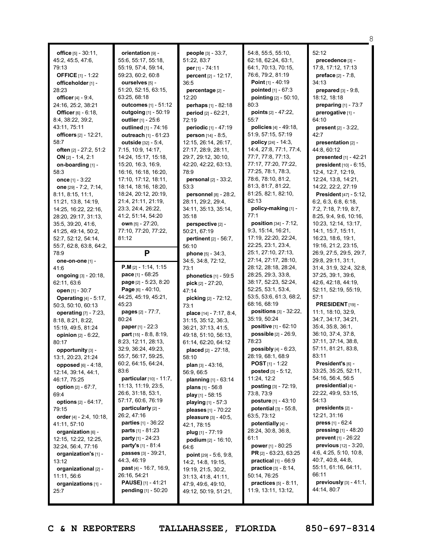|                                      |                                                    |                                              |                                                          | 8                                             |
|--------------------------------------|----------------------------------------------------|----------------------------------------------|----------------------------------------------------------|-----------------------------------------------|
| office $[5] - 30:11$ ,               | orientation [9] -                                  | people [3] - 33:7,                           | 54:8, 55:5, 55:10,                                       | 52:12                                         |
| 45:2, 45:5, 47:6,                    | 55:6, 55:17, 55:18,                                | 51:22, 83:7                                  | 62:18, 62:24, 63:1,                                      | precedence [3] -                              |
| 79:13                                | 55:19, 57:4, 59:14,                                | per [1] - 74:11                              | 64:1, 70:13, 70:15,                                      | 17:8, 17:12, 17:13                            |
| <b>OFFICE</b> [1] - 1:22             | 59:23, 60:2, 60:8                                  | percent [2] - 12:17,                         | 76:6, 79:2, 81:19                                        | <b>preface</b> $[2] - 7:8$                    |
| officeholder [1] -                   | ourselves [5] -                                    | 36:5                                         | Point $[1] - 40:19$                                      | 34:13                                         |
| 28:23                                | 51:20, 52:15, 63:15,                               | percentage [2] -                             | pointed [1] - 67:3                                       | prepared [3] - 9:8,                           |
| officer [4] - 9:4,                   | 63:25, 68:18                                       | 12:20                                        | pointing [2] - 50:10,                                    | 18:12, 18:18                                  |
| 24:16, 25:2, 38:21                   | <b>outcomes</b> [1] - 51:12                        | perhaps $[1] - 82:18$                        | 80:3                                                     | preparing $[1]$ - 73:7                        |
| Officer [6] - 6:18,                  | outgoing [1] - 50:19                               | period [2] - 62:21,                          | points $[2] - 47:22$ ,                                   | prerogative [1] -                             |
| 8:4, 38:22, 39:2,                    | outlier [1] - 25:6                                 | 72:19                                        | 55:7                                                     | 64:10                                         |
| 43:11, 75:11                         | outlined [1] - 74:16                               | periodic [1] - 47:19                         | policies [4] - 49:18.                                    | present $[2] - 3:22$ ,                        |
| officers [2] - 12:21,                | <b>outreach</b> $[1] - 61:23$                      | person [14] - 8:5,                           | 51:9, 57:15, 57:19                                       | 42:7                                          |
| 58:7                                 | outside [32] - 5:4,                                | 12:15, 26:14, 26:17,                         | <b>policy</b> $[24] - 14:3$ ,                            | presentation [2] -                            |
| often [2] - 27:2, 51:2               | 7:15, 10:9, 14:17,                                 | 27:17, 28:9, 28:11,                          | 14:4, 27:8, 77:1, 77:4,                                  | 44:8, 60:12                                   |
| ON $[2] - 1:4, 2:1$                  | 14:24, 15:17, 15:18,                               | 29:7, 29:12, 30:10,                          | 77:7, 77:8, 77:13,                                       | <b>presented</b> $[1] - 42:21$                |
| on-boarding [1] -                    | 15:20, 16:3, 16:9,                                 | 42:20, 42:22, 63:13,                         | 77:17, 77:20, 77:22,                                     | president [10] - 6:15,                        |
| 58:3                                 | 16:16, 16:18, 16:20,                               | 78:9                                         | 77:25, 78:1, 78:3,                                       | 12:4, 12:7, 12:19,                            |
| once $[1] - 3:22$                    | 17:10, 17:12, 18:11,                               | personal [2] - 33:2,                         | 78:6, 78:10, 81:2,                                       | 12:24, 13:8, 14:21,                           |
| one [29] - 7:2, 7:14,                | 18:14, 18:16, 18:20,                               | 53:3                                         | 81:3, 81:7, 81:22,                                       | 14:22, 22:2, 27:19                            |
| 8:11, 8:15, 11:1,                    | 18:24, 20:12, 20:19,                               | personnel [8] - 28:2,                        | 81:25, 82:1, 82:10,                                      | President [47] - 5:12,                        |
| 11:21, 13:8, 14:19,                  | 21:4, 21:11, 21:19,                                | 28:11, 29:2, 29:4,                           | 82:13                                                    | 6:2, 6:3, 6:8, 6:18,                          |
| 14:25, 16:22, 22:16,                 | 23:3, 24:4, 26:22,                                 | 34:11, 35:13, 35:14,                         | policy-making [1] -                                      | 7:2, 7:18, 7:19, 8:7,                         |
| 28:20, 29:17, 31:13,                 | 41:2, 51:14, 54:20                                 | 35:18                                        | 77:1                                                     | 8:25, 9:4, 9:6, 10:16,                        |
| 35:5, 39:20, 41:6,                   | own [5] - 27:20,                                   | perspective [2] -                            | <b>position</b> $[34] - 7:12$ ,                          | 10:23, 12:14, 13:17,                          |
| 41:25, 49:14, 50:2,                  | 77:10, 77:20, 77:22,                               | 50:21, 67:19                                 | 9:3, 15:14, 16:21,                                       | 14:1, 15:7, 15:11,                            |
| 52:7, 52:12, 54:14,                  | 81:12                                              | <b>pertinent</b> [2] - 56:7,                 | 17:19, 22:20, 22:24,                                     | 16:23, 18:6, 19:1,                            |
| 55:7, 62:8, 63:8, 64:2,              |                                                    | 56:10                                        | 22:25, 23:1, 23:4,<br>25:1, 27:10, 27:13,                | 19:16, 21:2, 23:15,                           |
| 78:9                                 | P                                                  | <b>phone</b> $[5] - 34:3$ ,                  | 27:14, 27:17, 28:10,                                     | 26:9, 27:5, 29:5, 29:7,<br>29:8, 29:11, 31:1, |
| one-on-one [1] -<br>41:6             | <b>P.M</b> $[2] - 1:14, 1:15$                      | 34:5, 34:8, 72:12,<br>73:1                   | 28:12, 28:18, 28:24,                                     | 31:4, 31:9, 32:4, 32:8,                       |
| <b>ongoing</b> [3] - 20:18,          | <b>pace</b> $[1] - 68:25$                          | phonetics [1] - 59:5                         | 28:25, 29:3, 33:8,                                       | 37:25, 39:1, 39:6,                            |
| 62:11, 63:6                          | page [2] - 5:23, 8:20                              | pick [2] - 27:20,                            | 38:17, 52:23, 52:24,                                     | 42:6, 42:18, 44:19,                           |
| open [1] - 30:7                      | Page $[6] - 40:10$ ,                               | 47:14                                        | 52:25, 53:1, 53:4,                                       | 52:11, 52:19, 55:19,                          |
| <b>Operating</b> $[4] - 5:17$ ,      | 44:25, 45:19, 45:21,                               | picking [2] - 72:12,                         | 53:5, 53:6, 61:3, 68:2,                                  | 57:1                                          |
| 50:3, 50:10, 60:13                   | 45:23                                              | 73:1                                         | 68:16, 68:19                                             | PRESIDENT [19] -                              |
| operating [7] - 7:23,                | pages [2] - 77:7,                                  | place [14] - 7:17, 8:4,                      | positions [3] - 32:22,                                   | 11:1, 18:10, 32:9,                            |
| 8:18, 8:21, 8:22,                    | 80:24                                              | 31:15, 35:12, 36:3,                          | 35:19, 50:24                                             | 34:7, 34:17, 34:21,                           |
| 15:19, 49:5, 81:24                   | <b>paper</b> $[1] - 22:3$                          | 36:21, 37:13, 41:5,                          | positive [1] - 62:10                                     | 35:4, 35:8, 36:1,                             |
| opinion $[2] - 6:22$ ,               | part [15] - 8:8, 8:19,                             | 49:18, 51:10, 56:13,                         | possible [2] - 26:9,                                     | 36:10, 37:4, 37:8,                            |
| 80:17                                | 8:23, 12:11, 28:13,                                | 61:14, 62:20, 64:12                          | 78:23                                                    | 37:11, 37:14, 38:8,                           |
| opportunity [3] -                    | 32:9, 36:24, 49:23,                                | placed [2] - 27:18,                          | possibly $[4] - 6:23$ ,                                  | 57:11, 81:21, 83:8,                           |
| 13:1, 20:23, 21:24                   | 55:7, 56:17, 59:25,                                | 58:10                                        | 28:19, 68:1, 68:9                                        | 83:11<br>President's [6] -                    |
| <b>opposed</b> $[6] - 4:18$ ,        | 60:2, 64:15, 64:24,<br>83:6                        | plan [3] - 43:16,                            | <b>POST</b> $[1]$ - 1:22<br><b>posted</b> $[3] - 5:12$ , | 33:25, 35:25, 52:11,                          |
| 12:14, 39:14, 44:1,                  | particular [10] - 11:7,                            | 56:9, 66:5                                   | 11:24, 12:2                                              | 54:16, 56:4, 56:5                             |
| 46:17, 75:25                         | 11:13, 11:19, 23:5,                                | planning $[1] - 63:14$<br>plans $[1] - 56.8$ | posting [3] - 72:19,                                     | presidential [4] -                            |
| <b>option</b> $[2] - 67:7$ ,<br>69:4 | 26:6, 31:18, 53:1,                                 | play $[1]$ - 58:15                           | 73:8, 73:9                                               | 22:22, 49:9, 53:15,                           |
| options $[2] - 64:17$ ,              | 57:17, 60:6, 76:19                                 | playing $[1] - 57:3$                         | posture [1] - 43:10                                      | 54:13                                         |
| 79:15                                | particularly [2] -                                 | pleases [1] - 70:22                          | potential $[3] - 55:8$ ,                                 | presidents [2] -                              |
| order $[4] - 2:4, 10:18,$            | 26:2, 47:16                                        | pleasure [3] - 40:5,                         | 63:5, 73:12                                              | 12:21, 31:16                                  |
| 41:11, 57:10                         | parties [1] - 36:22                                | 42:1, 78:15                                  | potentially [4] -                                        | <b>press</b> $[1] - 62:4$                     |
| organization [6] -                   | <b>parts</b> $[1] - 81:23$                         | plug $[1] - 77:19$                           | 28:24, 30:8, 36:8,                                       | <b>pressing</b> $[1] - 48:20$                 |
| 12:15, 12:22, 12:25,                 | <b>party</b> [1] - 24:23                           | <b>podium</b> $[2] - 16:10$ ,                | 61:1                                                     | <b>prevent</b> $[1]$ - 26:22                  |
| 32:24, 56:4, 77:16                   | <b>party's</b> [1] - 81:4                          | 64:6                                         | power $[1] - 80:25$                                      | <b>previous</b> $[12] - 3:20$ ,               |
| organization's [1] -                 | passes [3] - 39:21,                                | <b>point</b> $[29] - 5:6, 9:8,$              | <b>PR</b> [2] - 63:23, 63:25                             | 4:6, 4:25, 5:10, 10:8,                        |
| 13:12                                | 44:3, 46:19                                        | 14:2, 14:8, 19:15,                           | practical $[1]$ - 66:9                                   | 40:7, 40:8, 44:8,                             |
| organizational [2] -                 | <b>past</b> $[4] - 16:7, 16:9,$                    | 19:19, 21:5, 30:2,                           | practice [3] - 8:14,                                     | 55:11, 61:16, 64:11,<br>66:11                 |
| 11:11, 56:6                          | 26:16, 54:21                                       | 31:13, 41:8, 41:11,                          | 50:14, 76:25                                             | previously $[3] - 41:1$ ,                     |
| organizations [1] -                  | <b>PAUSE)</b> $[1] - 41:21$<br>pending [1] - 50:20 | 47:9, 49:6, 49:10,                           | <b>practices</b> $[5] - 8:11$ ,<br>11:9, 13:11, 13:12,   | 44:14, 80:7                                   |
| 25:7                                 |                                                    | 49:12, 50:19, 51:21,                         |                                                          |                                               |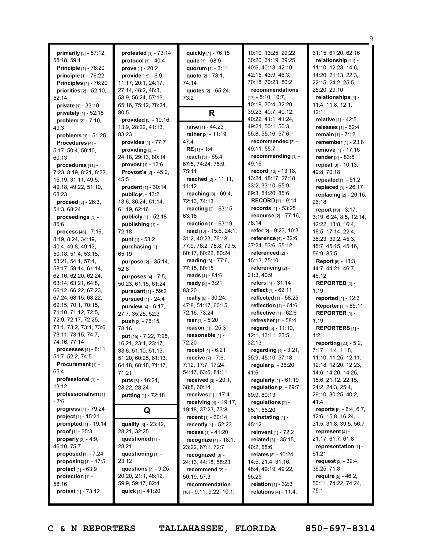|                                                 |                                 |                                         |                                 | 9                                |
|-------------------------------------------------|---------------------------------|-----------------------------------------|---------------------------------|----------------------------------|
|                                                 | protested [1] - 73:14           |                                         | 10:10, 13:25, 29:22,            | 61:15, 61:20, 62:16              |
| <b>primarily</b> $[3] - 57:12$ ,<br>58:18, 59:1 | protocol [1] - 40:4             | quickly [1] - 76:18<br>quite [1] - 68:9 | 30:20, 31:19, 39:25,            | relationship [11] -              |
| <b>Principle</b> $[1]$ - 76:20                  |                                 | quorum [1] - 3:11                       | 40:6, 40:13, 42:10,             | 11:10, 12:23, 14:6,              |
|                                                 | <b>prove</b> [1] - $20:2$       |                                         | 42:15, 43:9, 46:3,              | 14:20, 21:13, 22:3,              |
| principle [1] - 76:22                           | provide [15] - 6:9,             | quote $[2] - 73:1$ ,                    | 70:18, 70:23, 80:2              | 22:15, 24:2, 25:5,               |
| <b>Principles</b> [1] - 76:20                   | 11:17, 20:1, 24:17,             | 74:14                                   | recommendations                 | 25:20, 29:10                     |
| priorities $[2] - 52:10$ ,                      | 27:14, 48:2, 48:3,              | quotes [2] - 65:24,                     | $[17] - 5:10, 10:7,$            |                                  |
| 52:14                                           | 53:9, 56:24, 57:13,             | 73:2                                    | 10:19, 30:4, 32:20,             | relationships [4] -              |
| private [1] - 33:10                             | 65:16, 75:12, 78:24,            |                                         | 39:23, 40:7, 40:12,             | 11:4, 11:8, 12:1,<br>12:11       |
| privately [1] - 52:18                           | 80:5                            | R                                       | 40:22, 41:1, 41:24,             | relative [1] - 42:5              |
| problem [2] - 7:10,                             | provided [5] - 10:16,           |                                         | 49:21, 50:1, 50:3,              |                                  |
| 49:3                                            | 13:9, 28:22, 41:13,             | raise $[1] - 44:23$                     |                                 | releases [1] - 62:4              |
| problems [1] - 51:25                            | 83:23                           | rather $[2] - 11:19$ .                  | 55:8, 55:16, 57:6               | remain $[1] - 7:12$              |
| Procedures [4] -                                | provides [1] - 77:7             | 47:4                                    | recommended [2] -               | remember [1] - 23:8              |
| 5:17, 50:4, 50:10,                              | $proxiding [3] -$               | $RE [1] - 1:4$                          | 49:11, 55:7                     | remove [1] - 17:16               |
| 60:13                                           | 24:18, 29:13, 80:14             | reach $[5] - 65:4$ ,                    | recommending [1] -              | render [2] - 83:5                |
| procedures [11] -                               | <b>provost</b> $[1] - 12:6$     | 67:5, 74:24, 75:9,                      | 49:16                           | repeat [3] - 10:13,              |
| 7:23, 8:19, 8:21, 8:22,                         | <b>Provost's</b> $[2] - 45:2$ , | 75:11                                   | record [10] - 13:18,            | 49:8, 70:18                      |
| 15:19, 31:11, 49:5,                             | 45:5                            | reached $[2] - 11:11$ ,                 | 13:24, 18:17, 27:18,            | repeated [1] - 51:2              |
| 49:18, 49:22, 51:10,                            | prudent [1] - 30:14             | 11:12                                   | 33:2, 33:10, 65:9,              | replaced [1] - 26:17             |
| 68:23                                           | <b>public</b> $[6] - 13:2$ ,    | reaching [3] - 69:4,                    | 69:3, 81:20, 85:6               | replacing [2] - 26:15,           |
| <b>proceed</b> $[3] - 26:3$ ,                   | 13:6, 36:24, 61:14,             | 72:13, 74:13                            | <b>RECORD</b> [1] - 9:14        | 26:18                            |
| 51:3, 68:24                                     | 61:19, 62:16                    | reacting [2] - 63:15,                   | records [1] - 53:25             | report [19] - 3:17,              |
| proceedings [1] -                               | publicly [1] - 52:18            | 63:18                                   | recourse [2] - 77:16,           | 3:19, 6:24, 8:5, 12:14,          |
| 85:6                                            | publishing [1] -                | reaction [1] - 63:19                    | 78:14                           | 12:22, 13:8, 16:4,               |
| <b>process</b> $[46] - 7:16$ ,                  | 72:18                           | read $[13] - 15:6, 24:1,$               | refer [2] - 9:23, 10:3          | 16:5, 17:14, 22:4,               |
| 8:19, 8:24, 34:19,                              | punt [1] - 53:2                 | 31:2, 40:23, 76:18,                     | <b>reference</b> $[4] - 32:6$ , | 38:23, 39:2, 45:3,               |
| 40:4, 49:8, 49:13,                              | purchasing [1] -                | 77:9, 78:2, 78:8, 79:5,                 | 37:24, 53:6, 55:12              | 45:7, 45:15, 45:16,              |
| 50:18, 51:4, 53:18,                             | 65:19                           | 80:17, 80:22, 80:24                     | referenced [2] -                | 56:9, 85:5                       |
| 53:21, 54:1, 57:4,                              | purpose [2] - 35:14,            | reading [3] - 77:6,                     | 15:13, 75:10                    | <b>Report</b> [5] - 13:3,        |
| 58:17, 59:14, 61:14,                            | 52:8                            | 77:15, 80:15                            | referencing [2] -               | 44:7, 44:21, 46:7,               |
| 62:16, 62:20, 62:24,                            | purposes [4] - 7:5,             | reads $[1] - 81:6$                      | 21:3, 40:9                      | 46:12                            |
| 63:14, 63:21, 64:8,                             | 50:23, 61:15, 61:24             | ready [2] - 3:21,                       | refers $[1] - 31:14$            | REPORTED <sub>[1]</sub> -        |
| 66:12, 66:22, 67:23,                            | pursuant [1] - 59:2             | 83:20                                   | reflect $[1] - 62:11$           | 1:19                             |
| 67:24, 68:15, 68:22,                            | pursued [1] - 24:4              | really [6] - 30:24,                     | reflected [1] - 58:25           | reported [1] - 12:3              |
| 69:15, 70:1, 70:15,                             | <b>purview</b> $[4] - 6:17$ ,   | 47:8, 51:17, 60:15,                     | reflection $[1] - 61:6$         | Reporter [1] - 85:11             |
| 71:10, 71:12, 72:5,                             | 27:7, 35:25, 52:3               | 72:16, 73:24                            | <b>reflective</b> $[1] - 62:6$  | REPORTER <sub>[1]</sub> -        |
| 72:9, 72:17, 72:25,                             | push [2] - 76:15,               | rear $[1] - 5:20$                       | refresher [1] - 58:4            | 1:19                             |
| 73:1, 73:2, 73:4, 73:6,                         | 78:16                           | <b>reason</b> $[1] - 25:3$              | regard [5] - 11:10.             | <b>REPORTERS</b> [1]-            |
| 73:11, 73:15, 74:7,                             | put [15] - 7:22, 7:25,          | reasonable [1] -                        | 12:1, 13:11, 23:5,              | 1:21                             |
| 74:16, 77:14                                    | 16:21, 23:4, 23:17,             | 72:20                                   | 32:13                           | reporting [23] - 5:2,            |
| <b>processes</b> $[4] - 8:11$ ,                 | 33:6, 51:10, 51:13,             | <b>receipt</b> $[1] - 6:21$             | regarding $[4] - 3:21$ ,        | 7:17, 11:4, 11:8,                |
| 51:7, 52:2, 74:5                                | 51:20, 60:25, 61:13,            | receive [7] - 7:6,                      | 35:9, 45:10, 57:18              | 11:10, 11:25, 12:11,             |
| Procurement [1] -                               | 64:18, 68:18, 71:17,            | 7:12, 17:7, 17:24,                      | regular $[2] - 36:20$ ,         | 12:18, 12:20, 12:23,             |
| 65:4                                            | 71:21                           | 54:17, 63:6, 81:11                      | 41:6                            | 14:6, 14:20, 14:25,              |
| professional [1] -                              | puts [3] - 16:24,               | received $[3] - 20:1$ ,                 | regularly $[1] - 61:19$         | 15:6, 21:12, 22:15,              |
| 13:12                                           | 28:22, 28:24                    | 38:8, 60:14                             | requiation $[3] - 69:7$ .       | 24:2, 24:3, 25:4,                |
| professionalism [1]                             | <b>putting</b> $[1] - 72:18$    | receives $[1] - 17:4$                   | 69:9, 80:13                     | 29:10, 30:25, 40:2,              |
| - 7:6                                           |                                 | receiving [4] - 19:17,                  | regulations [2] -               | 41:4                             |
| <b>progress</b> $[1] - 79:24$                   |                                 | 19:18, 37:23, 73:8                      | 65:1, 65:20                     | <b>reports</b> $[9] - 6:4, 6:7,$ |
| <b>project</b> $[1]$ - 15:21                    | Q                               | <b>recent</b> [1] - 60:14               | reinstating [1] -               | 12:6, 15:8, 16:24,               |
| <b>prompted</b> $[1]$ - 19:14                   | quality [3] - 23:12,            | recently [1] - 52:23                    | 45:12                           | 31:5, 31:8, 39:5, 56:7           |
| <b>proof</b> $[1] - 35:3$                       | 28:21, 32:25                    | recess $[1] - 41:20$                    | reinvent $[1] - 72:2$           | represent [4] -                  |
| <b>properly</b> $[3] - 4:9$ ,                   | questioned [1] -                | <b>recognize</b> $[4] - 18:1$ ,         | related $[3] - 35:15$ ,         | 21:17, 61:7, 61:8                |
| 46:10, 75:7                                     | 28:21                           | 23:22, 67:1, 72:7                       | 40:2, 68:6                      | representation [1] -             |
| proposed [1] - 7:24                             | questioning [1] -               |                                         |                                 | 61:21                            |
| <b>proposing</b> $[1] - 17:5$                   | 23:12                           | recognized [3] -                        | relates $[8] - 10:24$ ,         | request $[3] - 32:4,$            |
| <b>protect</b> $[1] - 63.9$                     | questions $[7] - 9:25$ ,        | 24:13, 44:18, 58:23                     | 14:5, 21:4, 31:16,              | 36:25, 71:8                      |
|                                                 | 20:20, 21:1, 48:12,             | recommend [2] -                         | 48:4, 49:19, 49:22,             | require [5] - 46:2,              |
| protection $[1]$ -                              | 59:9, 59:17, 82:4               | 50:19, 57:3                             | 55:25                           | 50:11, 74:22, 74:24,             |
| 58:16<br><b>protest</b> $[1] - 73:12$           | quick $[1] - 41:20$             | recommendation                          | <b>relation</b> $[1] - 32:3$    | 75:1                             |
|                                                 |                                 | $[18] - 9:11, 9:22, 10:1,$              | <b>relations</b> $[4] - 11:4$ , |                                  |
|                                                 |                                 |                                         |                                 |                                  |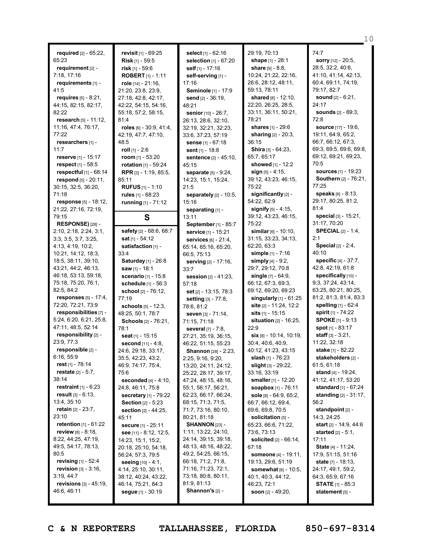**required** [2] - 65:22, 65:23 **requirement** [2] - 7:18, 17:16 **requirements** [1] - 41:5 **requires** [5] - 8:21, 44:15, 82:15, 82:17, 82:22 **research** [5] - 11:12, 11:16, 47:4, 76:17, 77:22 **researchers** [1] - 11:7 **reserve** [1] - 15:17 **respect** [1] - 58:5 **respectful** [1] - 68:14 **respond** [5] - 20:11, 30:15, 32:5, 36:20, 71:18 **response** [5] - 18:12, 21:22, 27:16, 72:19, 79:15 **RESPONSE)** [28] - 2:10, 2:18, 2:24, 3:1, 3:3, 3:5, 3:7, 3:25, 4:13, 4:19, 10:2, 10:21, 14:12, 18:3, 18:5, 38:11, 39:10, 43:21, 44:2, 46:13, 46:18, 53:13, 59:18, 75:18, 75:20, 76:1, 82:5, 84:2 **responses** [5] - 17:4, 72:20, 72:21, 73:9 **responsibilities** [7] - 5:24, 6:20, 6:21, 25:8, 47:11, 48:5, 52:14 **responsibility** [2] - 23:9, 77:3 **responsible** [2] - 6:16, 55:9 **rest** [1] - 78:14 **restate** [2] - 5:7, 38:14 **restraint** [1] - 6:23 **result** [3] - 6:13, 13:4, 35:10 **retain** [2] - 23:7, 23:10 **retention** [1] - 61:22 **review** [8] - 8:18, 8:22, 44:25, 47:19, 49:5, 54:17, 78:13, 80:5 **revising** [1] - 52:4 **revision** [3] - 3:16, 3:19, 44:7 **revisions** [3] - 45:19, 46:6, 46:11

**revisit** [1] - 69:25 **Risk** [1] - 59:5 **risk** [1] - 59:6 **ROBERT** [1] - 1:11 **role** [14] - 21:16, 21:20, 23:8, 23:9, 27:18, 42:8, 42:17, 42:22, 54:15, 54:16, 55:18, 57:2, 58:15, 81:4 **roles** [6] - 30:9, 41:4, 42:19, 47:7, 47:10, 48:5 **roll** [1] - 2:6 **room** [1] - 53:20 **rotation** [1] - 59:24 **RPR** [3] - 1:19, 85:5, 85:11 **RUFUS** [1] - 1:10 **rules** [1] - 68:23 **running** [1] - 71:12 **S safety** [2] - 68:6, 68:7 **sat** [1] - 54:12 **satisfaction** [1] - 33:4 **Saturday** [1] - 26:8 **saw** [1] - 18:1 **scenario** [1] - 15:8 **schedule** [1] - 56:3 **school** [2] - 76:12, 77:19 **schools** [5] - 12:3, 48:25, 50:1, 78:7 **Schools** [2] - 76:21, 78:1 **seat** [1] - 15:15 **second** [11] - 4:8, 24:6, 29:18, 33:17, 35:5, 42:23, 43:2, 46:9, 74:17, 75:4, 75:6 **seconded** [4] - 4:10, 24:8, 46:11, 75:8 **secretary** [1] - 79:22 **Section** [2] - 5:23 **section** [2] - 44:25, 45:11 **secure** [1] - 25:11 **see** [11] - 8:12, 12:5, 14:23, 15:1, 15:2, 20:18, 25:10, 54:18, 56:24, 57:3, 79:5 **seeing** [10] - 4:1, 4:14, 25:10, 30:11, 38:12, 40:24, 43:22, 46:14, 75:21, 84:3 **segue** [1] - 30:19

**select** [1] - 62:16 **selection** [1] - 67:20 **self** [1] - 17:16 **self-serving** [1] - 17:16 **Seminole** [1] - 17:9 **send** [2] - 36:19, 48:21 **senior** [10] - 26:7, 26:13, 28:6, 32:10, 32:19, 32:21, 32:23, 33:6, 37:23, 57:19 **sense** [1] - 67:18 **sent** [1] - 18:8 **sentence** [2] - 45:10, 45:15 **separate** [5] - 9:24, 14:23, 15:1, 15:24, 21:5 **separately** [2] - 10:5, 15:16 **separating** [1] - 13:11 **September** [1] - 85:7 **service** [1] - 15:21 **services** [6] - 21:4, 65:14, 65:16, 65:20, 66:5, 75:13 **serving** [2] - 17:16, 33:7 **session** [2] - 41:23, 57:18 **set** [2] - 13:15, 78:3 **setting** [3] - 77:8, 78:6, 81:2 **seven** [3] - 71:14, 71:15, 71:18 **several** [7] - 7:8, 27:21, 35:19, 36:15, 46:22, 51:15, 55:23 **Shannon** [28] - 2:23, 2:25, 9:16, 9:20, 13:20, 24:11, 24:12, 25:22, 28:17, 39:17, 47:24, 48:15, 48:16, 55:1, 56:17, 56:21, 62:23, 66:17, 66:24, 68:15, 71:3, 71:5, 71:7, 73:16, 80:10, 80:21, 81:18 **SHANNON** [23] - 1:11, 13:22, 24:10, 24:14, 39:15, 39:18, 48:13, 48:16, 48:22, 49:2, 54:25, 66:15, 66:18, 71:2, 71:8, 71:16, 71:23, 72:1, 73:18, 80:8, 80:11, 81:9, 81:13 **Shannon's** [2] -

29:19, 70:13 **shape** [1] - 28:1 **share** [9] - 8:8, 10:24, 21:22, 22:16, 26:6, 28:12, 48:11, 59:13, 78:11 **shared** [8] - 12:10, 22:20, 26:25, 28:5, 33:11, 36:11, 50:21, 78:21 **shares** [1] - 29:6 **sharing** [2] - 20:3, 36:15 **Shira** [3] - 64:23, 65:7, 65:17 **showed** [1] - 12:2 **sign** [5] - 4:15, 39:12, 43:23, 46:15, 75:22 **significantly** [2] - 54:22, 62:9 **signify** [5] - 4:15, 39:12, 43:23, 46:15, 75:22 **similar** [6] - 10:10, 31:15, 33:23, 34:13, 62:20, 63:3 **simple** [1] - 7:16 **simply** [4] - 9:2, 29:7, 29:12, 70:8 **single** [7] - 64:9, 66:12, 67:3, 69:3, 69:12, 69:20, 69:23 **singularly** [1] - 61:25 **site** [2] - 11:24, 12:2 **sits** [1] - 15:15 **situation** [2] - 16:25,  $22.9$ **six** [8] - 10:14, 10:19, 30:4, 40:6, 40:9, 40:12, 41:23, 43:15 **slash** [1] - 76:23 **slight** [3] - 29:22, 33:16, 33:19 **smaller** [1] - 12:20 **soapbox** [1] - 76:11 **sole** [8] - 64:9, 65:2, 66:7, 66:12, 69:4, 69:6, 69:8, 70:5 **solicitation** [5] - 65:23, 66:6, 71:22, 73:6, 73:13 **solicited** [2] - 66:14, 67:18 **someone** [4] - 19:11, 19:13, 29:6, 51:19 **somewhat** [6] - 10:5, 40:1, 40:3, 44:12, 46:23, 72:1 **soon** [2] - 49:20,

74:7 **sorry** [12] - 20:5, 28:5, 32:2, 40:6, 41:10, 41:14, 42:13, 60:4, 69:11, 74:19, 79:17, 82:7 **sound** [2] - 6:21, 24:17 **sounds** [2] - 69:3, 72:8 **source** [17] - 19:6, 19:11, 64:9, 65:2, 66:7, 66:12, 67:3, 69:3, 69:5, 69:6, 69:8, 69:12, 69:21, 69:23, 70:5 **sources** [1] - 19:23 **Southern** [2] - 76:21, 77:25 **speaks** [6] - 8:13, 29:17, 80:25, 81:2, 81:4 **special** [3] - 15:21, 31:17, 70:20 **SPECIAL** [2] - 1:4, 2:1 **Special** [2] - 2:4, 40:10 **specific** [4] - 37:7, 42:8, 42:19, 61:8 **specifically** [10] -9:3, 37:24, 43:14, 63:25, 80:21, 80:25, 81:2, 81:3, 81:4, 83:3 **spelling** [1] - 62:4 **spirit** [1] - 74:22 **SPOKE** [1] - 9:13 **spot** [1] - 83:17 **staff** [3] - 3:21, 11:22, 32:18 **stake** [1] - 82:22 **stakeholders** [2] - 61:5, 61:18 **stand** [4] - 19:24, 41:12, 41:17, 53:20 **standard** [1] - 67:24 **standing** [2] - 31:17, 56:2 **standpoint** [2] - 14:3, 24:25 **start** [2] - 14:9, 44:6 **started** [2] - 5:1, 17:11 **State** [4] - 11:24, 17:9, 51:15, 51:16 **state** [7] - 18:13, 24:17, 49:1, 59:2, 64:3, 65:9, 67:16 **STATE** [1] - 85:3 **statement** [5] -

10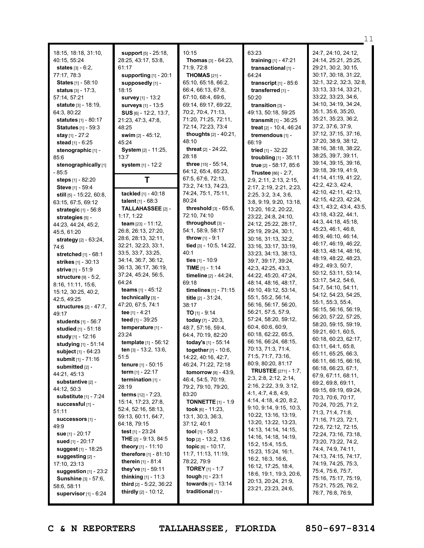18:15, 18:18, 31:10, 40:15, 55:24 **states** [3] - 6:2, 77:17, 78:3 **States** [1] - 58:10 **status** [3] - 17:3, 57:14, 57:21 **statute** [3] - 18:19, 64:3, 80:22 **statutes** [1] - 80:17 **Statutes** [1] - 59:3 **stay** [1] - 27:2 **stead** [1] - 6:25 **stenographic** [1] - 85:6 **stenographically** [1] - 85:5 **steps** [1] - 82:20 **Steve** [1] - 59:4 **still** [5] - 15:22, 60:8, 63:15, 67:5, 69:12 **strategic** [1] - 56:8 **strategies** [5] - 44:23, 44:24, 45:2, 45:5, 61:20 **strategy** [2] - 63:24, 74:6 **stretched** [1] - 68:1 **strikes** [1] - 30:13 **strive** [1] - 51:9 **structure** [9] - 5:2, 8:16, 11:11, 15:6, 15:12, 30:25, 40:2, 42:5, 49:25 **structures** [2] - 47:7, 49:17 **students** [1] - 56:7 **studied** [1] - 51:18 **study** [1] - 12:16 **studying** [1] - 51:14 **subject** [1] - 64:23 **submit** [1] - 71:16 **submitted** [2] - 44:21, 45:13 **substantive** [2] - 44:12, 50:3 **substitute** [1] - 7:24 **successful** [1] - 51:11 **successors** [1] - 49:9 **sue** [1] - 20:17 **sued** [1] - 20:17 **suggest** [1] - 18:25 **suggesting** [2] - 17:10, 23:13 **suggestion** [1] - 23:2 **Sunshine** [3] - 57:6, 58:6, 58:11 **supervisor** [1] - 6:24

**support** [5] - 25:18, 28:25, 43:17, 53:8, 61:17 **supporting** [1] - 20:1 **supposedly** [1] - 18:15 **survey** [1] - 13:2 **surveys** [1] - 13:5 **SUS** [6] - 12:2, 13:7, 21:23, 47:3, 47:8, 48:25 **swim** [2] - 45:12, 45:24 **System** [2] - 11:25, 13:7 **system** [1] - 12:2 **T tackled** [1] - 40:18 **talent** [1] - 68:3 **TALLAHASSEE** [2] - 1:17, 1:22 **team** [23] - 11:12, 26:8, 26:13, 27:20, 28:6, 28:13, 32:11, 32:21, 32:23, 33:1, 33:5, 33:7, 33:25, 34:14, 36:7, 36:12, 36:13, 36:17, 36:19, 37:24, 45:24, 56:5, 64:24 **teams** [1] - 45:12 **technically** [3] - 47:20, 67:5, 74:1 **tee** [1] - 4:21 **teed** [1] - 39:25 **temperature** [1] - 23:24 **template** [1] - 56:12 **ten** [3] - 13:2, 13:6, 51:5 **tenure** [1] - 50:15 **term** [1] - 22:17 **termination** [1] - 28:19 **terms** [12] - 7:23, 15:14, 17:23, 27:8, 52:4, 52:16, 58:13, 59:13, 60:11, 64:7, 64:18, 79:15 **test** [1] - 23:24 **THE** [2] - 9:13, 84:5 **theory** [1] - 11:10 **therefore** [1] - 81:10 **therein** [1] - 81:4 **they've** [1] - 59:11 **thinking** [1] - 11:3 **third** [2] - 5:22, 36:22 **thirdly** [2] - 10:12,

 $10:15$ **Thomas** [3] - 64:23, 71:9, 72:8 **THOMAS** [21] - 65:10, 65:18, 66:2, 66:4, 66:13, 67:8, 67:10, 68:4, 69:6, 69:14, 69:17, 69:22, 70:2, 70:4, 71:13, 71:20, 71:25, 72:11, 72:14, 72:23, 73:4 **thoughts** [2] - 40:21, 48:10 **threat** [2] - 24:22, 28:18 **three** [15] - 55:14, 64:12, 65:4, 65:23, 67:5, 67:6, 72:13, 73:2, 74:13, 74:23, 74:24, 75:1, 75:11, 80:24 **threshold** [3] - 65:6, 72:10, 74:10 **throughout** [3] - 54:1, 58:9, 58:17 **throw** [1] - 9:1 **tied** [3] - 10:5, 14:22, 40:1 **ties** [1] - 10:9 **TIME** [1] - 1:14 **timeline** [2] - 44:24, 69:18 **timelines** [1] - 71:15 **title** [2] - 31:24, 38:17 **TO** [1] - 9:14 **today** [7] - 20:3, 48:7, 57:16, 59:4, 64:4, 70:19, 82:20 **today's** [1] - 55:14 **together**[7] - 10:6, 14:22, 40:16, 42:7, 46:24, 71:22, 72:18 **tomorrow** [8] - 43:9, 46:4, 54:5, 70:19, 79:2, 79:10, 79:20, 83:20 **TONNETTE** [1] - 1:9 **took** [6] - 11:23, 13:1, 30:3, 36:3, 37:12, 40:1 **tool** [1] - 58:3 **top** [2] - 13:2, 13:6 **topic** [6] - 10:17, 11:7, 11:13, 11:19, 78:22, 79:9 **TOREY** [1] - 1:7 **tough** [1] - 23:1 **towards** [1] - 13:14 **traditional** [1] -

63:23 **training** [1] - 47:21 **transactional** [1] - 64:24 **transcript** [1] - 85:6 **transferred** [1] - 50:20 **transition** [3] - 49:13, 50:18, 59:25 **transmit** [1] - 36:25 **treat** [2] - 10:4, 46:24 **tremendous** [1] - 66:19 **tried** [1] - 32:22 **troubling** [1] - 35:11 **true** [2] - 58:17, 85:6 **Trustee** [86] - 2:7, 2:9, 2:11, 2:13, 2:15, 2:17, 2:19, 2:21, 2:23, 2:25, 3:2, 3:4, 3:6, 3:8, 9:19, 9:20, 13:18, 13:20, 16:2, 20:22, 23:22, 24:8, 24:10, 24:12, 25:22, 28:17, 29:19, 29:24, 30:1, 30:16, 31:13, 32:2, 33:16, 33:17, 33:19, 33:23, 34:13, 38:13, 39:7, 39:17, 39:24, 42:3, 42:25, 43:3, 44:22, 45:20, 47:24, 48:14, 48:16, 48:17, 49:10, 49:12, 53:14, 55:1, 55:2, 56:14, 56:16, 56:17, 56:20, 56:21, 57:5, 57:9, 57:24, 58:20, 59:12, 60:4, 60:6, 60:9, 60:18, 62:22, 65:5, 66:16, 66:24, 68:15, 70:13, 71:3, 71:4, 71:5, 71:7, 73:16, 80:9, 80:20, 81:17 **TRUSTEE** [271] - 1:7, 2:3, 2:8, 2:12, 2:14, 2:16, 2:22, 3:9, 3:12, 4:1, 4:7, 4:8, 4:9, 4:14, 4:18, 4:20, 8:2, 9:10, 9:14, 9:15, 10:3, 10:22, 13:16, 13:19, 13:20, 13:22, 13:23, 14:13, 14:14, 14:15, 14:16, 14:18, 14:19, 15:2, 15:4, 15:5, 15:23, 15:24, 16:1, 16:2, 16:3, 16:6, 16:12, 17:25, 18:4, 18:6, 19:1, 19:3, 20:6, 20:13, 20:24, 21:9, 23:21, 23:23, 24:6,

24:7, 24:10, 24:12, 24:14, 25:21, 25:25, 29:21, 30:2, 30:15, 30:17, 30:18, 31:22, 32:1, 32:2, 32:3, 32:8, 33:13, 33:14, 33:21, 33:22, 33:23, 34:6, 34:10, 34:19, 34:24, 35:1, 35:6, 35:20, 35:21, 35:23, 36:2, 37:2, 37:6, 37:9, 37:12, 37:15, 37:16, 37:20, 38:9, 38:12, 38:16, 38:18, 38:22, 38:25, 39:7, 39:11, 39:14, 39:15, 39:16, 39:18, 39:19, 41:9, 41:14, 41:19, 41:22, 42:2, 42:3, 42:4, 42:10, 42:11, 42:13, 42:15, 42:23, 42:24, 43:1, 43:2, 43:4, 43:5, 43:18, 43:22, 44:1, 44:3, 44:18, 45:18, 45:23, 46:1, 46:8, 46:9, 46:10, 46:14, 46:17, 46:19, 46:22, 48:13, 48:14, 48:16, 48:19, 48:22, 48:23, 49:2, 49:3, 50:7, 50:12, 53:11, 53:14, 53:17, 54:2, 54:6, 54:7, 54:10, 54:11, 54:12, 54:23, 54:25, 55:1, 55:3, 55:4, 56:15, 56:16, 56:19, 56:20, 57:22, 57:25, 58:20, 59:15, 59:19, 59:21, 60:1, 60:5, 60:18, 60:23, 62:17, 63:11, 64:1, 65:8, 65:11, 65:25, 66:3, 66:11, 66:15, 66:16, 66:18, 66:23, 67:1, 67:9, 67:11, 68:11, 69:2, 69:8, 69:11, 69:15, 69:19, 69:24, 70:3, 70:6, 70:17, 70:24, 70:25, 71:2, 71:3, 71:4, 71:8, 71:16, 71:23, 72:1, 72:6, 72:12, 72:15, 72:24, 73:16, 73:18, 73:20, 73:22, 74:2, 74:4, 74:9, 74:11, 74:13, 74:15, 74:17, 74:19, 74:25, 75:3, 75:4, 75:6, 75:7, 75:16, 75:17, 75:19, 75:21, 75:25, 76:2,

11

**C & N REPORTERS TALLAHASSEE, FLORIDA 850-697-8314**

76:7, 76:8, 76:9,